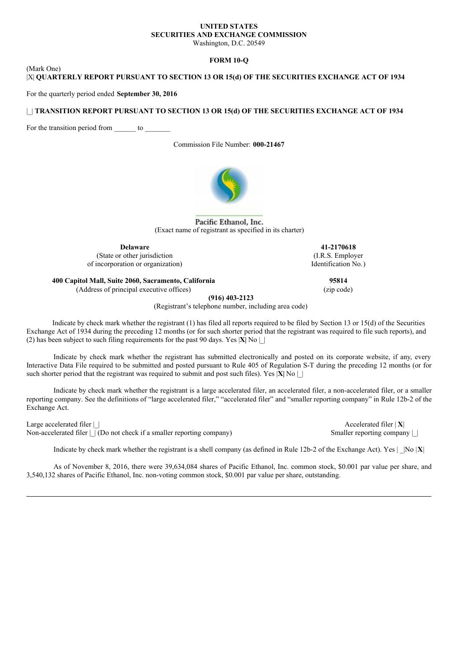# **UNITED STATES SECURITIES AND EXCHANGE COMMISSION**

Washington, D.C. 20549

# **FORM 10-Q**

# |X| **QUARTERLY REPORT PURSUANT TO SECTION 13 OR 15(d) OF THE SECURITIES EXCHANGE ACT OF 1934**

For the quarterly period ended **September 30, 2016**

(Mark One)

## |\_| **TRANSITION REPORT PURSUANT TO SECTION 13 OR 15(d) OF THE SECURITIES EXCHANGE ACT OF 1934**

For the transition period from to

Commission File Number: **000-21467**



Pacific Ethanol, Inc. (Exact name of registrant as specified in its charter)

**Delaware**

(State or other jurisdiction of incorporation or organization)

**400 Capitol Mall, Suite 2060, Sacramento, California**

(Address of principal executive offices)

**(916) 403-2123**

(Registrant's telephone number, including area code)

Indicate by check mark whether the registrant (1) has filed all reports required to be filed by Section 13 or 15(d) of the Securities Exchange Act of 1934 during the preceding 12 months (or for such shorter period that the registrant was required to file such reports), and (2) has been subject to such filing requirements for the past 90 days. Yes |**X|** No |\_|

Indicate by check mark whether the registrant has submitted electronically and posted on its corporate website, if any, every Interactive Data File required to be submitted and posted pursuant to Rule 405 of Regulation S-T during the preceding 12 months (or for such shorter period that the registrant was required to submit and post such files). Yes |**X|** No |\_|

Indicate by check mark whether the registrant is a large accelerated filer, an accelerated filer, a non-accelerated filer, or a smaller reporting company. See the definitions of "large accelerated filer," "accelerated filer" and "smaller reporting company" in Rule 12b-2 of the Exchange Act.

Large accelerated filer | | Accelerated filer | **X**| Non-accelerated filer  $\vert \vert$  (Do not check if a smaller reporting company) Smaller reporting company | |

Indicate by check mark whether the registrant is a shell company (as defined in Rule 12b-2 of the Exchange Act). Yes  $\mid$  [No  $\mid X \mid$ 

As of November 8, 2016, there were 39,634,084 shares of Pacific Ethanol, Inc. common stock, \$0.001 par value per share, and 3,540,132 shares of Pacific Ethanol, Inc. non-voting common stock, \$0.001 par value per share, outstanding.

Identification No.) **95814**

**41-2170618** (I.R.S. Employer

(zip code)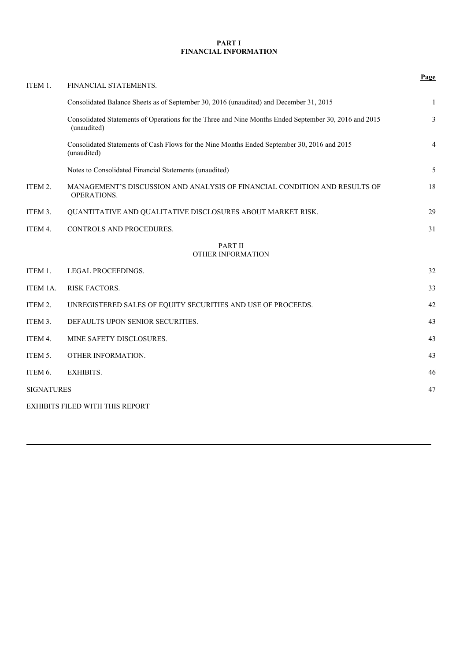## **PART I FINANCIAL INFORMATION**

| ITEM 1.           | FINANCIAL STATEMENTS.                                                                                                | Page           |  |  |  |  |
|-------------------|----------------------------------------------------------------------------------------------------------------------|----------------|--|--|--|--|
|                   | Consolidated Balance Sheets as of September 30, 2016 (unaudited) and December 31, 2015                               | $\mathbf{1}$   |  |  |  |  |
|                   | Consolidated Statements of Operations for the Three and Nine Months Ended September 30, 2016 and 2015<br>(unaudited) | 3              |  |  |  |  |
|                   | Consolidated Statements of Cash Flows for the Nine Months Ended September 30, 2016 and 2015<br>(unaudited)           | $\overline{4}$ |  |  |  |  |
|                   | Notes to Consolidated Financial Statements (unaudited)                                                               | 5              |  |  |  |  |
| ITEM 2.           | MANAGEMENT'S DISCUSSION AND ANALYSIS OF FINANCIAL CONDITION AND RESULTS OF<br>OPERATIONS.                            | 18             |  |  |  |  |
| ITEM 3.           | QUANTITATIVE AND QUALITATIVE DISCLOSURES ABOUT MARKET RISK.                                                          | 29             |  |  |  |  |
| ITEM 4.           | CONTROLS AND PROCEDURES.                                                                                             | 31             |  |  |  |  |
|                   | PART II<br>OTHER INFORMATION                                                                                         |                |  |  |  |  |
| ITEM 1.           | LEGAL PROCEEDINGS.                                                                                                   | 32             |  |  |  |  |
| ITEM 1A.          | RISK FACTORS.                                                                                                        | 33             |  |  |  |  |
| ITEM 2.           | UNREGISTERED SALES OF EQUITY SECURITIES AND USE OF PROCEEDS.                                                         | 42             |  |  |  |  |
| ITEM 3.           | DEFAULTS UPON SENIOR SECURITIES.                                                                                     | 43             |  |  |  |  |
| ITEM 4.           | MINE SAFETY DISCLOSURES.                                                                                             | 43             |  |  |  |  |
| ITEM 5.           | OTHER INFORMATION.                                                                                                   | 43             |  |  |  |  |
| ITEM 6.           | EXHIBITS.                                                                                                            | 46             |  |  |  |  |
| <b>SIGNATURES</b> |                                                                                                                      |                |  |  |  |  |
|                   | <b>EXHIBITS FILED WITH THIS REPORT</b>                                                                               |                |  |  |  |  |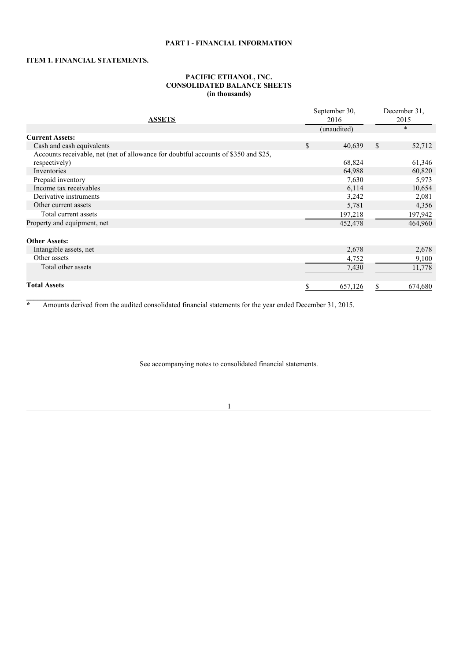## **PART I - FINANCIAL INFORMATION**

# **ITEM 1. FINANCIAL STATEMENTS.**

## **PACIFIC ETHANOL, INC. CONSOLIDATED BALANCE SHEETS (in thousands)**

|                                                                                     |    | September 30, | December 31.  |         |  |
|-------------------------------------------------------------------------------------|----|---------------|---------------|---------|--|
| <b>ASSETS</b>                                                                       |    | 2016          | 2015          |         |  |
|                                                                                     |    | (unaudited)   |               | $*$     |  |
| <b>Current Assets:</b>                                                              |    |               |               |         |  |
| Cash and cash equivalents                                                           | \$ | 40,639        | <sup>\$</sup> | 52,712  |  |
| Accounts receivable, net (net of allowance for doubtful accounts of \$350 and \$25, |    |               |               |         |  |
| respectively)                                                                       |    | 68,824        |               | 61,346  |  |
| Inventories                                                                         |    | 64,988        |               | 60,820  |  |
| Prepaid inventory                                                                   |    | 7,630         |               | 5,973   |  |
| Income tax receivables                                                              |    | 6,114         |               | 10,654  |  |
| Derivative instruments                                                              |    | 3,242         |               | 2,081   |  |
| Other current assets                                                                |    | 5,781         |               | 4,356   |  |
| Total current assets                                                                |    | 197,218       |               | 197,942 |  |
| Property and equipment, net                                                         |    | 452,478       |               | 464,960 |  |
| <b>Other Assets:</b>                                                                |    |               |               |         |  |
| Intangible assets, net                                                              |    | 2,678         |               | 2,678   |  |
| Other assets                                                                        |    | 4,752         |               | 9,100   |  |
| Total other assets                                                                  |    | 7,430         |               | 11,778  |  |
| <b>Total Assets</b>                                                                 | \$ | 657,126       | S             | 674,680 |  |

**\*** Amounts derived from the audited consolidated financial statements for the year ended December 31, 2015.

See accompanying notes to consolidated financial statements.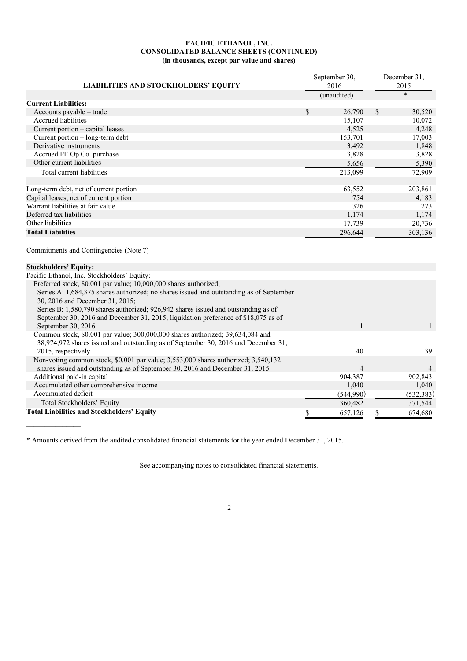## **PACIFIC ETHANOL, INC. CONSOLIDATED BALANCE SHEETS (CONTINUED) (in thousands, except par value and shares)**

| <b>LIABILITIES AND STOCKHOLDERS' EQUITY</b> |    | September 30, | December 31.<br>2015 |         |
|---------------------------------------------|----|---------------|----------------------|---------|
|                                             |    | 2016          |                      |         |
|                                             |    | (unaudited)   |                      | $\ast$  |
| <b>Current Liabilities:</b>                 |    |               |                      |         |
| Accounts payable – trade                    | \$ | 26,790        | <sup>\$</sup>        | 30,520  |
| Accrued liabilities                         |    | 15,107        |                      | 10,072  |
| Current portion – capital leases            |    | 4,525         |                      | 4,248   |
| Current portion – long-term debt            |    | 153,701       |                      | 17,003  |
| Derivative instruments                      |    | 3,492         |                      | 1,848   |
| Accrued PE Op Co. purchase                  |    | 3,828         |                      | 3,828   |
| Other current liabilities                   |    | 5,656         |                      | 5,390   |
| Total current liabilities                   |    | 213,099       |                      | 72,909  |
|                                             |    |               |                      |         |
| Long-term debt, net of current portion      |    | 63,552        |                      | 203,861 |
| Capital leases, net of current portion      |    | 754           |                      | 4,183   |
| Warrant liabilities at fair value           |    | 326           |                      | 273     |
| Deferred tax liabilities                    |    | 1,174         |                      | 1,174   |
| Other liabilities                           |    | 17,739        |                      | 20,736  |
| <b>Total Liabilities</b>                    |    | 296.644       |                      | 303,136 |

Commitments and Contingencies (Note 7)

## **Stockholders' Equity:**

| Pacific Ethanol, Inc. Stockholders' Equity:                                             |           |           |
|-----------------------------------------------------------------------------------------|-----------|-----------|
| Preferred stock, \$0.001 par value; 10,000,000 shares authorized;                       |           |           |
| Series A: 1,684,375 shares authorized; no shares issued and outstanding as of September |           |           |
| 30, 2016 and December 31, 2015;                                                         |           |           |
| Series B: 1,580,790 shares authorized; 926,942 shares issued and outstanding as of      |           |           |
| September 30, 2016 and December 31, 2015; liquidation preference of \$18,075 as of      |           |           |
| September 30, 2016                                                                      |           |           |
| Common stock, \$0.001 par value; 300,000,000 shares authorized; 39,634,084 and          |           |           |
| 38,974,972 shares issued and outstanding as of September 30, 2016 and December 31,      |           |           |
| 2015, respectively                                                                      | 40        | 39        |
| Non-voting common stock, \$0.001 par value; 3,553,000 shares authorized; 3,540,132      |           |           |
| shares issued and outstanding as of September 30, 2016 and December 31, 2015            | 4         | 4         |
| Additional paid-in capital                                                              | 904,387   | 902,843   |
| Accumulated other comprehensive income                                                  | 1,040     | 1,040     |
| Accumulated deficit                                                                     | (544,990) | (532,383) |
| Total Stockholders' Equity                                                              | 360,482   | 371,544   |
| <b>Total Liabilities and Stockholders' Equity</b>                                       | 657,126   | 674,680   |

**\*** Amounts derived from the audited consolidated financial statements for the year ended December 31, 2015.

See accompanying notes to consolidated financial statements.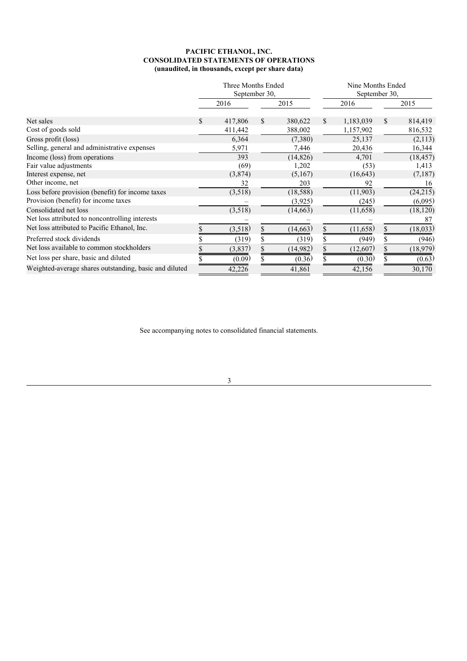## **PACIFIC ETHANOL, INC. CONSOLIDATED STATEMENTS OF OPERATIONS (unaudited, in thousands, except per share data)**

|                                                        | Three Months Ended<br>September 30, |         |    | Nine Months Ended<br>September 30, |     |           |    |           |
|--------------------------------------------------------|-------------------------------------|---------|----|------------------------------------|-----|-----------|----|-----------|
|                                                        |                                     | 2016    |    | 2015                               |     | 2016      |    | 2015      |
| Net sales                                              | S.                                  | 417,806 | \$ | 380,622                            | \$. | 1,183,039 | \$ | 814,419   |
| Cost of goods sold                                     |                                     | 411,442 |    | 388,002                            |     | 1,157,902 |    | 816,532   |
| Gross profit (loss)                                    |                                     | 6,364   |    | (7,380)                            |     | 25,137    |    | (2,113)   |
| Selling, general and administrative expenses           |                                     | 5,971   |    | 7,446                              |     | 20,436    |    | 16,344    |
| Income (loss) from operations                          |                                     | 393     |    | (14, 826)                          |     | 4,701     |    | (18, 457) |
| Fair value adjustments                                 |                                     | (69)    |    | 1,202                              |     | (53)      |    | 1,413     |
| Interest expense, net                                  |                                     | (3,874) |    | (5,167)                            |     | (16, 643) |    | (7,187)   |
| Other income, net                                      |                                     | 32      |    | 203                                |     | 92        |    | 16        |
| Loss before provision (benefit) for income taxes       |                                     | (3,518) |    | (18, 588)                          |     | (11,903)  |    | (24,215)  |
| Provision (benefit) for income taxes                   |                                     |         |    | (3,925)                            |     | (245)     |    | (6,095)   |
| Consolidated net loss                                  |                                     | (3,518) |    | (14, 663)                          |     | (11,658)  |    | (18, 120) |
| Net loss attributed to noncontrolling interests        |                                     |         |    |                                    |     |           |    | 87        |
| Net loss attributed to Pacific Ethanol, Inc.           |                                     | (3,518) |    | (14, 663)                          |     | (11,658)  |    | (18,033)  |
| Preferred stock dividends                              |                                     | (319)   |    | (319)                              |     | (949)     |    | (946)     |
| Net loss available to common stockholders              |                                     | (3,837) |    | (14,982)                           |     | (12,607)  | \$ | (18,979)  |
| Net loss per share, basic and diluted                  |                                     | (0.09)  |    | (0.36)                             |     | (0.30)    |    | (0.63)    |
| Weighted-average shares outstanding, basic and diluted |                                     | 42,226  |    | 41,861                             |     | 42,156    |    | 30,170    |

See accompanying notes to consolidated financial statements.

3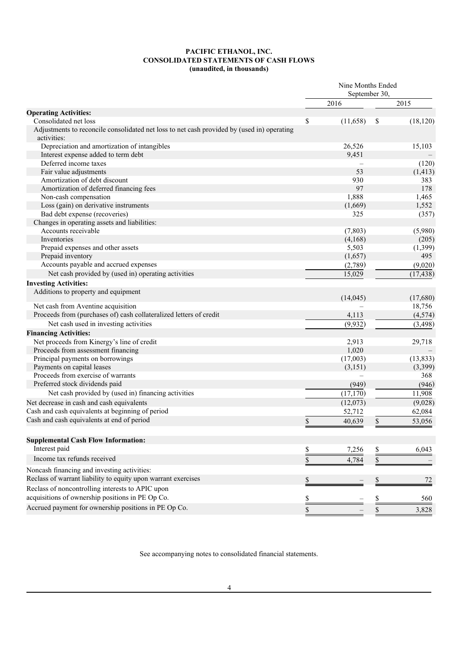## **PACIFIC ETHANOL, INC. CONSOLIDATED STATEMENTS OF CASH FLOWS (unaudited, in thousands)**

|                                                                                                           | Nine Months Ended<br>September 30, |           |    |           |
|-----------------------------------------------------------------------------------------------------------|------------------------------------|-----------|----|-----------|
|                                                                                                           |                                    | 2016      |    | 2015      |
| <b>Operating Activities:</b>                                                                              |                                    |           |    |           |
| Consolidated net loss                                                                                     | \$                                 | (11,658)  | \$ | (18, 120) |
| Adjustments to reconcile consolidated net loss to net cash provided by (used in) operating<br>activities: |                                    |           |    |           |
| Depreciation and amortization of intangibles                                                              |                                    | 26,526    |    | 15,103    |
| Interest expense added to term debt                                                                       |                                    | 9,451     |    |           |
| Deferred income taxes                                                                                     |                                    |           |    | (120)     |
| Fair value adjustments                                                                                    |                                    | 53        |    | (1, 413)  |
| Amortization of debt discount                                                                             |                                    | 930       |    | 383       |
| Amortization of deferred financing fees                                                                   |                                    | 97        |    | 178       |
| Non-cash compensation                                                                                     |                                    | 1,888     |    | 1,465     |
| Loss (gain) on derivative instruments                                                                     |                                    | (1,669)   |    | 1,552     |
| Bad debt expense (recoveries)                                                                             |                                    | 325       |    | (357)     |
| Changes in operating assets and liabilities:                                                              |                                    |           |    |           |
| Accounts receivable                                                                                       |                                    | (7, 803)  |    | (5,980)   |
| Inventories                                                                                               |                                    | (4,168)   |    | (205)     |
| Prepaid expenses and other assets                                                                         |                                    | 5,503     |    | (1, 399)  |
| Prepaid inventory                                                                                         |                                    | (1,657)   |    | 495       |
| Accounts payable and accrued expenses                                                                     |                                    | (2,789)   |    | (9,020)   |
| Net cash provided by (used in) operating activities                                                       |                                    | 15,029    |    | (17, 438) |
| <b>Investing Activities:</b>                                                                              |                                    |           |    |           |
| Additions to property and equipment                                                                       |                                    |           |    |           |
|                                                                                                           |                                    | (14, 045) |    | (17,680)  |
| Net cash from Aventine acquisition                                                                        |                                    |           |    | 18,756    |
| Proceeds from (purchases of) cash collateralized letters of credit                                        |                                    | 4,113     |    | (4,574)   |
| Net cash used in investing activities                                                                     |                                    | (9, 932)  |    | (3, 498)  |
| <b>Financing Activities:</b>                                                                              |                                    |           |    |           |
| Net proceeds from Kinergy's line of credit                                                                |                                    | 2,913     |    | 29,718    |
| Proceeds from assessment financing                                                                        |                                    | 1,020     |    |           |
| Principal payments on borrowings                                                                          |                                    | (17,003)  |    | (13, 833) |
| Payments on capital leases                                                                                |                                    | (3, 151)  |    | (3,399)   |
| Proceeds from exercise of warrants                                                                        |                                    |           |    | 368       |
| Preferred stock dividends paid                                                                            |                                    | (949)     |    | (946)     |
| Net cash provided by (used in) financing activities                                                       |                                    | (17, 170) |    | 11,908    |
| Net decrease in cash and cash equivalents                                                                 |                                    | (12,073)  |    | (9,028)   |
| Cash and cash equivalents at beginning of period                                                          |                                    | 52,712    |    | 62,084    |
| Cash and cash equivalents at end of period                                                                |                                    |           |    |           |
|                                                                                                           | \$                                 | 40,639    | \$ | 53,056    |
|                                                                                                           |                                    |           |    |           |
| <b>Supplemental Cash Flow Information:</b>                                                                |                                    |           |    |           |
| Interest paid                                                                                             | \$                                 | 7,256     | \$ | 6,043     |
| Income tax refunds received                                                                               | \$                                 | 4,784     | \$ |           |
| Noncash financing and investing activities:                                                               |                                    |           |    |           |
| Reclass of warrant liability to equity upon warrant exercises                                             | \$                                 |           | \$ | 72        |
| Reclass of noncontrolling interests to APIC upon                                                          |                                    |           |    |           |
| acquisitions of ownership positions in PE Op Co.                                                          | \$                                 |           | \$ | 560       |
| Accrued payment for ownership positions in PE Op Co.                                                      | \$                                 |           | \$ | 3,828     |
|                                                                                                           |                                    |           |    |           |

See accompanying notes to consolidated financial statements.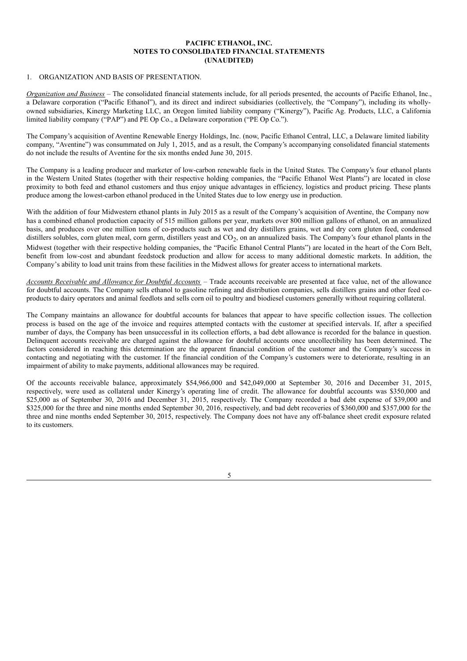## **PACIFIC ETHANOL, INC. NOTES TO CONSOLIDATED FINANCIAL STATEMENTS (UNAUDITED)**

### 1. ORGANIZATION AND BASIS OF PRESENTATION.

*Organization and Business* – The consolidated financial statements include, for all periods presented, the accounts of Pacific Ethanol, Inc., a Delaware corporation ("Pacific Ethanol"), and its direct and indirect subsidiaries (collectively, the "Company"), including its whollyowned subsidiaries, Kinergy Marketing LLC, an Oregon limited liability company ("Kinergy"), Pacific Ag. Products, LLC, a California limited liability company ("PAP") and PE Op Co., a Delaware corporation ("PE Op Co.").

The Company's acquisition of Aventine Renewable Energy Holdings, Inc. (now, Pacific Ethanol Central, LLC, a Delaware limited liability company, "Aventine") was consummated on July 1, 2015, and as a result, the Company's accompanying consolidated financial statements do not include the results of Aventine for the six months ended June 30, 2015.

The Company is a leading producer and marketer of low-carbon renewable fuels in the United States. The Company's four ethanol plants in the Western United States (together with their respective holding companies, the "Pacific Ethanol West Plants") are located in close proximity to both feed and ethanol customers and thus enjoy unique advantages in efficiency, logistics and product pricing. These plants produce among the lowest-carbon ethanol produced in the United States due to low energy use in production.

With the addition of four Midwestern ethanol plants in July 2015 as a result of the Company's acquisition of Aventine, the Company now has a combined ethanol production capacity of 515 million gallons per year, markets over 800 million gallons of ethanol, on an annualized basis, and produces over one million tons of co-products such as wet and dry distillers grains, wet and dry corn gluten feed, condensed distillers solubles, corn gluten meal, corn germ, distillers yeast and CO<sub>2</sub>, on an annualized basis. The Company's four ethanol plants in the Midwest (together with their respective holding companies, the "Pacific Ethanol Central Plants") are located in the heart of the Corn Belt, benefit from low-cost and abundant feedstock production and allow for access to many additional domestic markets. In addition, the Company's ability to load unit trains from these facilities in the Midwest allows for greater access to international markets.

*Accounts Receivable and Allowance for Doubtful Accounts* – Trade accounts receivable are presented at face value, net of the allowance for doubtful accounts. The Company sells ethanol to gasoline refining and distribution companies, sells distillers grains and other feed coproducts to dairy operators and animal feedlots and sells corn oil to poultry and biodiesel customers generally without requiring collateral.

The Company maintains an allowance for doubtful accounts for balances that appear to have specific collection issues. The collection process is based on the age of the invoice and requires attempted contacts with the customer at specified intervals. If, after a specified number of days, the Company has been unsuccessful in its collection efforts, a bad debt allowance is recorded for the balance in question. Delinquent accounts receivable are charged against the allowance for doubtful accounts once uncollectibility has been determined. The factors considered in reaching this determination are the apparent financial condition of the customer and the Company's success in contacting and negotiating with the customer. If the financial condition of the Company's customers were to deteriorate, resulting in an impairment of ability to make payments, additional allowances may be required.

Of the accounts receivable balance, approximately \$54,966,000 and \$42,049,000 at September 30, 2016 and December 31, 2015, respectively, were used as collateral under Kinergy's operating line of credit. The allowance for doubtful accounts was \$350,000 and \$25,000 as of September 30, 2016 and December 31, 2015, respectively. The Company recorded a bad debt expense of \$39,000 and \$325,000 for the three and nine months ended September 30, 2016, respectively, and bad debt recoveries of \$360,000 and \$357,000 for the three and nine months ended September 30, 2015, respectively. The Company does not have any off-balance sheet credit exposure related to its customers.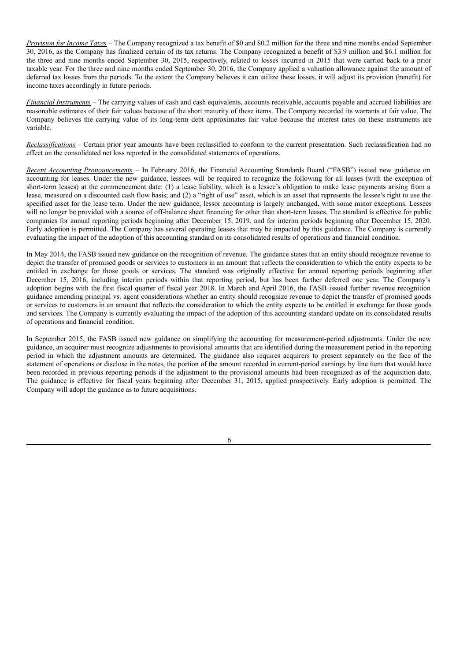*Provision for Income Taxes* – The Company recognized a tax benefit of \$0 and \$0.2 million for the three and nine months ended September 30, 2016, as the Company has finalized certain of its tax returns. The Company recognized a benefit of \$3.9 million and \$6.1 million for the three and nine months ended September 30, 2015, respectively, related to losses incurred in 2015 that were carried back to a prior taxable year. For the three and nine months ended September 30, 2016, the Company applied a valuation allowance against the amount of deferred tax losses from the periods. To the extent the Company believes it can utilize these losses, it will adjust its provision (benefit) for income taxes accordingly in future periods.

*Financial Instruments –* The carrying values of cash and cash equivalents, accounts receivable, accounts payable and accrued liabilities are reasonable estimates of their fair values because of the short maturity of these items. The Company recorded its warrants at fair value. The Company believes the carrying value of its long-term debt approximates fair value because the interest rates on these instruments are variable.

*Reclassifications* – Certain prior year amounts have been reclassified to conform to the current presentation. Such reclassification had no effect on the consolidated net loss reported in the consolidated statements of operations.

*Recent Accounting Pronouncements* – In February 2016, the Financial Accounting Standards Board ("FASB") issued new guidance on accounting for leases. Under the new guidance, lessees will be required to recognize the following for all leases (with the exception of short-term leases) at the commencement date: (1) a lease liability, which is a lessee's obligation to make lease payments arising from a lease, measured on a discounted cash flow basis; and (2) a "right of use" asset, which is an asset that represents the lessee's right to use the specified asset for the lease term. Under the new guidance, lessor accounting is largely unchanged, with some minor exceptions. Lessees will no longer be provided with a source of off-balance sheet financing for other than short-term leases. The standard is effective for public companies for annual reporting periods beginning after December 15, 2019, and for interim periods beginning after December 15, 2020. Early adoption is permitted. The Company has several operating leases that may be impacted by this guidance. The Company is currently evaluating the impact of the adoption of this accounting standard on its consolidated results of operations and financial condition.

In May 2014, the FASB issued new guidance on the recognition of revenue. The guidance states that an entity should recognize revenue to depict the transfer of promised goods or services to customers in an amount that reflects the consideration to which the entity expects to be entitled in exchange for those goods or services. The standard was originally effective for annual reporting periods beginning after December 15, 2016, including interim periods within that reporting period, but has been further deferred one year. The Company's adoption begins with the first fiscal quarter of fiscal year 2018. In March and April 2016, the FASB issued further revenue recognition guidance amending principal vs. agent considerations whether an entity should recognize revenue to depict the transfer of promised goods or services to customers in an amount that reflects the consideration to which the entity expects to be entitled in exchange for those goods and services. The Company is currently evaluating the impact of the adoption of this accounting standard update on its consolidated results of operations and financial condition.

In September 2015, the FASB issued new guidance on simplifying the accounting for measurement-period adjustments. Under the new guidance, an acquirer must recognize adjustments to provisional amounts that are identified during the measurement period in the reporting period in which the adjustment amounts are determined. The guidance also requires acquirers to present separately on the face of the statement of operations or disclose in the notes, the portion of the amount recorded in current-period earnings by line item that would have been recorded in previous reporting periods if the adjustment to the provisional amounts had been recognized as of the acquisition date. The guidance is effective for fiscal years beginning after December 31, 2015, applied prospectively. Early adoption is permitted. The Company will adopt the guidance as to future acquisitions.

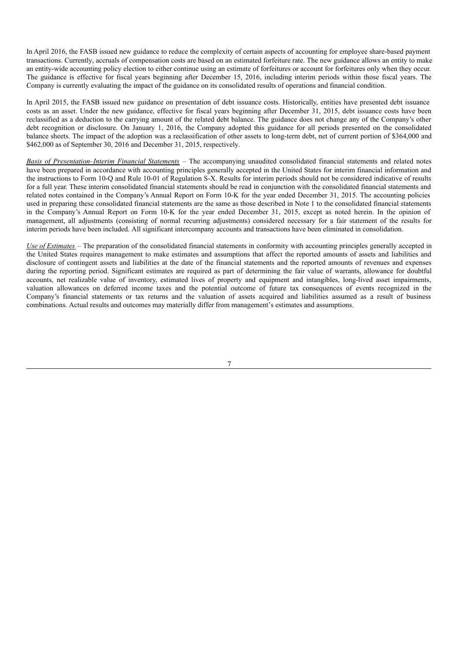In April 2016, the FASB issued new guidance to reduce the complexity of certain aspects of accounting for employee share-based payment transactions. Currently, accruals of compensation costs are based on an estimated forfeiture rate. The new guidance allows an entity to make an entity-wide accounting policy election to either continue using an estimate of forfeitures or account for forfeitures only when they occur. The guidance is effective for fiscal years beginning after December 15, 2016, including interim periods within those fiscal years. The Company is currently evaluating the impact of the guidance on its consolidated results of operations and financial condition.

In April 2015, the FASB issued new guidance on presentation of debt issuance costs. Historically, entities have presented debt issuance costs as an asset. Under the new guidance, effective for fiscal years beginning after December 31, 2015, debt issuance costs have been reclassified as a deduction to the carrying amount of the related debt balance. The guidance does not change any of the Company's other debt recognition or disclosure. On January 1, 2016, the Company adopted this guidance for all periods presented on the consolidated balance sheets. The impact of the adoption was a reclassification of other assets to long-term debt, net of current portion of \$364,000 and \$462,000 as of September 30, 2016 and December 31, 2015, respectively.

*Basis of Presentation*–*Interim Financial Statements* – The accompanying unaudited consolidated financial statements and related notes have been prepared in accordance with accounting principles generally accepted in the United States for interim financial information and the instructions to Form 10-Q and Rule 10-01 of Regulation S-X. Results for interim periods should not be considered indicative of results for a full year. These interim consolidated financial statements should be read in conjunction with the consolidated financial statements and related notes contained in the Company's Annual Report on Form 10-K for the year ended December 31, 2015. The accounting policies used in preparing these consolidated financial statements are the same as those described in Note 1 to the consolidated financial statements in the Company's Annual Report on Form 10-K for the year ended December 31, 2015, except as noted herein. In the opinion of management, all adjustments (consisting of normal recurring adjustments) considered necessary for a fair statement of the results for interim periods have been included. All significant intercompany accounts and transactions have been eliminated in consolidation.

*Use of Estimates* – The preparation of the consolidated financial statements in conformity with accounting principles generally accepted in the United States requires management to make estimates and assumptions that affect the reported amounts of assets and liabilities and disclosure of contingent assets and liabilities at the date of the financial statements and the reported amounts of revenues and expenses during the reporting period. Significant estimates are required as part of determining the fair value of warrants, allowance for doubtful accounts, net realizable value of inventory, estimated lives of property and equipment and intangibles, long-lived asset impairments, valuation allowances on deferred income taxes and the potential outcome of future tax consequences of events recognized in the Company's financial statements or tax returns and the valuation of assets acquired and liabilities assumed as a result of business combinations. Actual results and outcomes may materially differ from management's estimates and assumptions.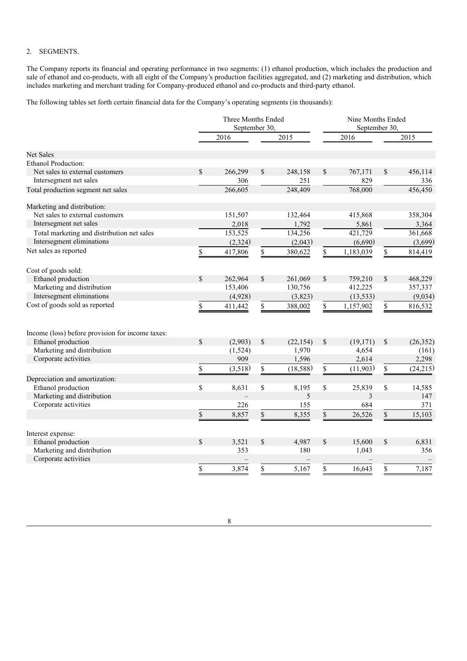## 2. SEGMENTS.

The Company reports its financial and operating performance in two segments: (1) ethanol production, which includes the production and sale of ethanol and co-products, with all eight of the Company's production facilities aggregated, and (2) marketing and distribution, which includes marketing and merchant trading for Company-produced ethanol and co-products and third-party ethanol.

The following tables set forth certain financial data for the Company's operating segments (in thousands):

|                                                                        | Three Months Ended<br>September 30, |              |               | Nine Months Ended<br>September 30, |    |                 |    |              |
|------------------------------------------------------------------------|-------------------------------------|--------------|---------------|------------------------------------|----|-----------------|----|--------------|
|                                                                        |                                     | 2016         |               | 2015                               |    | 2016            |    | 2015         |
| <b>Net Sales</b>                                                       |                                     |              |               |                                    |    |                 |    |              |
| <b>Ethanol Production:</b>                                             |                                     |              |               |                                    |    |                 |    |              |
| Net sales to external customers                                        | $\mathbb{S}$                        | 266,299      | $\mathbb{S}$  | 248,158                            | \$ | 767,171         | \$ | 456,114      |
| Intersegment net sales                                                 |                                     | 306          |               | 251                                |    | 829             |    | 336          |
| Total production segment net sales                                     |                                     | 266,605      |               | 248,409                            |    | 768,000         |    | 456,450      |
| Marketing and distribution:                                            |                                     |              |               |                                    |    |                 |    |              |
| Net sales to external customers                                        |                                     | 151,507      |               | 132,464                            |    | 415,868         |    | 358,304      |
| Intersegment net sales                                                 |                                     | 2,018        |               | 1,792                              |    | 5,861           |    | 3,364        |
| Total marketing and distribution net sales                             |                                     | 153,525      |               | 134,256                            |    | 421,729         |    | 361,668      |
| Intersegment eliminations                                              |                                     | (2, 324)     |               | (2,043)                            |    | (6,690)         |    | (3,699)      |
| Net sales as reported                                                  | \$                                  | 417,806      | \$            | 380,622                            | \$ | 1,183,039       | \$ | 814,419      |
| Cost of goods sold:                                                    |                                     |              |               |                                    |    |                 |    |              |
| Ethanol production                                                     | $\mathbb{S}$                        | 262,964      | $\mathbb{S}$  | 261,069                            | \$ | 759,210         | \$ | 468,229      |
| Marketing and distribution                                             |                                     | 153,406      |               | 130,756                            |    | 412,225         |    | 357,337      |
| Intersegment eliminations                                              |                                     | (4,928)      |               | (3,823)                            |    | (13, 533)       |    | (9,034)      |
| Cost of goods sold as reported                                         | \$                                  | 411,442      | \$            | 388,002                            | \$ | 1,157,902       | \$ | 816,532      |
|                                                                        |                                     |              |               |                                    |    |                 |    |              |
| Income (loss) before provision for income taxes:<br>Ethanol production | \$                                  | (2,903)      | $\mathcal{S}$ | (22, 154)                          | \$ | (19, 171)       | \$ | (26, 352)    |
| Marketing and distribution                                             |                                     | (1,524)      |               | 1,970                              |    | 4,654           |    | (161)        |
| Corporate activities                                                   |                                     | 909          |               | 1,596                              |    | 2,614           |    | 2,298        |
|                                                                        | \$                                  | (3,518)      | $\mathbb S$   | (18, 588)                          | \$ | (11,903)        | \$ | (24,215)     |
|                                                                        |                                     |              |               |                                    |    |                 |    |              |
| Depreciation and amortization:<br>Ethanol production                   | \$                                  | 8,631        | \$            | 8,195                              | \$ | 25,839          | \$ | 14,585       |
| Marketing and distribution                                             |                                     |              |               | 5                                  |    | 3               |    | 147          |
| Corporate activities                                                   |                                     | 226          |               | 155                                |    | 684             |    | 371          |
|                                                                        | \$                                  | 8,857        | $\mathbb{S}$  | 8,355                              | \$ | 26,526          | \$ | 15,103       |
|                                                                        |                                     |              |               |                                    |    |                 |    |              |
| Interest expense:                                                      |                                     |              |               |                                    |    |                 |    |              |
| Ethanol production<br>Marketing and distribution                       | \$                                  | 3,521<br>353 | $\mathcal{S}$ | 4,987<br>180                       | \$ | 15,600<br>1,043 | \$ | 6,831<br>356 |
| Corporate activities                                                   |                                     |              |               |                                    |    |                 |    |              |
|                                                                        |                                     |              |               |                                    |    |                 |    |              |
|                                                                        | \$                                  | 3,874        | \$            | 5,167                              | \$ | 16,643          | \$ | 7,187        |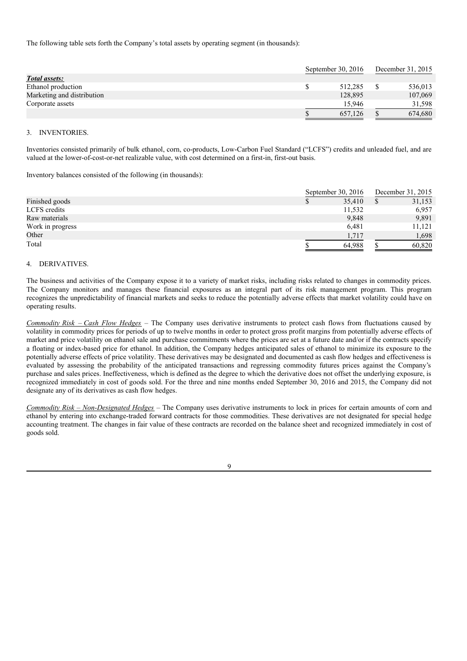The following table sets forth the Company's total assets by operating segment (in thousands):

|                            | September 30, $2016$ | December 31, 2015 |
|----------------------------|----------------------|-------------------|
| Total assets:              |                      |                   |
| Ethanol production         | 512.285              | 536,013           |
| Marketing and distribution | 128,895              | 107,069           |
| Corporate assets           | 15.946               | 31,598            |
|                            | 657.126              | 674,680           |

## 3. INVENTORIES.

Inventories consisted primarily of bulk ethanol, corn, co-products, Low-Carbon Fuel Standard ("LCFS") credits and unleaded fuel, and are valued at the lower-of-cost-or-net realizable value, with cost determined on a first-in, first-out basis.

Inventory balances consisted of the following (in thousands):

|                  | September 30, 2016 | December 31, 2015 |        |  |
|------------------|--------------------|-------------------|--------|--|
| Finished goods   | 35.410             |                   | 31,153 |  |
| LCFS credits     | 11,532             |                   | 6,957  |  |
| Raw materials    | 9,848              |                   | 9,891  |  |
| Work in progress | 6,481              |                   | 11,121 |  |
| Other            | 1,717              |                   | 1,698  |  |
| Total            | 64,988             |                   | 60,820 |  |

### 4. DERIVATIVES.

The business and activities of the Company expose it to a variety of market risks, including risks related to changes in commodity prices. The Company monitors and manages these financial exposures as an integral part of its risk management program. This program recognizes the unpredictability of financial markets and seeks to reduce the potentially adverse effects that market volatility could have on operating results.

*Commodity Risk* – *Cash Flow Hedges* – The Company uses derivative instruments to protect cash flows from fluctuations caused by volatility in commodity prices for periods of up to twelve months in order to protect gross profit margins from potentially adverse effects of market and price volatility on ethanol sale and purchase commitments where the prices are set at a future date and/or if the contracts specify a floating or index-based price for ethanol. In addition, the Company hedges anticipated sales of ethanol to minimize its exposure to the potentially adverse effects of price volatility. These derivatives may be designated and documented as cash flow hedges and effectiveness is evaluated by assessing the probability of the anticipated transactions and regressing commodity futures prices against the Company's purchase and sales prices. Ineffectiveness, which is defined as the degree to which the derivative does not offset the underlying exposure, is recognized immediately in cost of goods sold. For the three and nine months ended September 30, 2016 and 2015, the Company did not designate any of its derivatives as cash flow hedges.

*Commodity Risk – Non-Designated Hedges* – The Company uses derivative instruments to lock in prices for certain amounts of corn and ethanol by entering into exchange-traded forward contracts for those commodities. These derivatives are not designated for special hedge accounting treatment. The changes in fair value of these contracts are recorded on the balance sheet and recognized immediately in cost of goods sold.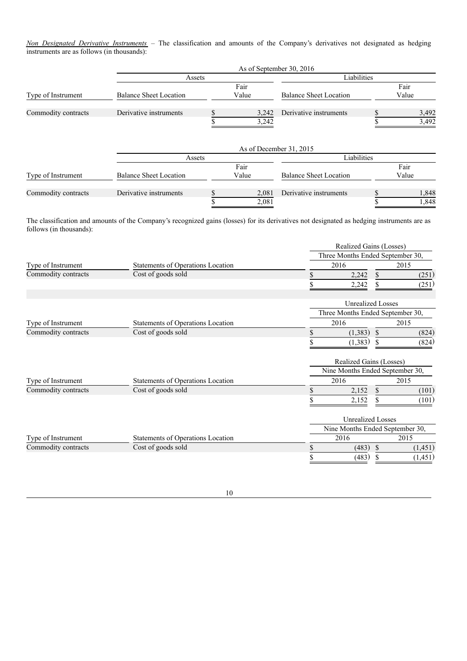*Non Designated Derivative Instruments* – The classification and amounts of the Company's derivatives not designated as hedging instruments are as follows (in thousands):

|                     | As of September 30, 2016      |        |                |                               |             |                |  |  |
|---------------------|-------------------------------|--------|----------------|-------------------------------|-------------|----------------|--|--|
|                     |                               | Assets |                |                               | Liabilities |                |  |  |
| Type of Instrument  | <b>Balance Sheet Location</b> |        | Fair<br>Value  | <b>Balance Sheet Location</b> |             | Fair<br>Value  |  |  |
| Commodity contracts | Derivative instruments        |        | 3,242<br>3,242 | Derivative instruments        |             | 3,492<br>3,492 |  |  |
|                     |                               |        |                | As of December 31, 2015       |             |                |  |  |
|                     | Assets                        |        |                | Liabilities                   |             |                |  |  |
|                     |                               |        | Fair           |                               |             | Fair           |  |  |
| Type of Instrument  | <b>Balance Sheet Location</b> |        | Value          | Balance Sheet Location        |             | Value          |  |  |

Commodity contracts Derivative instruments  $\frac{\$}{\$}$  2,081 Derivative instruments  $\frac{\$}{\$}$  1,848  $\$\qquad 2,081$   $\$\qquad 1,848$ 

The classification and amounts of the Company's recognized gains (losses) for its derivatives not designated as hedging instruments are as follows (in thousands):

|                                   | Realized Gains (Losses)<br>Three Months Ended September 30, |                          |                                                                                                        |  |  |
|-----------------------------------|-------------------------------------------------------------|--------------------------|--------------------------------------------------------------------------------------------------------|--|--|
|                                   |                                                             |                          |                                                                                                        |  |  |
| Statements of Operations Location |                                                             | 2016                     | 2015                                                                                                   |  |  |
| Cost of goods sold                | \$                                                          | 2,242<br>\$.             | (251)                                                                                                  |  |  |
|                                   |                                                             | 2,242                    | (251)                                                                                                  |  |  |
|                                   |                                                             | <b>Unrealized Losses</b> |                                                                                                        |  |  |
|                                   |                                                             |                          |                                                                                                        |  |  |
| Statements of Operations Location |                                                             | 2016                     | 2015                                                                                                   |  |  |
| Cost of goods sold                | \$                                                          | (1,383)<br><sup>\$</sup> | (824)                                                                                                  |  |  |
|                                   |                                                             | (1, 383)                 | (824)                                                                                                  |  |  |
|                                   |                                                             | Realized Gains (Losses)  |                                                                                                        |  |  |
|                                   |                                                             |                          |                                                                                                        |  |  |
|                                   |                                                             | 2016                     | 2015                                                                                                   |  |  |
| Cost of goods sold                | \$                                                          | 2,152<br><sup>S</sup>    | (101)                                                                                                  |  |  |
|                                   | \$                                                          | 2,152<br>S               | (101)                                                                                                  |  |  |
|                                   |                                                             | <b>Unrealized Losses</b> |                                                                                                        |  |  |
|                                   |                                                             |                          |                                                                                                        |  |  |
| Statements of Operations Location |                                                             | 2016                     | 2015                                                                                                   |  |  |
| Cost of goods sold                | \$                                                          | (483)<br>\$              | (1,451)                                                                                                |  |  |
|                                   |                                                             | (483)                    | (1,451)                                                                                                |  |  |
|                                   | Statements of Operations Location                           |                          | Three Months Ended September 30,<br>Nine Months Ended September 30,<br>Nine Months Ended September 30, |  |  |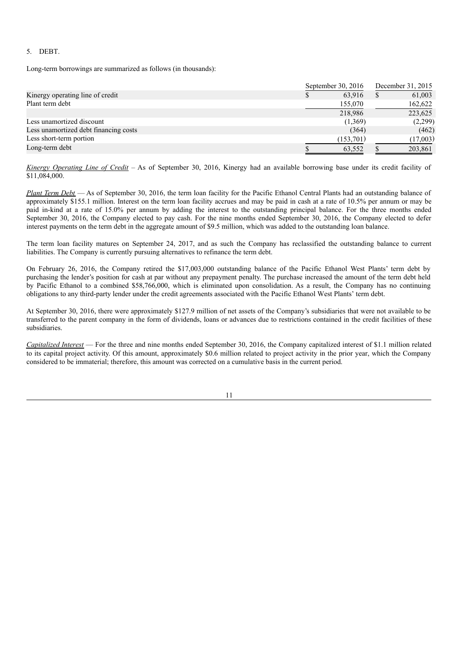## 5. DEBT.

Long-term borrowings are summarized as follows (in thousands):

|                                       | September 30, $2016$ | December 31, 2015 |          |
|---------------------------------------|----------------------|-------------------|----------|
| Kinergy operating line of credit      | 63.916               |                   | 61,003   |
| Plant term debt                       | 155,070              |                   | 162,622  |
|                                       | 218,986              |                   | 223,625  |
| Less unamortized discount             | (1,369)              |                   | (2,299)  |
| Less unamortized debt financing costs | (364)                |                   | (462)    |
| Less short-term portion               | (153, 701)           |                   | (17,003) |
| Long-term debt                        | 63,552               |                   | 203,861  |

*Kinergy Operating Line of Credit* – As of September 30, 2016, Kinergy had an available borrowing base under its credit facility of \$11,084,000.

*Plant Term Debt* — As of September 30, 2016, the term loan facility for the Pacific Ethanol Central Plants had an outstanding balance of approximately \$155.1 million. Interest on the term loan facility accrues and may be paid in cash at a rate of 10.5% per annum or may be paid in-kind at a rate of 15.0% per annum by adding the interest to the outstanding principal balance. For the three months ended September 30, 2016, the Company elected to pay cash. For the nine months ended September 30, 2016, the Company elected to defer interest payments on the term debt in the aggregate amount of \$9.5 million, which was added to the outstanding loan balance.

The term loan facility matures on September 24, 2017, and as such the Company has reclassified the outstanding balance to current liabilities. The Company is currently pursuing alternatives to refinance the term debt.

On February 26, 2016, the Company retired the \$17,003,000 outstanding balance of the Pacific Ethanol West Plants' term debt by purchasing the lender's position for cash at par without any prepayment penalty. The purchase increased the amount of the term debt held by Pacific Ethanol to a combined \$58,766,000, which is eliminated upon consolidation. As a result, the Company has no continuing obligations to any third-party lender under the credit agreements associated with the Pacific Ethanol West Plants' term debt.

At September 30, 2016, there were approximately \$127.9 million of net assets of the Company's subsidiaries that were not available to be transferred to the parent company in the form of dividends, loans or advances due to restrictions contained in the credit facilities of these subsidiaries.

*Capitalized Interest* — For the three and nine months ended September 30, 2016, the Company capitalized interest of \$1.1 million related to its capital project activity. Of this amount, approximately \$0.6 million related to project activity in the prior year, which the Company considered to be immaterial; therefore, this amount was corrected on a cumulative basis in the current period.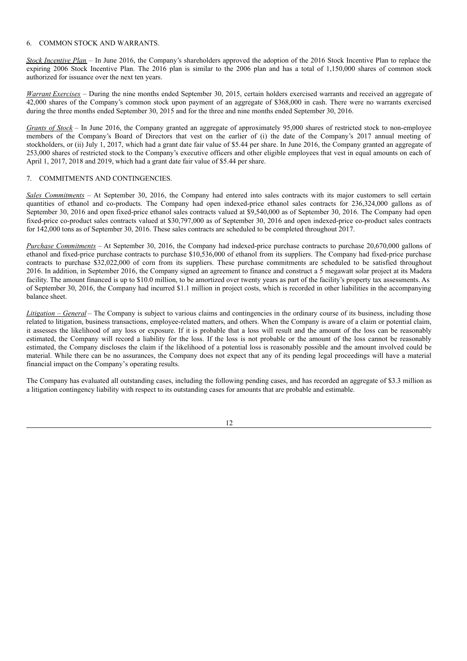### 6. COMMON STOCK AND WARRANTS.

*Stock Incentive Plan* – In June 2016, the Company's shareholders approved the adoption of the 2016 Stock Incentive Plan to replace the expiring 2006 Stock Incentive Plan. The 2016 plan is similar to the 2006 plan and has a total of 1,150,000 shares of common stock authorized for issuance over the next ten years.

*Warrant Exercises* – During the nine months ended September 30, 2015, certain holders exercised warrants and received an aggregate of 42,000 shares of the Company's common stock upon payment of an aggregate of \$368,000 in cash. There were no warrants exercised during the three months ended September 30, 2015 and for the three and nine months ended September 30, 2016.

*Grants of Stock* – In June 2016, the Company granted an aggregate of approximately 95,000 shares of restricted stock to non-employee members of the Company's Board of Directors that vest on the earlier of (i) the date of the Company's 2017 annual meeting of stockholders, or (ii) July 1, 2017, which had a grant date fair value of \$5.44 per share. In June 2016, the Company granted an aggregate of 253,000 shares of restricted stock to the Company's executive officers and other eligible employees that vest in equal amounts on each of April 1, 2017, 2018 and 2019, which had a grant date fair value of \$5.44 per share.

## 7. COMMITMENTS AND CONTINGENCIES.

*Sales Commitments* – At September 30, 2016, the Company had entered into sales contracts with its major customers to sell certain quantities of ethanol and co-products. The Company had open indexed-price ethanol sales contracts for 236,324,000 gallons as of September 30, 2016 and open fixed-price ethanol sales contracts valued at \$9,540,000 as of September 30, 2016. The Company had open fixed-price co-product sales contracts valued at \$30,797,000 as of September 30, 2016 and open indexed-price co-product sales contracts for 142,000 tons as of September 30, 2016. These sales contracts are scheduled to be completed throughout 2017.

*Purchase Commitments* – At September 30, 2016, the Company had indexed-price purchase contracts to purchase 20,670,000 gallons of ethanol and fixed-price purchase contracts to purchase \$10,536,000 of ethanol from its suppliers. The Company had fixed-price purchase contracts to purchase \$32,022,000 of corn from its suppliers. These purchase commitments are scheduled to be satisfied throughout 2016. In addition, in September 2016, the Company signed an agreement to finance and construct a 5 megawatt solar project at its Madera facility. The amount financed is up to \$10.0 million, to be amortized over twenty years as part of the facility's property tax assessments. As of September 30, 2016, the Company had incurred \$1.1 million in project costs, which is recorded in other liabilities in the accompanying balance sheet.

*Litigation* – *General* – The Company is subject to various claims and contingencies in the ordinary course of its business, including those related to litigation, business transactions, employee-related matters, and others. When the Company is aware of a claim or potential claim, it assesses the likelihood of any loss or exposure. If it is probable that a loss will result and the amount of the loss can be reasonably estimated, the Company will record a liability for the loss. If the loss is not probable or the amount of the loss cannot be reasonably estimated, the Company discloses the claim if the likelihood of a potential loss is reasonably possible and the amount involved could be material. While there can be no assurances, the Company does not expect that any of its pending legal proceedings will have a material financial impact on the Company's operating results.

The Company has evaluated all outstanding cases, including the following pending cases, and has recorded an aggregate of \$3.3 million as a litigation contingency liability with respect to its outstanding cases for amounts that are probable and estimable.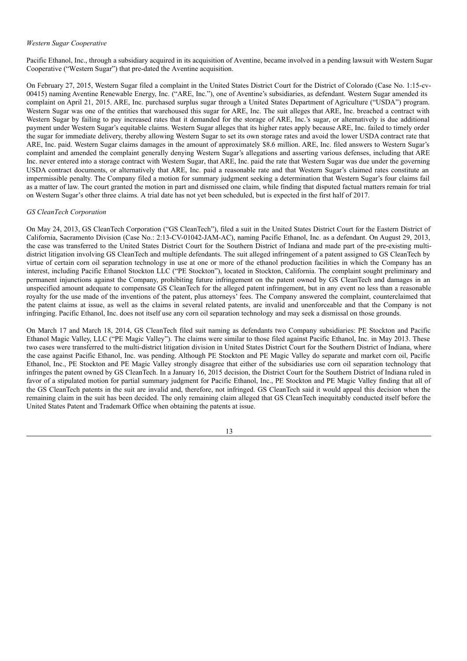### *Western Sugar Cooperative*

Pacific Ethanol, Inc., through a subsidiary acquired in its acquisition of Aventine, became involved in a pending lawsuit with Western Sugar Cooperative ("Western Sugar") that pre-dated the Aventine acquisition.

On February 27, 2015, Western Sugar filed a complaint in the United States District Court for the District of Colorado (Case No. 1:15-cv-00415) naming Aventine Renewable Energy, Inc. ("ARE, Inc."), one of Aventine's subsidiaries, as defendant. Western Sugar amended its complaint on April 21, 2015. ARE, Inc. purchased surplus sugar through a United States Department of Agriculture ("USDA") program. Western Sugar was one of the entities that warehoused this sugar for ARE, Inc. The suit alleges that ARE, Inc. breached a contract with Western Sugar by failing to pay increased rates that it demanded for the storage of ARE, Inc.'s sugar, or alternatively is due additional payment under Western Sugar's equitable claims. Western Sugar alleges that its higher rates apply because ARE, Inc. failed to timely order the sugar for immediate delivery, thereby allowing Western Sugar to set its own storage rates and avoid the lower USDA contract rate that ARE, Inc. paid. Western Sugar claims damages in the amount of approximately \$8.6 million. ARE, Inc. filed answers to Western Sugar's complaint and amended the complaint generally denying Western Sugar's allegations and asserting various defenses, including that ARE Inc. never entered into a storage contract with Western Sugar, that ARE, Inc. paid the rate that Western Sugar was due under the governing USDA contract documents, or alternatively that ARE, Inc. paid a reasonable rate and that Western Sugar's claimed rates constitute an impermissible penalty. The Company filed a motion for summary judgment seeking a determination that Western Sugar's four claims fail as a matter of law. The court granted the motion in part and dismissed one claim, while finding that disputed factual matters remain for trial on Western Sugar's other three claims. A trial date has not yet been scheduled, but is expected in the first half of 2017.

## *GS CleanTech Corporation*

On May 24, 2013, GS CleanTech Corporation ("GS CleanTech"), filed a suit in the United States District Court for the Eastern District of California, Sacramento Division (Case No.: 2:13-CV-01042-JAM-AC), naming Pacific Ethanol, Inc. as a defendant. On August 29, 2013, the case was transferred to the United States District Court for the Southern District of Indiana and made part of the pre-existing multidistrict litigation involving GS CleanTech and multiple defendants. The suit alleged infringement of a patent assigned to GS CleanTech by virtue of certain corn oil separation technology in use at one or more of the ethanol production facilities in which the Company has an interest, including Pacific Ethanol Stockton LLC ("PE Stockton"), located in Stockton, California. The complaint sought preliminary and permanent injunctions against the Company, prohibiting future infringement on the patent owned by GS CleanTech and damages in an unspecified amount adequate to compensate GS CleanTech for the alleged patent infringement, but in any event no less than a reasonable royalty for the use made of the inventions of the patent, plus attorneys' fees. The Company answered the complaint, counterclaimed that the patent claims at issue, as well as the claims in several related patents, are invalid and unenforceable and that the Company is not infringing. Pacific Ethanol, Inc. does not itself use any corn oil separation technology and may seek a dismissal on those grounds.

On March 17 and March 18, 2014, GS CleanTech filed suit naming as defendants two Company subsidiaries: PE Stockton and Pacific Ethanol Magic Valley, LLC ("PE Magic Valley"). The claims were similar to those filed against Pacific Ethanol, Inc. in May 2013. These two cases were transferred to the multi-district litigation division in United States District Court for the Southern District of Indiana, where the case against Pacific Ethanol, Inc. was pending. Although PE Stockton and PE Magic Valley do separate and market corn oil, Pacific Ethanol, Inc., PE Stockton and PE Magic Valley strongly disagree that either of the subsidiaries use corn oil separation technology that infringes the patent owned by GS CleanTech. In a January 16, 2015 decision, the District Court for the Southern District of Indiana ruled in favor of a stipulated motion for partial summary judgment for Pacific Ethanol, Inc., PE Stockton and PE Magic Valley finding that all of the GS CleanTech patents in the suit are invalid and, therefore, not infringed. GS CleanTech said it would appeal this decision when the remaining claim in the suit has been decided. The only remaining claim alleged that GS CleanTech inequitably conducted itself before the United States Patent and Trademark Office when obtaining the patents at issue.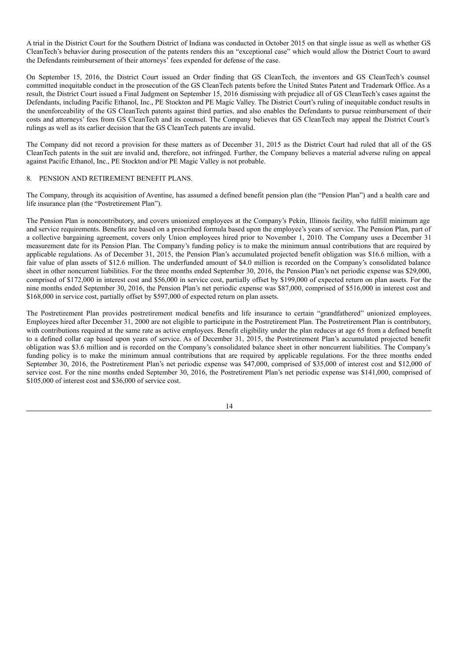A trial in the District Court for the Southern District of Indiana was conducted in October 2015 on that single issue as well as whether GS CleanTech's behavior during prosecution of the patents renders this an "exceptional case" which would allow the District Court to award the Defendants reimbursement of their attorneys' fees expended for defense of the case.

On September 15, 2016, the District Court issued an Order finding that GS CleanTech, the inventors and GS CleanTech's counsel committed inequitable conduct in the prosecution of the GS CleanTech patents before the United States Patent and Trademark Office. As a result, the District Court issued a Final Judgment on September 15, 2016 dismissing with prejudice all of GS CleanTech's cases against the Defendants, including Pacific Ethanol, Inc., PE Stockton and PE Magic Valley. The District Court's ruling of inequitable conduct results in the unenforceability of the GS CleanTech patents against third parties, and also enables the Defendants to pursue reimbursement of their costs and attorneys' fees from GS CleanTech and its counsel. The Company believes that GS CleanTech may appeal the District Court's rulings as well as its earlier decision that the GS CleanTech patents are invalid.

The Company did not record a provision for these matters as of December 31, 2015 as the District Court had ruled that all of the GS CleanTech patents in the suit are invalid and, therefore, not infringed. Further, the Company believes a material adverse ruling on appeal against Pacific Ethanol, Inc., PE Stockton and/or PE Magic Valley is not probable.

### 8. PENSION AND RETIREMENT BENEFIT PLANS.

The Company, through its acquisition of Aventine, has assumed a defined benefit pension plan (the "Pension Plan") and a health care and life insurance plan (the "Postretirement Plan").

The Pension Plan is noncontributory, and covers unionized employees at the Company's Pekin, Illinois facility, who fulfill minimum age and service requirements. Benefits are based on a prescribed formula based upon the employee's years of service. The Pension Plan, part of a collective bargaining agreement, covers only Union employees hired prior to November 1, 2010. The Company uses a December 31 measurement date for its Pension Plan. The Company's funding policy is to make the minimum annual contributions that are required by applicable regulations. As of December 31, 2015, the Pension Plan's accumulated projected benefit obligation was \$16.6 million, with a fair value of plan assets of \$12.6 million. The underfunded amount of \$4.0 million is recorded on the Company's consolidated balance sheet in other noncurrent liabilities. For the three months ended September 30, 2016, the Pension Plan's net periodic expense was \$29,000, comprised of \$172,000 in interest cost and \$56,000 in service cost, partially offset by \$199,000 of expected return on plan assets. For the nine months ended September 30, 2016, the Pension Plan's net periodic expense was \$87,000, comprised of \$516,000 in interest cost and \$168,000 in service cost, partially offset by \$597,000 of expected return on plan assets.

The Postretirement Plan provides postretirement medical benefits and life insurance to certain "grandfathered" unionized employees. Employees hired after December 31, 2000 are not eligible to participate in the Postretirement Plan. The Postretirement Plan is contributory, with contributions required at the same rate as active employees. Benefit eligibility under the plan reduces at age 65 from a defined benefit to a defined collar cap based upon years of service. As of December 31, 2015, the Postretirement Plan's accumulated projected benefit obligation was \$3.6 million and is recorded on the Company's consolidated balance sheet in other noncurrent liabilities. The Company's funding policy is to make the minimum annual contributions that are required by applicable regulations. For the three months ended September 30, 2016, the Postretirement Plan's net periodic expense was \$47,000, comprised of \$35,000 of interest cost and \$12,000 of service cost. For the nine months ended September 30, 2016, the Postretirement Plan's net periodic expense was \$141,000, comprised of \$105,000 of interest cost and \$36,000 of service cost.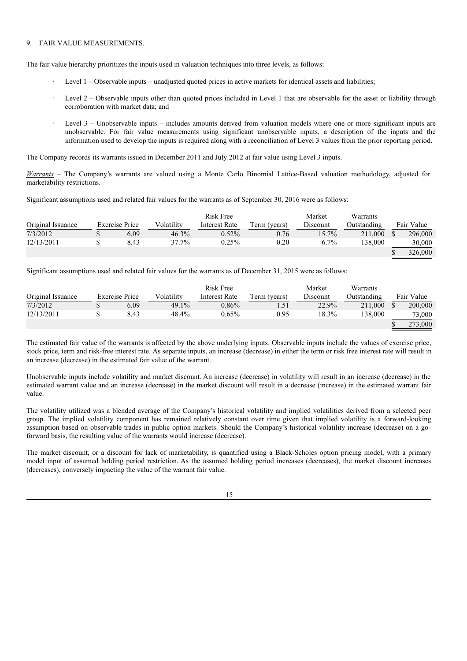#### 9. FAIR VALUE MEASUREMENTS.

The fair value hierarchy prioritizes the inputs used in valuation techniques into three levels, as follows:

- Level 1 Observable inputs unadjusted quoted prices in active markets for identical assets and liabilities;
- Level 2 Observable inputs other than quoted prices included in Level 1 that are observable for the asset or liability through corroboration with market data; and
- Level 3 Unobservable inputs includes amounts derived from valuation models where one or more significant inputs are unobservable. For fair value measurements using significant unobservable inputs, a description of the inputs and the information used to develop the inputs is required along with a reconciliation of Level 3 values from the prior reporting period.

The Company records its warrants issued in December 2011 and July 2012 at fair value using Level 3 inputs.

*Warrants* – The Company's warrants are valued using a Monte Carlo Binomial Lattice-Based valuation methodology, adjusted for marketability restrictions.

Significant assumptions used and related fair values for the warrants as of September 30, 2016 were as follows:

|                   |                       |            | Risk Free     |              | Market   | Warrants    |            |
|-------------------|-----------------------|------------|---------------|--------------|----------|-------------|------------|
| Original Issuance | <b>Exercise Price</b> | Volatilitv | Interest Rate | Term (years) | Discount | Outstanding | Fair Value |
| 7/3/2012          | 6.09                  | 46.3%      | $0.52\%$      | 0.76         | 15.7%    | 211,000     | 296,000    |
| 12/13/2011        | 8.43                  | 37.7%      | $0.25\%$      | 0.20         | 6.7%     | 138.000     | 30,000     |
|                   |                       |            |               |              |          |             | 326,000    |

Significant assumptions used and related fair values for the warrants as of December 31, 2015 were as follows:

|                   |                       |            | Risk Free     |              | Market   | Warrants    |            |
|-------------------|-----------------------|------------|---------------|--------------|----------|-------------|------------|
| Original Issuance | <b>Exercise Price</b> | Volatility | Interest Rate | Term (years) | Discount | Outstanding | Fair Value |
| 7/3/2012          | 6.09                  | $49.1\%$   | $0.86\%$      |              | 22.9%    | 211,000     | 200,000    |
| 12/13/2011        | 8.43                  | 48.4%      | $0.65\%$      | 0.95         | $18.3\%$ | 138,000     | 73,000     |
|                   |                       |            |               |              |          |             | 273,000    |

The estimated fair value of the warrants is affected by the above underlying inputs. Observable inputs include the values of exercise price, stock price, term and risk-free interest rate. As separate inputs, an increase (decrease) in either the term or risk free interest rate will result in an increase (decrease) in the estimated fair value of the warrant.

Unobservable inputs include volatility and market discount. An increase (decrease) in volatility will result in an increase (decrease) in the estimated warrant value and an increase (decrease) in the market discount will result in a decrease (increase) in the estimated warrant fair value.

The volatility utilized was a blended average of the Company's historical volatility and implied volatilities derived from a selected peer group. The implied volatility component has remained relatively constant over time given that implied volatility is a forward-looking assumption based on observable trades in public option markets. Should the Company's historical volatility increase (decrease) on a goforward basis, the resulting value of the warrants would increase (decrease).

The market discount, or a discount for lack of marketability, is quantified using a Black-Scholes option pricing model, with a primary model input of assumed holding period restriction. As the assumed holding period increases (decreases), the market discount increases (decreases), conversely impacting the value of the warrant fair value.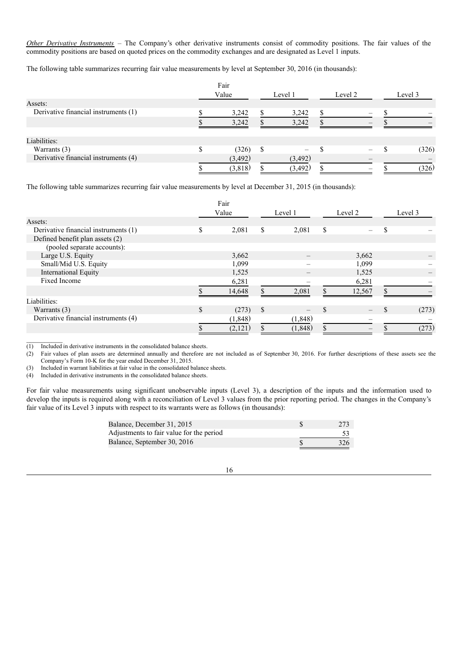*Other Derivative Instruments* – The Company's other derivative instruments consist of commodity positions. The fair values of the commodity positions are based on quoted prices on the commodity exchanges and are designated as Level 1 inputs.

The following table summarizes recurring fair value measurements by level at September 30, 2016 (in thousands):

|                                      |       | Fair     |   |          |         |                          |         |       |
|--------------------------------------|-------|----------|---|----------|---------|--------------------------|---------|-------|
|                                      | Value |          |   | Level 1  | Level 2 |                          | Level 3 |       |
| Assets:                              |       |          |   |          |         |                          |         |       |
| Derivative financial instruments (1) |       | 3,242    |   | 3,242    |         | $\overline{\phantom{m}}$ |         |       |
|                                      |       | 3,242    |   | 3,242    |         |                          |         |       |
| Liabilities:                         |       |          |   |          |         |                          |         |       |
| Warrants (3)                         |       | (326)    | D |          |         |                          |         | (326) |
| Derivative financial instruments (4) |       | (3, 492) |   | (3, 492) |         |                          |         |       |
|                                      |       | (3,818)  |   | (3, 492) |         | $\overline{\phantom{a}}$ |         | (326) |

The following table summarizes recurring fair value measurements by level at December 31, 2015 (in thousands):

|                                      |     | Fair     |    |          |     |         |     |         |
|--------------------------------------|-----|----------|----|----------|-----|---------|-----|---------|
|                                      |     | Value    |    | Level 1  |     | Level 2 |     | Level 3 |
| Assets:                              |     |          |    |          |     |         |     |         |
| Derivative financial instruments (1) | \$  | 2,081    | \$ | 2,081    | \$  |         | \$  |         |
| Defined benefit plan assets (2)      |     |          |    |          |     |         |     |         |
| (pooled separate accounts):          |     |          |    |          |     |         |     |         |
| Large U.S. Equity                    |     | 3,662    |    |          |     | 3,662   |     |         |
| Small/Mid U.S. Equity                |     | 1,099    |    |          |     | 1,099   |     |         |
| <b>International Equity</b>          |     | 1,525    |    |          |     | 1,525   |     |         |
| Fixed Income                         |     | 6,281    |    |          |     | 6,281   |     |         |
|                                      |     | 14,648   |    | 2,081    |     | 12,567  | \$. |         |
| Liabilities:                         |     |          |    |          |     |         |     |         |
| Warrants $(3)$                       | \$. | (273)    | S  |          | \$. |         | S   | (273)   |
| Derivative financial instruments (4) |     | (1, 848) |    | (1, 848) |     |         |     |         |
|                                      |     | (2,121)  |    | (1, 848) | ¢   |         |     | (273)   |

(1) Included in derivative instruments in the consolidated balance sheets.

(2) Fair values of plan assets are determined annually and therefore are not included as of September 30, 2016. For further descriptions of these assets see the Company's Form 10-K for the year ended December 31, 2015.

(3) Included in warrant liabilities at fair value in the consolidated balance sheets.

(4) Included in derivative instruments in the consolidated balance sheets.

For fair value measurements using significant unobservable inputs (Level 3), a description of the inputs and the information used to develop the inputs is required along with a reconciliation of Level 3 values from the prior reporting period. The changes in the Company's fair value of its Level 3 inputs with respect to its warrants were as follows (in thousands):

| Balance, December 31, 2015               | 273 |
|------------------------------------------|-----|
| Adjustments to fair value for the period |     |
| Balance, September 30, 2016              | 326 |

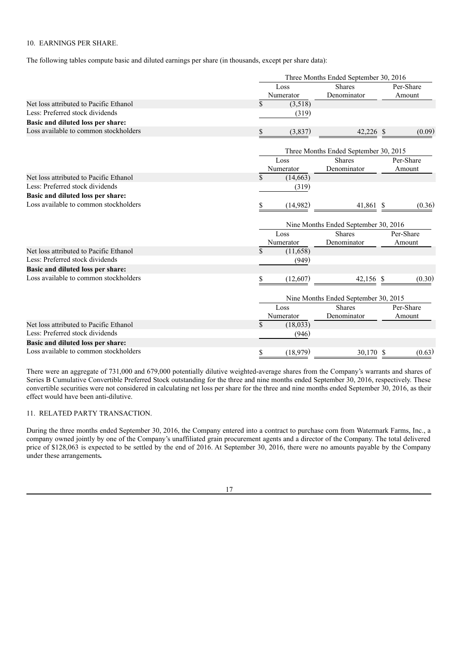## 10. EARNINGS PER SHARE.

The following tables compute basic and diluted earnings per share (in thousands, except per share data):

|                                        |               |           | Three Months Ended September 30, 2016 |           |
|----------------------------------------|---------------|-----------|---------------------------------------|-----------|
|                                        |               | Loss      | <b>Shares</b>                         | Per-Share |
|                                        |               | Numerator | Denominator                           | Amount    |
| Net loss attributed to Pacific Ethanol | $\mathcal{S}$ | (3,518)   |                                       |           |
| Less: Preferred stock dividends        |               | (319)     |                                       |           |
| Basic and diluted loss per share:      |               |           |                                       |           |
| Loss available to common stockholders  |               | (3,837)   | 42,226 \$                             | (0.09)    |
|                                        |               |           |                                       |           |
|                                        |               |           | Three Months Ended September 30, 2015 |           |
|                                        |               | Loss      | <b>Shares</b>                         | Per-Share |
|                                        |               | Numerator | Denominator                           | Amount    |
| Net loss attributed to Pacific Ethanol | \$            | (14, 663) |                                       |           |
| Less: Preferred stock dividends        |               | (319)     |                                       |           |
| Basic and diluted loss per share:      |               |           |                                       |           |
| Loss available to common stockholders  |               | (14,982)  | 41,861 \$                             | (0.36)    |
|                                        |               |           | Nine Months Ended September 30, 2016  |           |
|                                        |               | Loss      | <b>Shares</b>                         | Per-Share |
|                                        |               | Numerator | Denominator                           | Amount    |
| Net loss attributed to Pacific Ethanol | $\mathcal{S}$ | (11,658)  |                                       |           |
| Less: Preferred stock dividends        |               | (949)     |                                       |           |
| Basic and diluted loss per share:      |               |           |                                       |           |
| Loss available to common stockholders  | S             | (12,607)  | 42,156 \$                             | (0.30)    |
|                                        |               |           | Nine Months Ended September 30, 2015  |           |
|                                        |               | Loss      | <b>Shares</b>                         | Per-Share |
|                                        |               | Numerator | Denominator                           | Amount    |
| Net loss attributed to Pacific Ethanol | \$.           | (18,033)  |                                       |           |
| Less: Preferred stock dividends        |               | (946)     |                                       |           |
| Basic and diluted loss per share:      |               |           |                                       |           |
| Loss available to common stockholders  | \$            | (18,979)  | 30.170 \$                             | (0.63)    |

There were an aggregate of 731,000 and 679,000 potentially dilutive weighted-average shares from the Company's warrants and shares of Series B Cumulative Convertible Preferred Stock outstanding for the three and nine months ended September 30, 2016, respectively. These convertible securities were not considered in calculating net loss per share for the three and nine months ended September 30, 2016, as their effect would have been anti-dilutive.

## 11. RELATED PARTY TRANSACTION.

During the three months ended September 30, 2016, the Company entered into a contract to purchase corn from Watermark Farms, Inc., a company owned jointly by one of the Company's unaffiliated grain procurement agents and a director of the Company. The total delivered price of \$128,063 is expected to be settled by the end of 2016. At September 30, 2016, there were no amounts payable by the Company under these arrangements**.**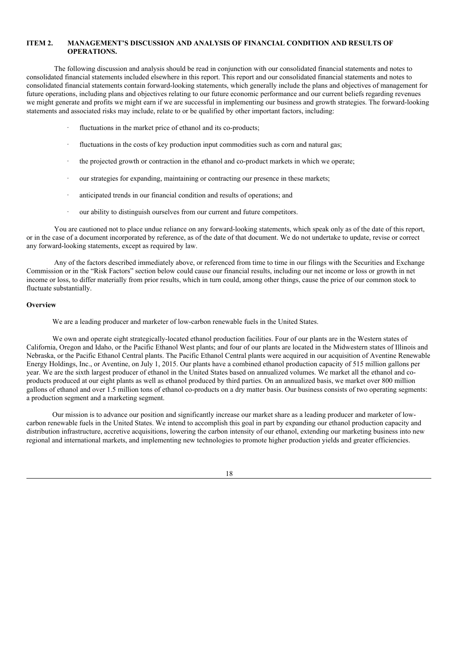## **ITEM 2. MANAGEMENT'S DISCUSSION AND ANALYSIS OF FINANCIAL CONDITION AND RESULTS OF OPERATIONS.**

The following discussion and analysis should be read in conjunction with our consolidated financial statements and notes to consolidated financial statements included elsewhere in this report. This report and our consolidated financial statements and notes to consolidated financial statements contain forward-looking statements, which generally include the plans and objectives of management for future operations, including plans and objectives relating to our future economic performance and our current beliefs regarding revenues we might generate and profits we might earn if we are successful in implementing our business and growth strategies. The forward-looking statements and associated risks may include, relate to or be qualified by other important factors, including:

- fluctuations in the market price of ethanol and its co-products;
- fluctuations in the costs of key production input commodities such as corn and natural gas;
- · the projected growth or contraction in the ethanol and co-product markets in which we operate;
- our strategies for expanding, maintaining or contracting our presence in these markets;
- anticipated trends in our financial condition and results of operations; and
- our ability to distinguish ourselves from our current and future competitors.

You are cautioned not to place undue reliance on any forward-looking statements, which speak only as of the date of this report, or in the case of a document incorporated by reference, as of the date of that document. We do not undertake to update, revise or correct any forward-looking statements, except as required by law.

Any of the factors described immediately above, or referenced from time to time in our filings with the Securities and Exchange Commission or in the "Risk Factors" section below could cause our financial results, including our net income or loss or growth in net income or loss, to differ materially from prior results, which in turn could, among other things, cause the price of our common stock to fluctuate substantially.

## **Overview**

We are a leading producer and marketer of low-carbon renewable fuels in the United States.

We own and operate eight strategically-located ethanol production facilities. Four of our plants are in the Western states of California, Oregon and Idaho, or the Pacific Ethanol West plants; and four of our plants are located in the Midwestern states of Illinois and Nebraska, or the Pacific Ethanol Central plants. The Pacific Ethanol Central plants were acquired in our acquisition of Aventine Renewable Energy Holdings, Inc., or Aventine, on July 1, 2015. Our plants have a combined ethanol production capacity of 515 million gallons per year. We are the sixth largest producer of ethanol in the United States based on annualized volumes. We market all the ethanol and coproducts produced at our eight plants as well as ethanol produced by third parties. On an annualized basis, we market over 800 million gallons of ethanol and over 1.5 million tons of ethanol co-products on a dry matter basis. Our business consists of two operating segments: a production segment and a marketing segment.

Our mission is to advance our position and significantly increase our market share as a leading producer and marketer of lowcarbon renewable fuels in the United States. We intend to accomplish this goal in part by expanding our ethanol production capacity and distribution infrastructure, accretive acquisitions, lowering the carbon intensity of our ethanol, extending our marketing business into new regional and international markets, and implementing new technologies to promote higher production yields and greater efficiencies.

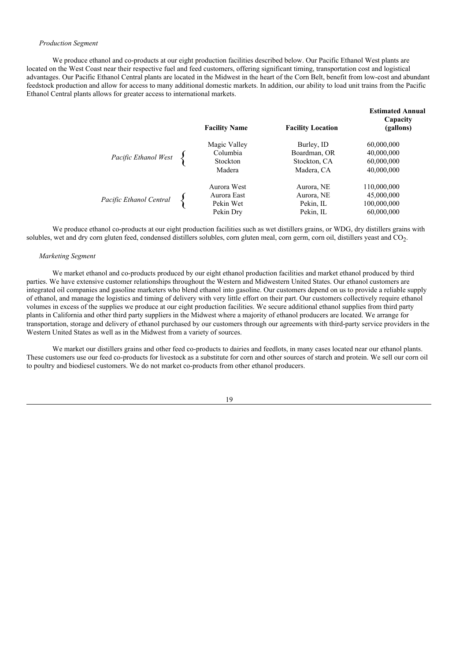#### *Production Segment*

We produce ethanol and co-products at our eight production facilities described below. Our Pacific Ethanol West plants are located on the West Coast near their respective fuel and feed customers, offering significant timing, transportation cost and logistical advantages. Our Pacific Ethanol Central plants are located in the Midwest in the heart of the Corn Belt, benefit from low-cost and abundant feedstock production and allow for access to many additional domestic markets. In addition, our ability to load unit trains from the Pacific Ethanol Central plants allows for greater access to international markets.

|                                           | <b>Facility Name</b>                                 | <b>Facility Location</b>                                 | <b>Estimated Annual</b><br>Capacity<br>(gallons)       |
|-------------------------------------------|------------------------------------------------------|----------------------------------------------------------|--------------------------------------------------------|
| Pacific Ethanol West $\left\{$            | Magic Valley<br>Columbia<br>Stockton<br>Madera       | Burley, ID<br>Boardman, OR<br>Stockton, CA<br>Madera, CA | 60,000,000<br>40,000,000<br>60,000,000<br>40,000,000   |
| Pacific Ethanol Central $\left\{ \right.$ | Aurora West<br>Aurora East<br>Pekin Wet<br>Pekin Dry | Aurora, NE<br>Aurora, NE<br>Pekin, IL<br>Pekin, IL       | 110,000,000<br>45,000,000<br>100,000,000<br>60,000,000 |

We produce ethanol co-products at our eight production facilities such as wet distillers grains, or WDG, dry distillers grains with solubles, wet and dry corn gluten feed, condensed distillers solubles, corn gluten meal, corn germ, corn oil, distillers yeast and  $\text{CO}_2$ .

## *Marketing Segment*

We market ethanol and co-products produced by our eight ethanol production facilities and market ethanol produced by third parties. We have extensive customer relationships throughout the Western and Midwestern United States. Our ethanol customers are integrated oil companies and gasoline marketers who blend ethanol into gasoline. Our customers depend on us to provide a reliable supply of ethanol, and manage the logistics and timing of delivery with very little effort on their part. Our customers collectively require ethanol volumes in excess of the supplies we produce at our eight production facilities. We secure additional ethanol supplies from third party plants in California and other third party suppliers in the Midwest where a majority of ethanol producers are located. We arrange for transportation, storage and delivery of ethanol purchased by our customers through our agreements with third-party service providers in the Western United States as well as in the Midwest from a variety of sources.

We market our distillers grains and other feed co-products to dairies and feedlots, in many cases located near our ethanol plants. These customers use our feed co-products for livestock as a substitute for corn and other sources of starch and protein. We sell our corn oil to poultry and biodiesel customers. We do not market co-products from other ethanol producers.

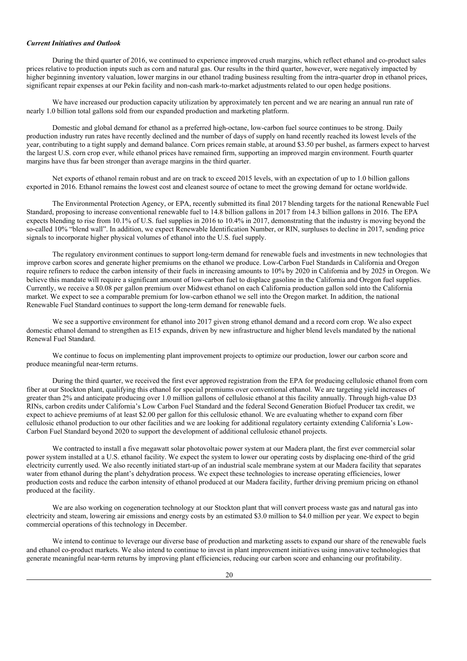#### *Current Initiatives and Outlook*

During the third quarter of 2016, we continued to experience improved crush margins, which reflect ethanol and co-product sales prices relative to production inputs such as corn and natural gas. Our results in the third quarter, however, were negatively impacted by higher beginning inventory valuation, lower margins in our ethanol trading business resulting from the intra-quarter drop in ethanol prices, significant repair expenses at our Pekin facility and non-cash mark-to-market adjustments related to our open hedge positions.

We have increased our production capacity utilization by approximately ten percent and we are nearing an annual run rate of nearly 1.0 billion total gallons sold from our expanded production and marketing platform.

Domestic and global demand for ethanol as a preferred high-octane, low-carbon fuel source continues to be strong. Daily production industry run rates have recently declined and the number of days of supply on hand recently reached its lowest levels of the year, contributing to a tight supply and demand balance. Corn prices remain stable, at around \$3.50 per bushel, as farmers expect to harvest the largest U.S. corn crop ever, while ethanol prices have remained firm, supporting an improved margin environment. Fourth quarter margins have thus far been stronger than average margins in the third quarter.

Net exports of ethanol remain robust and are on track to exceed 2015 levels, with an expectation of up to 1.0 billion gallons exported in 2016. Ethanol remains the lowest cost and cleanest source of octane to meet the growing demand for octane worldwide.

The Environmental Protection Agency, or EPA, recently submitted its final 2017 blending targets for the national Renewable Fuel Standard, proposing to increase conventional renewable fuel to 14.8 billion gallons in 2017 from 14.3 billion gallons in 2016. The EPA expects blending to rise from 10.1% of U.S. fuel supplies in 2016 to 10.4% in 2017, demonstrating that the industry is moving beyond the so-called 10% "blend wall". In addition, we expect Renewable Identification Number, or RIN, surpluses to decline in 2017, sending price signals to incorporate higher physical volumes of ethanol into the U.S. fuel supply.

The regulatory environment continues to support long-term demand for renewable fuels and investments in new technologies that improve carbon scores and generate higher premiums on the ethanol we produce. Low-Carbon Fuel Standards in California and Oregon require refiners to reduce the carbon intensity of their fuels in increasing amounts to 10% by 2020 in California and by 2025 in Oregon. We believe this mandate will require a significant amount of low-carbon fuel to displace gasoline in the California and Oregon fuel supplies. Currently, we receive a \$0.08 per gallon premium over Midwest ethanol on each California production gallon sold into the California market. We expect to see a comparable premium for low-carbon ethanol we sell into the Oregon market. In addition, the national Renewable Fuel Standard continues to support the long-term demand for renewable fuels.

We see a supportive environment for ethanol into 2017 given strong ethanol demand and a record corn crop. We also expect domestic ethanol demand to strengthen as E15 expands, driven by new infrastructure and higher blend levels mandated by the national Renewal Fuel Standard.

We continue to focus on implementing plant improvement projects to optimize our production, lower our carbon score and produce meaningful near-term returns.

During the third quarter, we received the first ever approved registration from the EPA for producing cellulosic ethanol from corn fiber at our Stockton plant, qualifying this ethanol for special premiums over conventional ethanol. We are targeting yield increases of greater than 2% and anticipate producing over 1.0 million gallons of cellulosic ethanol at this facility annually. Through high-value D3 RINs, carbon credits under California's Low Carbon Fuel Standard and the federal Second Generation Biofuel Producer tax credit, we expect to achieve premiums of at least \$2.00 per gallon for this cellulosic ethanol. We are evaluating whether to expand corn fiber cellulosic ethanol production to our other facilities and we are looking for additional regulatory certainty extending California's Low-Carbon Fuel Standard beyond 2020 to support the development of additional cellulosic ethanol projects.

We contracted to install a five megawatt solar photovoltaic power system at our Madera plant, the first ever commercial solar power system installed at a U.S. ethanol facility. We expect the system to lower our operating costs by displacing one-third of the grid electricity currently used. We also recently initiated start-up of an industrial scale membrane system at our Madera facility that separates water from ethanol during the plant's dehydration process. We expect these technologies to increase operating efficiencies, lower production costs and reduce the carbon intensity of ethanol produced at our Madera facility, further driving premium pricing on ethanol produced at the facility.

We are also working on cogeneration technology at our Stockton plant that will convert process waste gas and natural gas into electricity and steam, lowering air emissions and energy costs by an estimated \$3.0 million to \$4.0 million per year. We expect to begin commercial operations of this technology in December.

We intend to continue to leverage our diverse base of production and marketing assets to expand our share of the renewable fuels and ethanol co-product markets. We also intend to continue to invest in plant improvement initiatives using innovative technologies that generate meaningful near-term returns by improving plant efficiencies, reducing our carbon score and enhancing our profitability.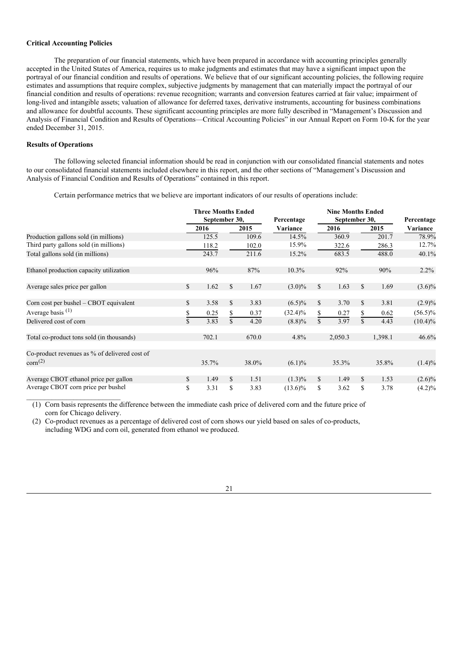## **Critical Accounting Policies**

The preparation of our financial statements, which have been prepared in accordance with accounting principles generally accepted in the United States of America, requires us to make judgments and estimates that may have a significant impact upon the portrayal of our financial condition and results of operations. We believe that of our significant accounting policies, the following require estimates and assumptions that require complex, subjective judgments by management that can materially impact the portrayal of our financial condition and results of operations: revenue recognition; warrants and conversion features carried at fair value; impairment of long-lived and intangible assets; valuation of allowance for deferred taxes, derivative instruments, accounting for business combinations and allowance for doubtful accounts. These significant accounting principles are more fully described in "Management's Discussion and Analysis of Financial Condition and Results of Operations—Critical Accounting Policies" in our Annual Report on Form 10-K for the year ended December 31, 2015.

## **Results of Operations**

The following selected financial information should be read in conjunction with our consolidated financial statements and notes to our consolidated financial statements included elsewhere in this report, and the other sections of "Management's Discussion and Analysis of Financial Condition and Results of Operations" contained in this report.

Certain performance metrics that we believe are important indicators of our results of operations include:

|                                                                      | <b>Three Months Ended</b><br>September 30, |               |       | Percentage |               | <b>Nine Months Ended</b><br>September 30, | Percentage |         |            |
|----------------------------------------------------------------------|--------------------------------------------|---------------|-------|------------|---------------|-------------------------------------------|------------|---------|------------|
|                                                                      | 2016                                       |               | 2015  | Variance   |               | 2016                                      |            | 2015    | Variance   |
| Production gallons sold (in millions)                                | 125.5                                      |               | 109.6 | 14.5%      |               | 360.9                                     |            | 201.7   | 78.9%      |
| Third party gallons sold (in millions)                               | 118.2                                      |               | 102.0 | 15.9%      |               | 322.6                                     |            | 286.3   | 12.7%      |
| Total gallons sold (in millions)                                     | 243.7                                      |               | 211.6 | 15.2%      |               | 683.5                                     |            | 488.0   | 40.1%      |
| Ethanol production capacity utilization                              | 96%                                        |               | 87%   | $10.3\%$   |               | 92%                                       |            | 90%     | $2.2\%$    |
| Average sales price per gallon                                       | \$<br>1.62                                 | <sup>\$</sup> | 1.67  | $(3.0)\%$  | \$            | 1.63                                      | S          | 1.69    | $(3.6)\%$  |
| Corn cost per bushel $-$ CBOT equivalent                             | \$<br>3.58                                 | <sup>\$</sup> | 3.83  | $(6.5)\%$  | $\mathbb{S}$  | 3.70                                      | \$         | 3.81    | $(2.9)\%$  |
| Average basis <sup>(1)</sup>                                         | \$<br>0.25                                 | S.            | 0.37  | $(32.4)\%$ | \$.           | 0.27                                      | S          | 0.62    | $(56.5)\%$ |
| Delivered cost of corn                                               | \$<br>3.83                                 | $\mathcal{S}$ | 4.20  | $(8.8)\%$  | \$            | 3.97                                      | \$         | 4.43    | $(10.4)\%$ |
| Total co-product tons sold (in thousands)                            | 702.1                                      |               | 670.0 | 4.8%       |               | 2,050.3                                   |            | 1,398.1 | 46.6%      |
| Co-product revenues as % of delivered cost of<br>$\text{corn}^{(2)}$ | 35.7%                                      |               | 38.0% | $(6.1)\%$  |               | 35.3%                                     |            | 35.8%   | $(1.4)\%$  |
|                                                                      |                                            |               |       |            |               |                                           |            |         |            |
| Average CBOT ethanol price per gallon                                | \$<br>1.49                                 | S.            | 1.51  | $(1.3)\%$  | <sup>\$</sup> | 1.49                                      | \$         | 1.53    | $(2.6)\%$  |
| Average CBOT corn price per bushel                                   | \$<br>3.31                                 | \$            | 3.83  | $(13.6)\%$ | \$            | 3.62                                      | \$         | 3.78    | $(4.2)\%$  |

(1) Corn basis represents the difference between the immediate cash price of delivered corn and the future price of corn for Chicago delivery.

(2) Co-product revenues as a percentage of delivered cost of corn shows our yield based on sales of co-products, including WDG and corn oil, generated from ethanol we produced.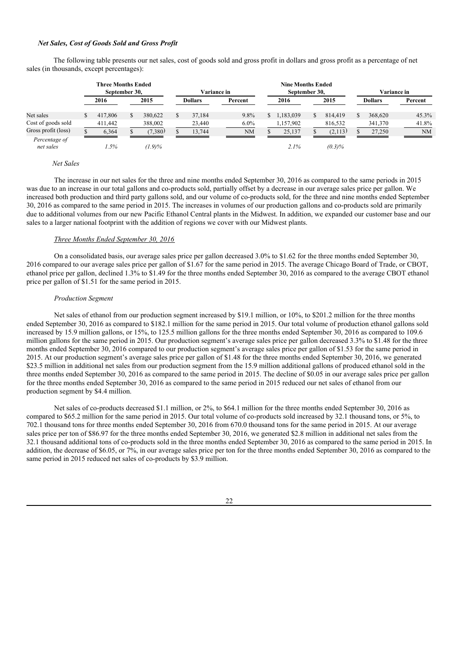#### *Net Sales, Cost of Goods Sold and Gross Profit*

The following table presents our net sales, cost of goods sold and gross profit in dollars and gross profit as a percentage of net sales (in thousands, except percentages):

|                            | <b>Three Months Ended</b><br>September 30, |  |           | Variance in |                |           |      |           | <b>Nine Months Ended</b><br>Variance in<br>September 30, |           |                |         |           |
|----------------------------|--------------------------------------------|--|-----------|-------------|----------------|-----------|------|-----------|----------------------------------------------------------|-----------|----------------|---------|-----------|
|                            | 2016                                       |  | 2015      |             | <b>Dollars</b> | Percent   | 2016 |           | 2015                                                     |           | <b>Dollars</b> |         | Percent   |
| Net sales                  | 417,806                                    |  | 380,622   |             | 37.184         | $9.8\%$   |      | ,183,039  |                                                          | 814,419   |                | 368,620 | 45.3%     |
| Cost of goods sold         | 411.442                                    |  | 388,002   |             | 23,440         | $6.0\%$   |      | 1,157,902 |                                                          | 816,532   |                | 341,370 | 41.8%     |
| Gross profit (loss)        | 6,364                                      |  | (7,380)   |             | 13,744         | <b>NM</b> |      | 25,137    |                                                          | (2,113)   |                | 27,250  | <b>NM</b> |
| Percentage of<br>net sales | 1.5%                                       |  | $(1.9)\%$ |             |                |           |      | 2.1%      |                                                          | $(0.3)\%$ |                |         |           |

### *Net Sales*

The increase in our net sales for the three and nine months ended September 30, 2016 as compared to the same periods in 2015 was due to an increase in our total gallons and co-products sold, partially offset by a decrease in our average sales price per gallon. We increased both production and third party gallons sold, and our volume of co-products sold, for the three and nine months ended September 30, 2016 as compared to the same period in 2015. The increases in volumes of our production gallons and co-products sold are primarily due to additional volumes from our new Pacific Ethanol Central plants in the Midwest. In addition, we expanded our customer base and our sales to a larger national footprint with the addition of regions we cover with our Midwest plants.

#### *Three Months Ended September 30, 2016*

On a consolidated basis, our average sales price per gallon decreased 3.0% to \$1.62 for the three months ended September 30, 2016 compared to our average sales price per gallon of \$1.67 for the same period in 2015. The average Chicago Board of Trade, or CBOT, ethanol price per gallon, declined 1.3% to \$1.49 for the three months ended September 30, 2016 as compared to the average CBOT ethanol price per gallon of \$1.51 for the same period in 2015.

#### *Production Segment*

Net sales of ethanol from our production segment increased by \$19.1 million, or 10%, to \$201.2 million for the three months ended September 30, 2016 as compared to \$182.1 million for the same period in 2015. Our total volume of production ethanol gallons sold increased by 15.9 million gallons, or 15%, to 125.5 million gallons for the three months ended September 30, 2016 as compared to 109.6 million gallons for the same period in 2015. Our production segment's average sales price per gallon decreased 3.3% to \$1.48 for the three months ended September 30, 2016 compared to our production segment's average sales price per gallon of \$1.53 for the same period in 2015. At our production segment's average sales price per gallon of \$1.48 for the three months ended September 30, 2016, we generated \$23.5 million in additional net sales from our production segment from the 15.9 million additional gallons of produced ethanol sold in the three months ended September 30, 2016 as compared to the same period in 2015. The decline of \$0.05 in our average sales price per gallon for the three months ended September 30, 2016 as compared to the same period in 2015 reduced our net sales of ethanol from our production segment by \$4.4 million.

Net sales of co-products decreased \$1.1 million, or 2%, to \$64.1 million for the three months ended September 30, 2016 as compared to \$65.2 million for the same period in 2015. Our total volume of co-products sold increased by 32.1 thousand tons, or 5%, to 702.1 thousand tons for three months ended September 30, 2016 from 670.0 thousand tons for the same period in 2015. At our average sales price per ton of \$86.97 for the three months ended September 30, 2016, we generated \$2.8 million in additional net sales from the 32.1 thousand additional tons of co-products sold in the three months ended September 30, 2016 as compared to the same period in 2015. In addition, the decrease of \$6.05, or 7%, in our average sales price per ton for the three months ended September 30, 2016 as compared to the same period in 2015 reduced net sales of co-products by \$3.9 million.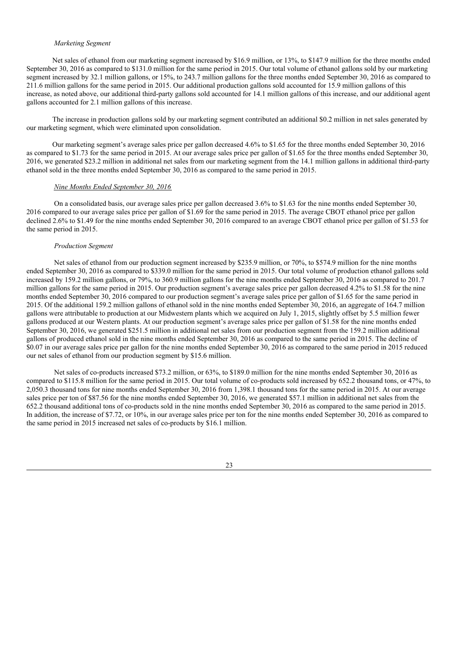#### *Marketing Segment*

Net sales of ethanol from our marketing segment increased by \$16.9 million, or 13%, to \$147.9 million for the three months ended September 30, 2016 as compared to \$131.0 million for the same period in 2015. Our total volume of ethanol gallons sold by our marketing segment increased by 32.1 million gallons, or 15%, to 243.7 million gallons for the three months ended September 30, 2016 as compared to 211.6 million gallons for the same period in 2015. Our additional production gallons sold accounted for 15.9 million gallons of this increase, as noted above, our additional third-party gallons sold accounted for 14.1 million gallons of this increase, and our additional agent gallons accounted for 2.1 million gallons of this increase.

The increase in production gallons sold by our marketing segment contributed an additional \$0.2 million in net sales generated by our marketing segment, which were eliminated upon consolidation.

Our marketing segment's average sales price per gallon decreased 4.6% to \$1.65 for the three months ended September 30, 2016 as compared to \$1.73 for the same period in 2015. At our average sales price per gallon of \$1.65 for the three months ended September 30, 2016, we generated \$23.2 million in additional net sales from our marketing segment from the 14.1 million gallons in additional third-party ethanol sold in the three months ended September 30, 2016 as compared to the same period in 2015.

#### *Nine Months Ended September 30, 2016*

On a consolidated basis, our average sales price per gallon decreased 3.6% to \$1.63 for the nine months ended September 30, 2016 compared to our average sales price per gallon of \$1.69 for the same period in 2015. The average CBOT ethanol price per gallon declined 2.6% to \$1.49 for the nine months ended September 30, 2016 compared to an average CBOT ethanol price per gallon of \$1.53 for the same period in 2015.

## *Production Segment*

Net sales of ethanol from our production segment increased by \$235.9 million, or 70%, to \$574.9 million for the nine months ended September 30, 2016 as compared to \$339.0 million for the same period in 2015. Our total volume of production ethanol gallons sold increased by 159.2 million gallons, or 79%, to 360.9 million gallons for the nine months ended September 30, 2016 as compared to 201.7 million gallons for the same period in 2015. Our production segment's average sales price per gallon decreased 4.2% to \$1.58 for the nine months ended September 30, 2016 compared to our production segment's average sales price per gallon of \$1.65 for the same period in 2015. Of the additional 159.2 million gallons of ethanol sold in the nine months ended September 30, 2016, an aggregate of 164.7 million gallons were attributable to production at our Midwestern plants which we acquired on July 1, 2015, slightly offset by 5.5 million fewer gallons produced at our Western plants. At our production segment's average sales price per gallon of \$1.58 for the nine months ended September 30, 2016, we generated \$251.5 million in additional net sales from our production segment from the 159.2 million additional gallons of produced ethanol sold in the nine months ended September 30, 2016 as compared to the same period in 2015. The decline of \$0.07 in our average sales price per gallon for the nine months ended September 30, 2016 as compared to the same period in 2015 reduced our net sales of ethanol from our production segment by \$15.6 million.

Net sales of co-products increased \$73.2 million, or 63%, to \$189.0 million for the nine months ended September 30, 2016 as compared to \$115.8 million for the same period in 2015. Our total volume of co-products sold increased by 652.2 thousand tons, or 47%, to 2,050.3 thousand tons for nine months ended September 30, 2016 from 1,398.1 thousand tons for the same period in 2015. At our average sales price per ton of \$87.56 for the nine months ended September 30, 2016, we generated \$57.1 million in additional net sales from the 652.2 thousand additional tons of co-products sold in the nine months ended September 30, 2016 as compared to the same period in 2015. In addition, the increase of \$7.72, or 10%, in our average sales price per ton for the nine months ended September 30, 2016 as compared to the same period in 2015 increased net sales of co-products by \$16.1 million.

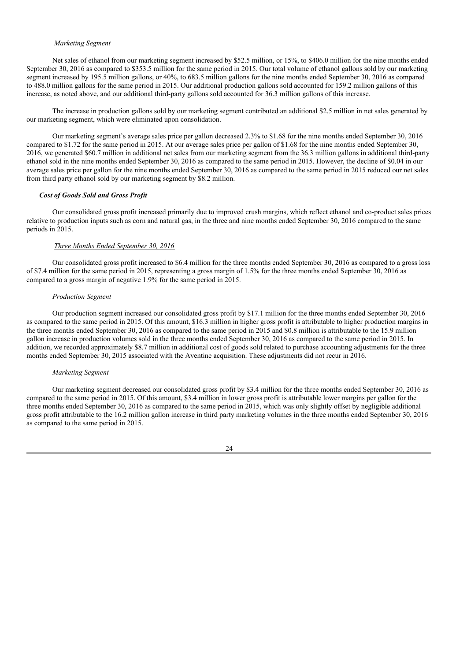#### *Marketing Segment*

Net sales of ethanol from our marketing segment increased by \$52.5 million, or 15%, to \$406.0 million for the nine months ended September 30, 2016 as compared to \$353.5 million for the same period in 2015. Our total volume of ethanol gallons sold by our marketing segment increased by 195.5 million gallons, or 40%, to 683.5 million gallons for the nine months ended September 30, 2016 as compared to 488.0 million gallons for the same period in 2015. Our additional production gallons sold accounted for 159.2 million gallons of this increase, as noted above, and our additional third-party gallons sold accounted for 36.3 million gallons of this increase.

The increase in production gallons sold by our marketing segment contributed an additional \$2.5 million in net sales generated by our marketing segment, which were eliminated upon consolidation.

Our marketing segment's average sales price per gallon decreased 2.3% to \$1.68 for the nine months ended September 30, 2016 compared to \$1.72 for the same period in 2015. At our average sales price per gallon of \$1.68 for the nine months ended September 30, 2016, we generated \$60.7 million in additional net sales from our marketing segment from the 36.3 million gallons in additional third-party ethanol sold in the nine months ended September 30, 2016 as compared to the same period in 2015. However, the decline of \$0.04 in our average sales price per gallon for the nine months ended September 30, 2016 as compared to the same period in 2015 reduced our net sales from third party ethanol sold by our marketing segment by \$8.2 million.

## *Cost of Goods Sold and Gross Profit*

Our consolidated gross profit increased primarily due to improved crush margins, which reflect ethanol and co-product sales prices relative to production inputs such as corn and natural gas, in the three and nine months ended September 30, 2016 compared to the same periods in 2015.

## *Three Months Ended September 30, 2016*

Our consolidated gross profit increased to \$6.4 million for the three months ended September 30, 2016 as compared to a gross loss of \$7.4 million for the same period in 2015, representing a gross margin of 1.5% for the three months ended September 30, 2016 as compared to a gross margin of negative 1.9% for the same period in 2015.

#### *Production Segment*

Our production segment increased our consolidated gross profit by \$17.1 million for the three months ended September 30, 2016 as compared to the same period in 2015. Of this amount, \$16.3 million in higher gross profit is attributable to higher production margins in the three months ended September 30, 2016 as compared to the same period in 2015 and \$0.8 million is attributable to the 15.9 million gallon increase in production volumes sold in the three months ended September 30, 2016 as compared to the same period in 2015. In addition, we recorded approximately \$8.7 million in additional cost of goods sold related to purchase accounting adjustments for the three months ended September 30, 2015 associated with the Aventine acquisition. These adjustments did not recur in 2016.

## *Marketing Segment*

Our marketing segment decreased our consolidated gross profit by \$3.4 million for the three months ended September 30, 2016 as compared to the same period in 2015. Of this amount, \$3.4 million in lower gross profit is attributable lower margins per gallon for the three months ended September 30, 2016 as compared to the same period in 2015, which was only slightly offset by negligible additional gross profit attributable to the 16.2 million gallon increase in third party marketing volumes in the three months ended September 30, 2016 as compared to the same period in 2015.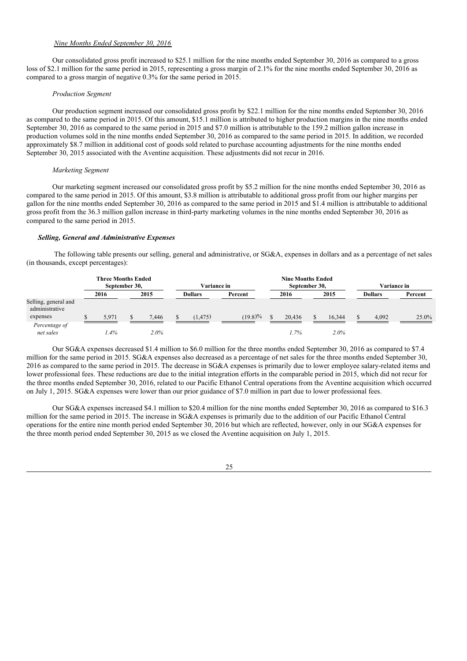## *Nine Months Ended September 30, 2016*

Our consolidated gross profit increased to \$25.1 million for the nine months ended September 30, 2016 as compared to a gross loss of \$2.1 million for the same period in 2015, representing a gross margin of 2.1% for the nine months ended September 30, 2016 as compared to a gross margin of negative 0.3% for the same period in 2015.

#### *Production Segment*

Our production segment increased our consolidated gross profit by \$22.1 million for the nine months ended September 30, 2016 as compared to the same period in 2015. Of this amount, \$15.1 million is attributed to higher production margins in the nine months ended September 30, 2016 as compared to the same period in 2015 and \$7.0 million is attributable to the 159.2 million gallon increase in production volumes sold in the nine months ended September 30, 2016 as compared to the same period in 2015. In addition, we recorded approximately \$8.7 million in additional cost of goods sold related to purchase accounting adjustments for the nine months ended September 30, 2015 associated with the Aventine acquisition. These adjustments did not recur in 2016.

### *Marketing Segment*

Our marketing segment increased our consolidated gross profit by \$5.2 million for the nine months ended September 30, 2016 as compared to the same period in 2015. Of this amount, \$3.8 million is attributable to additional gross profit from our higher margins per gallon for the nine months ended September 30, 2016 as compared to the same period in 2015 and \$1.4 million is attributable to additional gross profit from the 36.3 million gallon increase in third-party marketing volumes in the nine months ended September 30, 2016 as compared to the same period in 2015.

### *Selling, General and Administrative Expenses*

The following table presents our selling, general and administrative, or SG&A, expenses in dollars and as a percentage of net sales (in thousands, except percentages):

| <b>Three Months Ended</b><br>September 30, |  |       |  |         |  | Variance in    | <b>Nine Months Ended</b><br>Variance in<br>September 30, |      |         |      |         |                |       |          |  |
|--------------------------------------------|--|-------|--|---------|--|----------------|----------------------------------------------------------|------|---------|------|---------|----------------|-------|----------|--|
|                                            |  | 2016  |  | 2015    |  | <b>Dollars</b> | Percent                                                  | 2016 |         | 2015 |         | <b>Dollars</b> |       | Percent  |  |
| Selling, general and<br>administrative     |  |       |  |         |  |                |                                                          |      |         |      |         |                |       |          |  |
| expenses                                   |  | 5.971 |  | 7.446   |  | (1, 475)       | $(19.8)\%$                                               |      | 20.436  |      | 16.344  |                | 4,092 | $25.0\%$ |  |
| Percentage of<br>net sales                 |  | !.4%  |  | $2.0\%$ |  |                |                                                          |      | $1.7\%$ |      | $2.0\%$ |                |       |          |  |

Our SG&A expenses decreased \$1.4 million to \$6.0 million for the three months ended September 30, 2016 as compared to \$7.4 million for the same period in 2015. SG&A expenses also decreased as a percentage of net sales for the three months ended September 30, 2016 as compared to the same period in 2015. The decrease in SG&A expenses is primarily due to lower employee salary-related items and lower professional fees. These reductions are due to the initial integration efforts in the comparable period in 2015, which did not recur for the three months ended September 30, 2016, related to our Pacific Ethanol Central operations from the Aventine acquisition which occurred on July 1, 2015. SG&A expenses were lower than our prior guidance of \$7.0 million in part due to lower professional fees.

Our SG&A expenses increased \$4.1 million to \$20.4 million for the nine months ended September 30, 2016 as compared to \$16.3 million for the same period in 2015. The increase in SG&A expenses is primarily due to the addition of our Pacific Ethanol Central operations for the entire nine month period ended September 30, 2016 but which are reflected, however, only in our SG&A expenses for the three month period ended September 30, 2015 as we closed the Aventine acquisition on July 1, 2015.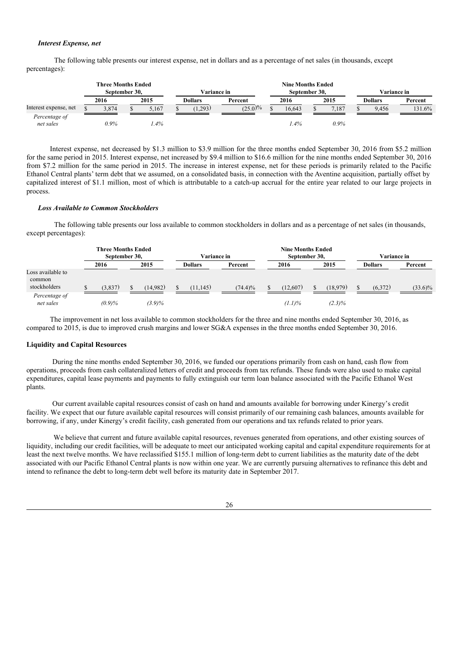#### *Interest Expense, net*

The following table presents our interest expense, net in dollars and as a percentage of net sales (in thousands, except percentages):

|                            | <b>Three Months Ended</b> | September 30, |       | Variance in |                |            |      |        | <b>Nine Months Ended</b><br>September 30. |         | Variance in    |       |         |  |
|----------------------------|---------------------------|---------------|-------|-------------|----------------|------------|------|--------|-------------------------------------------|---------|----------------|-------|---------|--|
|                            | 2016                      |               | 2015  |             | <b>Dollars</b> | Percent    | 2016 |        | 2015                                      |         | <b>Dollars</b> |       | Percent |  |
| Interest expense, net      | 3.874                     |               | 5.167 |             | (1,293)        | $(25.0)\%$ |      | 16.643 |                                           | 7.187   |                | 9.456 | 131.6%  |  |
| Percentage of<br>net sales | 0.9%                      |               | .4%   |             |                |            |      | $.4\%$ |                                           | $0.9\%$ |                |       |         |  |

Interest expense, net decreased by \$1.3 million to \$3.9 million for the three months ended September 30, 2016 from \$5.2 million for the same period in 2015. Interest expense, net increased by \$9.4 million to \$16.6 million for the nine months ended September 30, 2016 from \$7.2 million for the same period in 2015. The increase in interest expense, net for these periods is primarily related to the Pacific Ethanol Central plants' term debt that we assumed, on a consolidated basis, in connection with the Aventine acquisition, partially offset by capitalized interest of \$1.1 million, most of which is attributable to a catch-up accrual for the entire year related to our large projects in process.

#### *Loss Available to Common Stockholders*

The following table presents our loss available to common stockholders in dollars and as a percentage of net sales (in thousands, except percentages):

|                                             | <b>Three Months Ended</b><br>September 30. |           | Variance in |                |            |  | <b>Nine Months Ended</b><br>September 30. |           | <b>Variance in</b> |                |            |
|---------------------------------------------|--------------------------------------------|-----------|-------------|----------------|------------|--|-------------------------------------------|-----------|--------------------|----------------|------------|
|                                             | 2016                                       | 2015      |             | <b>Dollars</b> | Percent    |  | 2016                                      | 2015      |                    | <b>Dollars</b> | Percent    |
| Loss available to<br>common<br>stockholders | (3,837)                                    | (14.982)  |             | (11.145)       | $(74.4)\%$ |  | (12.607)                                  | (18.979)  |                    | (6,372)        | $(33.6)\%$ |
| Percentage of<br>net sales                  | $(0.9)\%$                                  | $(3.9)\%$ |             |                |            |  | $(1.1)\%$                                 | $(2.3)\%$ |                    |                |            |

The improvement in net loss available to common stockholders for the three and nine months ended September 30, 2016, as compared to 2015, is due to improved crush margins and lower SG&A expenses in the three months ended September 30, 2016.

#### **Liquidity and Capital Resources**

During the nine months ended September 30, 2016, we funded our operations primarily from cash on hand, cash flow from operations, proceeds from cash collateralized letters of credit and proceeds from tax refunds. These funds were also used to make capital expenditures, capital lease payments and payments to fully extinguish our term loan balance associated with the Pacific Ethanol West plants.

Our current available capital resources consist of cash on hand and amounts available for borrowing under Kinergy's credit facility. We expect that our future available capital resources will consist primarily of our remaining cash balances, amounts available for borrowing, if any, under Kinergy's credit facility, cash generated from our operations and tax refunds related to prior years.

We believe that current and future available capital resources, revenues generated from operations, and other existing sources of liquidity, including our credit facilities, will be adequate to meet our anticipated working capital and capital expenditure requirements for at least the next twelve months. We have reclassified \$155.1 million of long-term debt to current liabilities as the maturity date of the debt associated with our Pacific Ethanol Central plants is now within one year. We are currently pursuing alternatives to refinance this debt and intend to refinance the debt to long-term debt well before its maturity date in September 2017.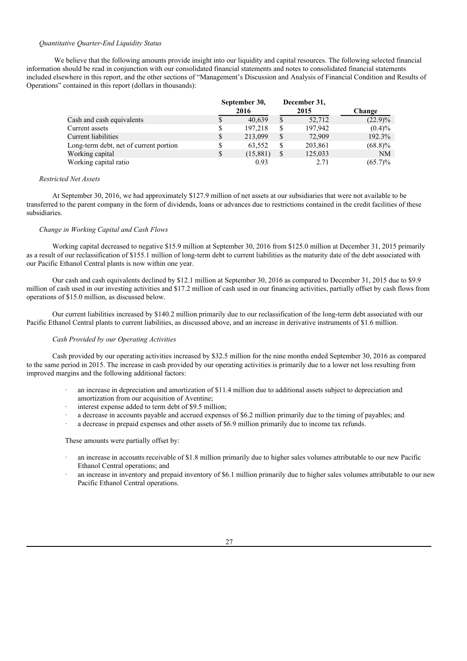#### *Quantitative Quarter-End Liquidity Status*

We believe that the following amounts provide insight into our liquidity and capital resources. The following selected financial information should be read in conjunction with our consolidated financial statements and notes to consolidated financial statements included elsewhere in this report, and the other sections of "Management's Discussion and Analysis of Financial Condition and Results of Operations" contained in this report (dollars in thousands):

|                                        |    | September 30,<br>2016 |              | December 31,<br>2015 | Change         |
|----------------------------------------|----|-----------------------|--------------|----------------------|----------------|
| Cash and cash equivalents              | S  | 40.639                | S            | 52,712               | $(22.9)\%$     |
| Current assets                         | \$ | 197.218               | S            | 197,942              | $(0.4)\%$      |
| Current liabilities                    | \$ | 213,099               | <sup>S</sup> | 72,909               | 192.3%         |
| Long-term debt, net of current portion | \$ | 63,552                | S            | 203,861              | $(68.8)\%$     |
| Working capital                        | \$ | (15,881)              | S            | 125,033              | N <sub>M</sub> |
| Working capital ratio                  |    | 0.93                  |              | 2.71                 | $(65.7)\%$     |

## *Restricted Net Assets*

At September 30, 2016, we had approximately \$127.9 million of net assets at our subsidiaries that were not available to be transferred to the parent company in the form of dividends, loans or advances due to restrictions contained in the credit facilities of these subsidiaries.

## *Change in Working Capital and Cash Flows*

Working capital decreased to negative \$15.9 million at September 30, 2016 from \$125.0 million at December 31, 2015 primarily as a result of our reclassification of \$155.1 million of long-term debt to current liabilities as the maturity date of the debt associated with our Pacific Ethanol Central plants is now within one year.

Our cash and cash equivalents declined by \$12.1 million at September 30, 2016 as compared to December 31, 2015 due to \$9.9 million of cash used in our investing activities and \$17.2 million of cash used in our financing activities, partially offset by cash flows from operations of \$15.0 million, as discussed below.

Our current liabilities increased by \$140.2 million primarily due to our reclassification of the long-term debt associated with our Pacific Ethanol Central plants to current liabilities, as discussed above, and an increase in derivative instruments of \$1.6 million.

## *Cash Provided by our Operating Activities*

Cash provided by our operating activities increased by \$32.5 million for the nine months ended September 30, 2016 as compared to the same period in 2015. The increase in cash provided by our operating activities is primarily due to a lower net loss resulting from improved margins and the following additional factors:

- · an increase in depreciation and amortization of \$11.4 million due to additional assets subject to depreciation and amortization from our acquisition of Aventine;
- interest expense added to term debt of \$9.5 million;
- a decrease in accounts payable and accrued expenses of \$6.2 million primarily due to the timing of payables; and
- a decrease in prepaid expenses and other assets of \$6.9 million primarily due to income tax refunds.

### These amounts were partially offset by:

- an increase in accounts receivable of \$1.8 million primarily due to higher sales volumes attributable to our new Pacific Ethanol Central operations; and
- an increase in inventory and prepaid inventory of \$6.1 million primarily due to higher sales volumes attributable to our new Pacific Ethanol Central operations.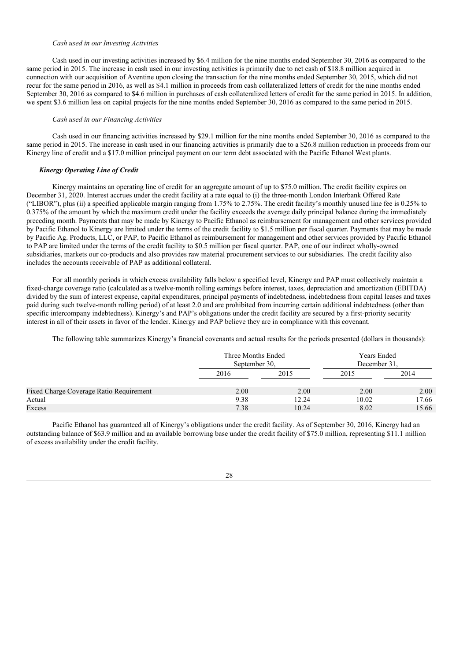#### *Cash used in our Investing Activities*

Cash used in our investing activities increased by \$6.4 million for the nine months ended September 30, 2016 as compared to the same period in 2015. The increase in cash used in our investing activities is primarily due to net cash of \$18.8 million acquired in connection with our acquisition of Aventine upon closing the transaction for the nine months ended September 30, 2015, which did not recur for the same period in 2016, as well as \$4.1 million in proceeds from cash collateralized letters of credit for the nine months ended September 30, 2016 as compared to \$4.6 million in purchases of cash collateralized letters of credit for the same period in 2015. In addition, we spent \$3.6 million less on capital projects for the nine months ended September 30, 2016 as compared to the same period in 2015.

## *Cash used in our Financing Activities*

Cash used in our financing activities increased by \$29.1 million for the nine months ended September 30, 2016 as compared to the same period in 2015. The increase in cash used in our financing activities is primarily due to a \$26.8 million reduction in proceeds from our Kinergy line of credit and a \$17.0 million principal payment on our term debt associated with the Pacific Ethanol West plants.

### *Kinergy Operating Line of Credit*

Kinergy maintains an operating line of credit for an aggregate amount of up to \$75.0 million. The credit facility expires on December 31, 2020. Interest accrues under the credit facility at a rate equal to (i) the three-month London Interbank Offered Rate ("LIBOR"), plus (ii) a specified applicable margin ranging from 1.75% to 2.75%. The credit facility's monthly unused line fee is 0.25% to 0.375% of the amount by which the maximum credit under the facility exceeds the average daily principal balance during the immediately preceding month. Payments that may be made by Kinergy to Pacific Ethanol as reimbursement for management and other services provided by Pacific Ethanol to Kinergy are limited under the terms of the credit facility to \$1.5 million per fiscal quarter. Payments that may be made by Pacific Ag. Products, LLC, or PAP, to Pacific Ethanol as reimbursement for management and other services provided by Pacific Ethanol to PAP are limited under the terms of the credit facility to \$0.5 million per fiscal quarter. PAP, one of our indirect wholly-owned subsidiaries, markets our co-products and also provides raw material procurement services to our subsidiaries. The credit facility also includes the accounts receivable of PAP as additional collateral.

For all monthly periods in which excess availability falls below a specified level, Kinergy and PAP must collectively maintain a fixed-charge coverage ratio (calculated as a twelve-month rolling earnings before interest, taxes, depreciation and amortization (EBITDA) divided by the sum of interest expense, capital expenditures, principal payments of indebtedness, indebtedness from capital leases and taxes paid during such twelve-month rolling period) of at least 2.0 and are prohibited from incurring certain additional indebtedness (other than specific intercompany indebtedness). Kinergy's and PAP's obligations under the credit facility are secured by a first-priority security interest in all of their assets in favor of the lender. Kinergy and PAP believe they are in compliance with this covenant.

The following table summarizes Kinergy's financial covenants and actual results for the periods presented (dollars in thousands):

|                                         | Three Months Ended<br>September 30. |       | Years Ended<br>December 31, |       |
|-----------------------------------------|-------------------------------------|-------|-----------------------------|-------|
|                                         | 2016                                | 2015  | 2015                        | 2014  |
| Fixed Charge Coverage Ratio Requirement | 2.00                                | 2.00  | 2.00                        | 2.00  |
| Actual                                  | 9.38                                | 12.24 | 10.02                       | 17.66 |
| Excess                                  | 7.38                                | 10.24 | 8.02                        | 15.66 |
|                                         |                                     |       |                             |       |

Pacific Ethanol has guaranteed all of Kinergy's obligations under the credit facility. As of September 30, 2016, Kinergy had an outstanding balance of \$63.9 million and an available borrowing base under the credit facility of \$75.0 million, representing \$11.1 million of excess availability under the credit facility.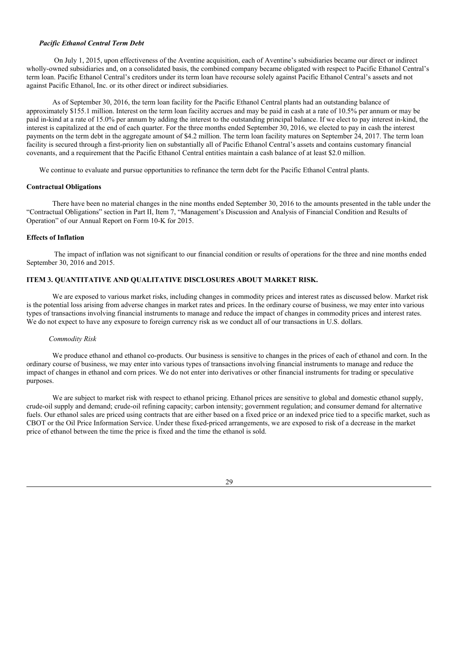#### *Pacific Ethanol Central Term Debt*

On July 1, 2015, upon effectiveness of the Aventine acquisition, each of Aventine's subsidiaries became our direct or indirect wholly-owned subsidiaries and, on a consolidated basis, the combined company became obligated with respect to Pacific Ethanol Central's term loan. Pacific Ethanol Central's creditors under its term loan have recourse solely against Pacific Ethanol Central's assets and not against Pacific Ethanol, Inc. or its other direct or indirect subsidiaries.

As of September 30, 2016, the term loan facility for the Pacific Ethanol Central plants had an outstanding balance of approximately \$155.1 million. Interest on the term loan facility accrues and may be paid in cash at a rate of 10.5% per annum or may be paid in-kind at a rate of 15.0% per annum by adding the interest to the outstanding principal balance. If we elect to pay interest in-kind, the interest is capitalized at the end of each quarter. For the three months ended September 30, 2016, we elected to pay in cash the interest payments on the term debt in the aggregate amount of \$4.2 million. The term loan facility matures on September 24, 2017. The term loan facility is secured through a first-priority lien on substantially all of Pacific Ethanol Central's assets and contains customary financial covenants, and a requirement that the Pacific Ethanol Central entities maintain a cash balance of at least \$2.0 million.

We continue to evaluate and pursue opportunities to refinance the term debt for the Pacific Ethanol Central plants.

### **Contractual Obligations**

There have been no material changes in the nine months ended September 30, 2016 to the amounts presented in the table under the "Contractual Obligations" section in Part II, Item 7, "Management's Discussion and Analysis of Financial Condition and Results of Operation" of our Annual Report on Form 10-K for 2015.

## **Effects of Inflation**

The impact of inflation was not significant to our financial condition or results of operations for the three and nine months ended September 30, 2016 and 2015.

## **ITEM 3. QUANTITATIVE AND QUALITATIVE DISCLOSURES ABOUT MARKET RISK.**

We are exposed to various market risks, including changes in commodity prices and interest rates as discussed below. Market risk is the potential loss arising from adverse changes in market rates and prices. In the ordinary course of business, we may enter into various types of transactions involving financial instruments to manage and reduce the impact of changes in commodity prices and interest rates. We do not expect to have any exposure to foreign currency risk as we conduct all of our transactions in U.S. dollars.

## *Commodity Risk*

We produce ethanol and ethanol co-products. Our business is sensitive to changes in the prices of each of ethanol and corn. In the ordinary course of business, we may enter into various types of transactions involving financial instruments to manage and reduce the impact of changes in ethanol and corn prices. We do not enter into derivatives or other financial instruments for trading or speculative purposes.

We are subject to market risk with respect to ethanol pricing. Ethanol prices are sensitive to global and domestic ethanol supply, crude-oil supply and demand; crude-oil refining capacity; carbon intensity; government regulation; and consumer demand for alternative fuels. Our ethanol sales are priced using contracts that are either based on a fixed price or an indexed price tied to a specific market, such as CBOT or the Oil Price Information Service. Under these fixed-priced arrangements, we are exposed to risk of a decrease in the market price of ethanol between the time the price is fixed and the time the ethanol is sold.

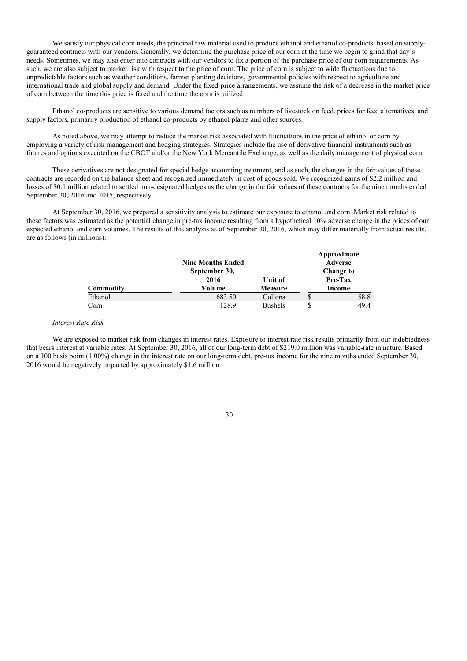We satisfy our physical corn needs, the principal raw material used to produce ethanol and ethanol co-products, based on supplyguaranteed contracts with our vendors. Generally, we determine the purchase price of our corn at the time we begin to grind that day's needs. Sometimes, we may also enter into contracts with our vendors to fix a portion of the purchase price of our corn requirements. As such, we are also subject to market risk with respect to the price of corn. The price of corn is subject to wide fluctuations due to unpredictable factors such as weather conditions, farmer planting decisions, governmental policies with respect to agriculture and international trade and global supply and demand. Under the fixed-price arrangements, we assume the risk of a decrease in the market price of corn between the time this price is fixed and the time the corn is utilized.

Ethanol co-products are sensitive to various demand factors such as numbers of livestock on feed, prices for feed alternatives, and supply factors, primarily production of ethanol co-products by ethanol plants and other sources.

As noted above, we may attempt to reduce the market risk associated with fluctuations in the price of ethanol or corn by employing a variety of risk management and hedging strategies. Strategies include the use of derivative financial instruments such as futures and options executed on the CBOT and/or the New York Mercantile Exchange, as well as the daily management of physical corn.

These derivatives are not designated for special hedge accounting treatment, and as such, the changes in the fair values of these contracts are recorded on the balance sheet and recognized immediately in cost of goods sold. We recognized gains of \$2.2 million and losses of \$0.1 million related to settled non-designated hedges as the change in the fair values of these contracts for the nine months ended September 30, 2016 and 2015, respectively.

At September 30, 2016, we prepared a sensitivity analysis to estimate our exposure to ethanol and corn. Market risk related to these factors was estimated as the potential change in pre-tax income resulting from a hypothetical 10% adverse change in the prices of our expected ethanol and corn volumes. The results of this analysis as of September 30, 2016, which may differ materially from actual results, are as follows (in millions):

|           | <b>Nine Months Ended</b><br>September 30,<br>2016 | Unit of        |    | Approximate<br><b>Adverse</b><br>Change to<br>Pre-Tax |
|-----------|---------------------------------------------------|----------------|----|-------------------------------------------------------|
| Commodity | Volume                                            | Measure        |    | Income                                                |
| Ethanol   | 683.50                                            | Gallons        | \$ | 58.8                                                  |
| Corn      | 128.9                                             | <b>Bushels</b> | S  | 49.4                                                  |

## *Interest Rate Risk*

We are exposed to market risk from changes in interest rates. Exposure to interest rate risk results primarily from our indebtedness that bears interest at variable rates. At September 30, 2016, all of our long-term debt of \$219.0 million was variable-rate in nature. Based on a 100 basis point (1.00%) change in the interest rate on our long-term debt, pre-tax income for the nine months ended September 30, 2016 would be negatively impacted by approximately \$1.6 million.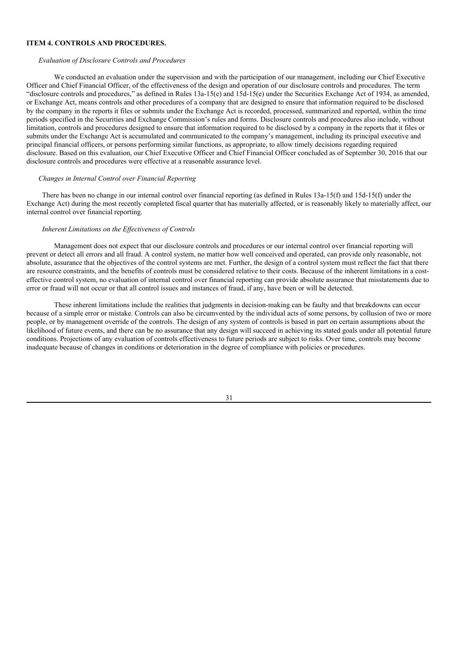### **ITEM 4. CONTROLS AND PROCEDURES.**

### *Evaluation of Disclosure Controls and Procedures*

We conducted an evaluation under the supervision and with the participation of our management, including our Chief Executive Officer and Chief Financial Officer, of the effectiveness of the design and operation of our disclosure controls and procedures. The term "disclosure controls and procedures," as defined in Rules  $13a-15(e)$  and  $15d-15(e)$  under the Securities Exchange Act of 1934, as amended, or Exchange Act, means controls and other procedures of a company that are designed to ensure that information required to be disclosed by the company in the reports it files or submits under the Exchange Act is recorded, processed, summarized and reported, within the time periods specified in the Securities and Exchange Commission's rules and forms. Disclosure controls and procedures also include, without limitation, controls and procedures designed to ensure that information required to be disclosed by a company in the reports that it files or submits under the Exchange Act is accumulated and communicated to the company's management, including its principal executive and principal financial officers, or persons performing similar functions, as appropriate, to allow timely decisions regarding required disclosure. Based on this evaluation, our Chief Executive Officer and Chief Financial Officer concluded as of September 30, 2016 that our disclosure controls and procedures were effective at a reasonable assurance level.

#### *Changes in Internal Control over Financial Reporting*

There has been no change in our internal control over financial reporting (as defined in Rules 13a-15(f) and 15d-15(f) under the Exchange Act) during the most recently completed fiscal quarter that has materially affected, or is reasonably likely to materially affect, our internal control over financial reporting.

### *Inherent Limitations on the Ef ectiveness of Controls*

Management does not expect that our disclosure controls and procedures or our internal control over financial reporting will prevent or detect all errors and all fraud. A control system, no matter how well conceived and operated, can provide only reasonable, not absolute, assurance that the objectives of the control systems are met. Further, the design of a control system must reflect the fact that there are resource constraints, and the benefits of controls must be considered relative to their costs. Because of the inherent limitations in a costeffective control system, no evaluation of internal control over financial reporting can provide absolute assurance that misstatements due to error or fraud will not occur or that all control issues and instances of fraud, if any, have been or will be detected.

These inherent limitations include the realities that judgments in decision-making can be faulty and that breakdowns can occur because of a simple error or mistake. Controls can also be circumvented by the individual acts of some persons, by collusion of two or more people, or by management override of the controls. The design of any system of controls is based in part on certain assumptions about the likelihood of future events, and there can be no assurance that any design will succeed in achieving its stated goals under all potential future conditions. Projections of any evaluation of controls effectiveness to future periods are subject to risks. Over time, controls may become inadequate because of changes in conditions or deterioration in the degree of compliance with policies or procedures.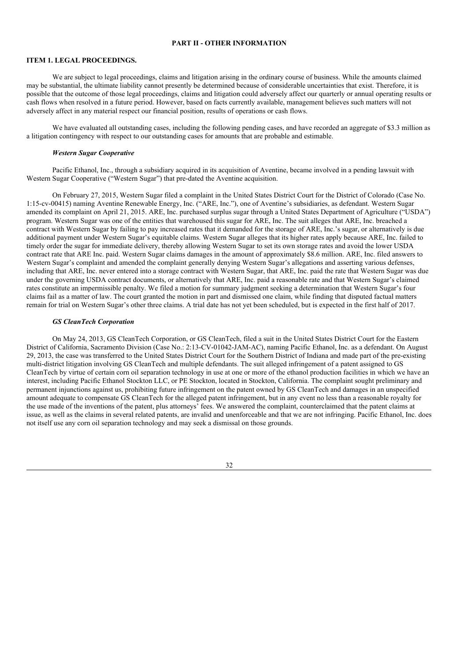### **PART II - OTHER INFORMATION**

## **ITEM 1. LEGAL PROCEEDINGS.**

We are subject to legal proceedings, claims and litigation arising in the ordinary course of business. While the amounts claimed may be substantial, the ultimate liability cannot presently be determined because of considerable uncertainties that exist. Therefore, it is possible that the outcome of those legal proceedings, claims and litigation could adversely affect our quarterly or annual operating results or cash flows when resolved in a future period. However, based on facts currently available, management believes such matters will not adversely affect in any material respect our financial position, results of operations or cash flows.

We have evaluated all outstanding cases, including the following pending cases, and have recorded an aggregate of \$3.3 million as a litigation contingency with respect to our outstanding cases for amounts that are probable and estimable.

### *Western Sugar Cooperative*

Pacific Ethanol, Inc., through a subsidiary acquired in its acquisition of Aventine, became involved in a pending lawsuit with Western Sugar Cooperative ("Western Sugar") that pre-dated the Aventine acquisition.

On February 27, 2015, Western Sugar filed a complaint in the United States District Court for the District of Colorado (Case No. 1:15-cv-00415) naming Aventine Renewable Energy, Inc. ("ARE, Inc."), one of Aventine's subsidiaries, as defendant. Western Sugar amended its complaint on April 21, 2015. ARE, Inc. purchased surplus sugar through a United States Department of Agriculture ("USDA") program. Western Sugar was one of the entities that warehoused this sugar for ARE, Inc. The suit alleges that ARE, Inc. breached a contract with Western Sugar by failing to pay increased rates that it demanded for the storage of ARE, Inc.'s sugar, or alternatively is due additional payment under Western Sugar's equitable claims. Western Sugar alleges that its higher rates apply because ARE, Inc. failed to timely order the sugar for immediate delivery, thereby allowing Western Sugar to set its own storage rates and avoid the lower USDA contract rate that ARE Inc. paid. Western Sugar claims damages in the amount of approximately \$8.6 million. ARE, Inc. filed answers to Western Sugar's complaint and amended the complaint generally denying Western Sugar's allegations and asserting various defenses, including that ARE, Inc. never entered into a storage contract with Western Sugar, that ARE, Inc. paid the rate that Western Sugar was due under the governing USDA contract documents, or alternatively that ARE, Inc. paid a reasonable rate and that Western Sugar's claimed rates constitute an impermissible penalty. We filed a motion for summary judgment seeking a determination that Western Sugar's four claims fail as a matter of law. The court granted the motion in part and dismissed one claim, while finding that disputed factual matters remain for trial on Western Sugar's other three claims. A trial date has not yet been scheduled, but is expected in the first half of 2017.

## *GS CleanTech Corporation*

On May 24, 2013, GS CleanTech Corporation, or GS CleanTech, filed a suit in the United States District Court for the Eastern District of California, Sacramento Division (Case No.: 2:13-CV-01042-JAM-AC), naming Pacific Ethanol, Inc. as a defendant. On August 29, 2013, the case was transferred to the United States District Court for the Southern District of Indiana and made part of the pre-existing multi-district litigation involving GS CleanTech and multiple defendants. The suit alleged infringement of a patent assigned to GS CleanTech by virtue of certain corn oil separation technology in use at one or more of the ethanol production facilities in which we have an interest, including Pacific Ethanol Stockton LLC, or PE Stockton, located in Stockton, California. The complaint sought preliminary and permanent injunctions against us, prohibiting future infringement on the patent owned by GS CleanTech and damages in an unspecified amount adequate to compensate GS CleanTech for the alleged patent infringement, but in any event no less than a reasonable royalty for the use made of the inventions of the patent, plus attorneys' fees. We answered the complaint, counterclaimed that the patent claims at issue, as well as the claims in several related patents, are invalid and unenforceable and that we are not infringing. Pacific Ethanol, Inc. does not itself use any corn oil separation technology and may seek a dismissal on those grounds.

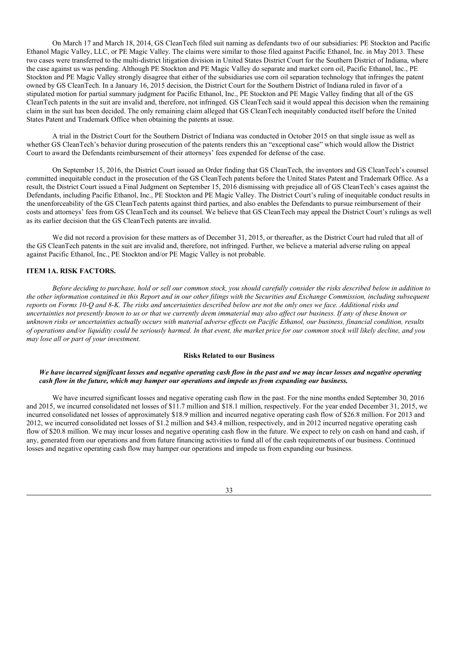On March 17 and March 18, 2014, GS CleanTech filed suit naming as defendants two of our subsidiaries: PE Stockton and Pacific Ethanol Magic Valley, LLC, or PE Magic Valley. The claims were similar to those filed against Pacific Ethanol, Inc. in May 2013. These two cases were transferred to the multi-district litigation division in United States District Court for the Southern District of Indiana, where the case against us was pending. Although PE Stockton and PE Magic Valley do separate and market corn oil, Pacific Ethanol, Inc., PE Stockton and PE Magic Valley strongly disagree that either of the subsidiaries use corn oil separation technology that infringes the patent owned by GS CleanTech. In a January 16, 2015 decision, the District Court for the Southern District of Indiana ruled in favor of a stipulated motion for partial summary judgment for Pacific Ethanol, Inc., PE Stockton and PE Magic Valley finding that all of the GS CleanTech patents in the suit are invalid and, therefore, not infringed. GS CleanTech said it would appeal this decision when the remaining claim in the suit has been decided. The only remaining claim alleged that GS CleanTech inequitably conducted itself before the United States Patent and Trademark Office when obtaining the patents at issue.

A trial in the District Court for the Southern District of Indiana was conducted in October 2015 on that single issue as well as whether GS CleanTech's behavior during prosecution of the patents renders this an "exceptional case" which would allow the District Court to award the Defendants reimbursement of their attorneys' fees expended for defense of the case.

On September 15, 2016, the District Court issued an Order finding that GS CleanTech, the inventors and GS CleanTech's counsel committed inequitable conduct in the prosecution of the GS CleanTech patents before the United States Patent and Trademark Office. As a result, the District Court issued a Final Judgment on September 15, 2016 dismissing with prejudice all of GS CleanTech's cases against the Defendants, including Pacific Ethanol, Inc., PE Stockton and PE Magic Valley. The District Court's ruling of inequitable conduct results in the unenforceability of the GS CleanTech patents against third parties, and also enables the Defendants to pursue reimbursement of their costs and attorneys' fees from GS CleanTech and its counsel. We believe that GS CleanTech may appeal the District Court's rulings as well as its earlier decision that the GS CleanTech patents are invalid.

We did not record a provision for these matters as of December 31, 2015, or thereafter, as the District Court had ruled that all of the GS CleanTech patents in the suit are invalid and, therefore, not infringed. Further, we believe a material adverse ruling on appeal against Pacific Ethanol, Inc., PE Stockton and/or PE Magic Valley is not probable.

## **ITEM 1A. RISK FACTORS.**

Before deciding to purchase, hold or sell our common stock, you should carefully consider the risks described below in addition to the other information contained in this Report and in our other filings with the Securities and Exchange Commission, including subsequent reports on Forms 10-Q and 8-K. The risks and uncertainties described below are not the only ones we face. Additional risks and uncertainties not presently known to us or that we currently deem immaterial may also affect our business. If any of these known or unknown risks or uncertainties actually occurs with material adverse effects on Pacific Ethanol, our business, financial condition, results of operations and/or liquidity could be seriously harmed. In that event, the market price for our common stock will likely decline, and you *may lose all or part of your investment.*

## **Risks Related to our Business**

## We have incurred significant losses and negative operating cash flow in the past and we may incur losses and negative operating *cash flow in the future, which may hamper our operations and impede us from expanding our business.*

We have incurred significant losses and negative operating cash flow in the past. For the nine months ended September 30, 2016 and 2015, we incurred consolidated net losses of \$11.7 million and \$18.1 million, respectively. For the year ended December 31, 2015, we incurred consolidated net losses of approximately \$18.9 million and incurred negative operating cash flow of \$26.8 million. For 2013 and 2012, we incurred consolidated net losses of \$1.2 million and \$43.4 million, respectively, and in 2012 incurred negative operating cash flow of \$20.8 million. We may incur losses and negative operating cash flow in the future. We expect to rely on cash on hand and cash, if any, generated from our operations and from future financing activities to fund all of the cash requirements of our business. Continued losses and negative operating cash flow may hamper our operations and impede us from expanding our business.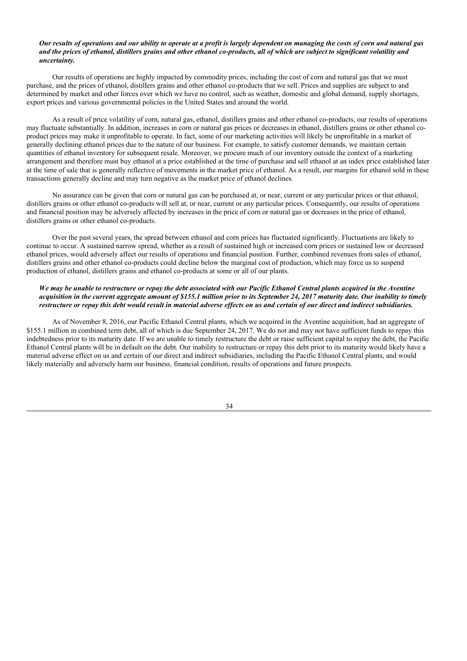### Our results of operations and our ability to operate at a profit is largely dependent on managing the costs of corn and natural gas and the prices of ethanol, distillers grains and other ethanol co-products, all of which are subject to significant volatility and *uncertainty.*

Our results of operations are highly impacted by commodity prices, including the cost of corn and natural gas that we must purchase, and the prices of ethanol, distillers grains and other ethanol co-products that we sell. Prices and supplies are subject to and determined by market and other forces over which we have no control, such as weather, domestic and global demand, supply shortages, export prices and various governmental policies in the United States and around the world.

As a result of price volatility of corn, natural gas, ethanol, distillers grains and other ethanol co-products, our results of operations may fluctuate substantially. In addition, increases in corn or natural gas prices or decreases in ethanol, distillers grains or other ethanol coproduct prices may make it unprofitable to operate. In fact, some of our marketing activities will likely be unprofitable in a market of generally declining ethanol prices due to the nature of our business. For example, to satisfy customer demands, we maintain certain quantities of ethanol inventory for subsequent resale. Moreover, we procure much of our inventory outside the context of a marketing arrangement and therefore must buy ethanol at a price established at the time of purchase and sell ethanol at an index price established later at the time of sale that is generally reflective of movements in the market price of ethanol. As a result, our margins for ethanol sold in these transactions generally decline and may turn negative as the market price of ethanol declines.

No assurance can be given that corn or natural gas can be purchased at, or near, current or any particular prices or that ethanol, distillers grains or other ethanol co-products will sell at, or near, current or any particular prices. Consequently, our results of operations and financial position may be adversely affected by increases in the price of corn or natural gas or decreases in the price of ethanol, distillers grains or other ethanol co-products.

Over the past several years, the spread between ethanol and corn prices has fluctuated significantly. Fluctuations are likely to continue to occur. A sustained narrow spread, whether as a result of sustained high or increased corn prices or sustained low or decreased ethanol prices, would adversely affect our results of operations and financial position. Further, combined revenues from sales of ethanol, distillers grains and other ethanol co-products could decline below the marginal cost of production, which may force us to suspend production of ethanol, distillers grains and ethanol co-products at some or all of our plants.

## We may be unable to restructure or repay the debt associated with our Pacific Ethanol Central plants acquired in the Aventine acquisition in the current aggregate amount of \$155.1 million prior to its September 24, 2017 maturity date. Our inability to timely restructure or repay this debt would result in material adverse effects on us and certain of our direct and indirect subsidiaries.

As of November 8, 2016, our Pacific Ethanol Central plants, which we acquired in the Aventine acquisition, had an aggregate of \$155.1 million in combined term debt, all of which is due September 24, 2017. We do not and may not have sufficient funds to repay this indebtedness prior to its maturity date. If we are unable to timely restructure the debt or raise sufficient capital to repay the debt, the Pacific Ethanol Central plants will be in default on the debt. Our inability to restructure or repay this debt prior to its maturity would likely have a material adverse effect on us and certain of our direct and indirect subsidiaries, including the Pacific Ethanol Central plants, and would likely materially and adversely harm our business, financial condition, results of operations and future prospects.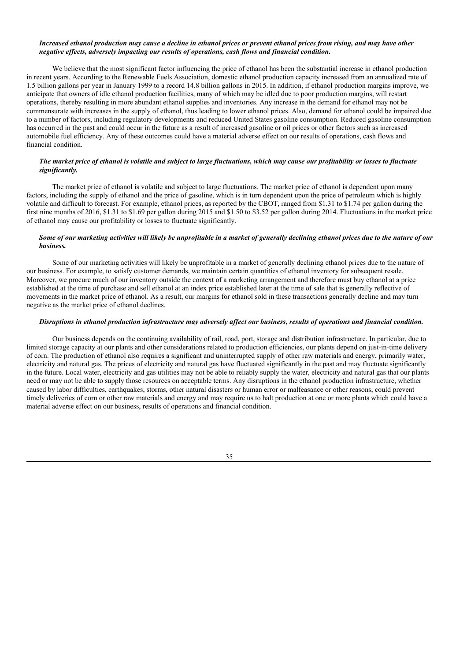### Increased ethanol production may cause a decline in ethanol prices or prevent ethanol prices from rising, and may have other *negative ef ects, adversely impacting our results of operations, cash flows and financial condition.*

We believe that the most significant factor influencing the price of ethanol has been the substantial increase in ethanol production in recent years. According to the Renewable Fuels Association, domestic ethanol production capacity increased from an annualized rate of 1.5 billion gallons per year in January 1999 to a record 14.8 billion gallons in 2015. In addition, if ethanol production margins improve, we anticipate that owners of idle ethanol production facilities, many of which may be idled due to poor production margins, will restart operations, thereby resulting in more abundant ethanol supplies and inventories. Any increase in the demand for ethanol may not be commensurate with increases in the supply of ethanol, thus leading to lower ethanol prices. Also, demand for ethanol could be impaired due to a number of factors, including regulatory developments and reduced United States gasoline consumption. Reduced gasoline consumption has occurred in the past and could occur in the future as a result of increased gasoline or oil prices or other factors such as increased automobile fuel efficiency. Any of these outcomes could have a material adverse effect on our results of operations, cash flows and financial condition.

## The market price of ethanol is volatile and subject to large fluctuations, which may cause our profitability or losses to fluctuate *significantly.*

The market price of ethanol is volatile and subject to large fluctuations. The market price of ethanol is dependent upon many factors, including the supply of ethanol and the price of gasoline, which is in turn dependent upon the price of petroleum which is highly volatile and difficult to forecast. For example, ethanol prices, as reported by the CBOT, ranged from \$1.31 to \$1.74 per gallon during the first nine months of 2016, \$1.31 to \$1.69 per gallon during 2015 and \$1.50 to \$3.52 per gallon during 2014. Fluctuations in the market price of ethanol may cause our profitability or losses to fluctuate significantly.

## Some of our marketing activities will likely be unprofitable in a market of generally declining ethanol prices due to the nature of our *business.*

Some of our marketing activities will likely be unprofitable in a market of generally declining ethanol prices due to the nature of our business. For example, to satisfy customer demands, we maintain certain quantities of ethanol inventory for subsequent resale. Moreover, we procure much of our inventory outside the context of a marketing arrangement and therefore must buy ethanol at a price established at the time of purchase and sell ethanol at an index price established later at the time of sale that is generally reflective of movements in the market price of ethanol. As a result, our margins for ethanol sold in these transactions generally decline and may turn negative as the market price of ethanol declines.

### Disruptions in ethanol production infrastructure may adversely affect our business, results of operations and financial condition.

Our business depends on the continuing availability of rail, road, port, storage and distribution infrastructure. In particular, due to limited storage capacity at our plants and other considerations related to production efficiencies, our plants depend on just-in-time delivery of corn. The production of ethanol also requires a significant and uninterrupted supply of other raw materials and energy, primarily water, electricity and natural gas. The prices of electricity and natural gas have fluctuated significantly in the past and may fluctuate significantly in the future. Local water, electricity and gas utilities may not be able to reliably supply the water, electricity and natural gas that our plants need or may not be able to supply those resources on acceptable terms. Any disruptions in the ethanol production infrastructure, whether caused by labor difficulties, earthquakes, storms, other natural disasters or human error or malfeasance or other reasons, could prevent timely deliveries of corn or other raw materials and energy and may require us to halt production at one or more plants which could have a material adverse effect on our business, results of operations and financial condition.

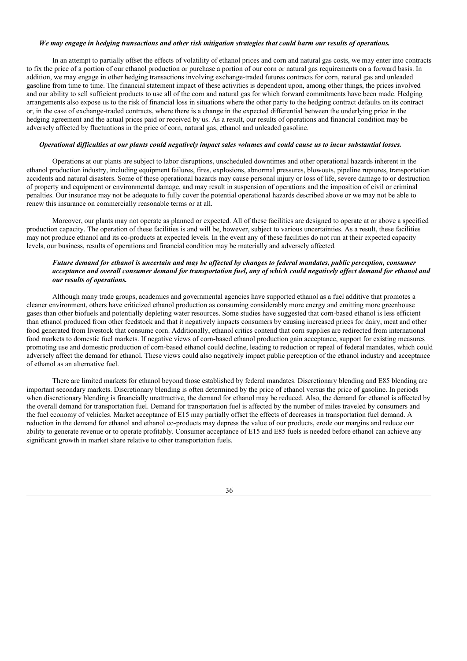#### We may engage in hedging transactions and other risk mitigation strategies that could harm our results of operations.

In an attempt to partially offset the effects of volatility of ethanol prices and corn and natural gas costs, we may enter into contracts to fix the price of a portion of our ethanol production or purchase a portion of our corn or natural gas requirements on a forward basis. In addition, we may engage in other hedging transactions involving exchange-traded futures contracts for corn, natural gas and unleaded gasoline from time to time. The financial statement impact of these activities is dependent upon, among other things, the prices involved and our ability to sell sufficient products to use all of the corn and natural gas for which forward commitments have been made. Hedging arrangements also expose us to the risk of financial loss in situations where the other party to the hedging contract defaults on its contract or, in the case of exchange-traded contracts, where there is a change in the expected differential between the underlying price in the hedging agreement and the actual prices paid or received by us. As a result, our results of operations and financial condition may be adversely affected by fluctuations in the price of corn, natural gas, ethanol and unleaded gasoline.

## Operational difficulties at our plants could negatively impact sales volumes and could cause us to incur substantial losses.

Operations at our plants are subject to labor disruptions, unscheduled downtimes and other operational hazards inherent in the ethanol production industry, including equipment failures, fires, explosions, abnormal pressures, blowouts, pipeline ruptures, transportation accidents and natural disasters. Some of these operational hazards may cause personal injury or loss of life, severe damage to or destruction of property and equipment or environmental damage, and may result in suspension of operations and the imposition of civil or criminal penalties. Our insurance may not be adequate to fully cover the potential operational hazards described above or we may not be able to renew this insurance on commercially reasonable terms or at all.

Moreover, our plants may not operate as planned or expected. All of these facilities are designed to operate at or above a specified production capacity. The operation of these facilities is and will be, however, subject to various uncertainties. As a result, these facilities may not produce ethanol and its co-products at expected levels. In the event any of these facilities do not run at their expected capacity levels, our business, results of operations and financial condition may be materially and adversely affected.

## Future demand for ethanol is uncertain and may be affected by changes to federal mandates, public perception, consumer acceptance and overall consumer demand for transportation fuel, any of which could negatively affect demand for ethanol and *our results of operations.*

Although many trade groups, academics and governmental agencies have supported ethanol as a fuel additive that promotes a cleaner environment, others have criticized ethanol production as consuming considerably more energy and emitting more greenhouse gases than other biofuels and potentially depleting water resources. Some studies have suggested that corn-based ethanol is less efficient than ethanol produced from other feedstock and that it negatively impacts consumers by causing increased prices for dairy, meat and other food generated from livestock that consume corn. Additionally, ethanol critics contend that corn supplies are redirected from international food markets to domestic fuel markets. If negative views of corn-based ethanol production gain acceptance, support for existing measures promoting use and domestic production of corn-based ethanol could decline, leading to reduction or repeal of federal mandates, which could adversely affect the demand for ethanol. These views could also negatively impact public perception of the ethanol industry and acceptance of ethanol as an alternative fuel.

There are limited markets for ethanol beyond those established by federal mandates. Discretionary blending and E85 blending are important secondary markets. Discretionary blending is often determined by the price of ethanol versus the price of gasoline. In periods when discretionary blending is financially unattractive, the demand for ethanol may be reduced. Also, the demand for ethanol is affected by the overall demand for transportation fuel. Demand for transportation fuel is affected by the number of miles traveled by consumers and the fuel economy of vehicles. Market acceptance of E15 may partially offset the effects of decreases in transportation fuel demand. A reduction in the demand for ethanol and ethanol co-products may depress the value of our products, erode our margins and reduce our ability to generate revenue or to operate profitably. Consumer acceptance of E15 and E85 fuels is needed before ethanol can achieve any significant growth in market share relative to other transportation fuels.

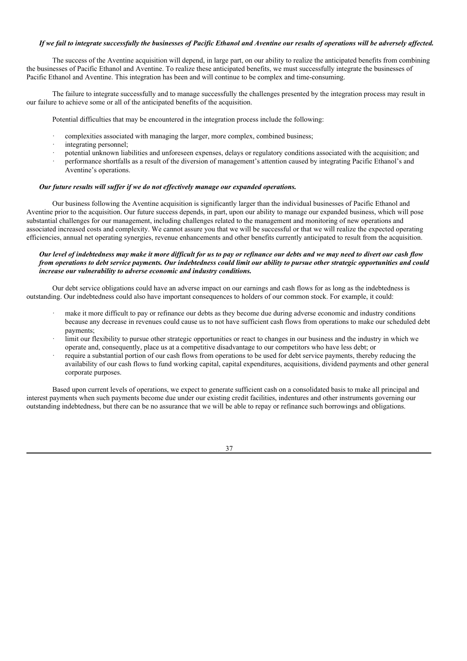## If we fail to integrate successfully the businesses of Pacific Ethanol and Aventine our results of operations will be adversely affected.

The success of the Aventine acquisition will depend, in large part, on our ability to realize the anticipated benefits from combining the businesses of Pacific Ethanol and Aventine. To realize these anticipated benefits, we must successfully integrate the businesses of Pacific Ethanol and Aventine. This integration has been and will continue to be complex and time-consuming.

The failure to integrate successfully and to manage successfully the challenges presented by the integration process may result in our failure to achieve some or all of the anticipated benefits of the acquisition.

Potential difficulties that may be encountered in the integration process include the following:

- · complexities associated with managing the larger, more complex, combined business;
- integrating personnel;
- potential unknown liabilities and unforeseen expenses, delays or regulatory conditions associated with the acquisition; and
- · performance shortfalls as a result of the diversion of management's attention caused by integrating Pacific Ethanol's and Aventine's operations.

### *Our future results will suf er if we do not ef ectively manage our expanded operations.*

Our business following the Aventine acquisition is significantly larger than the individual businesses of Pacific Ethanol and Aventine prior to the acquisition. Our future success depends, in part, upon our ability to manage our expanded business, which will pose substantial challenges for our management, including challenges related to the management and monitoring of new operations and associated increased costs and complexity. We cannot assure you that we will be successful or that we will realize the expected operating efficiencies, annual net operating synergies, revenue enhancements and other benefits currently anticipated to result from the acquisition.

## Our level of indebtedness may make it more difficult for us to pay or refinance our debts and we may need to divert our cash flow from operations to debt service payments. Our indebtedness could limit our ability to pursue other strategic opportunities and could *increase our vulnerability to adverse economic and industry conditions.*

Our debt service obligations could have an adverse impact on our earnings and cash flows for as long as the indebtedness is outstanding. Our indebtedness could also have important consequences to holders of our common stock. For example, it could:

- make it more difficult to pay or refinance our debts as they become due during adverse economic and industry conditions because any decrease in revenues could cause us to not have sufficient cash flows from operations to make our scheduled debt payments;
- limit our flexibility to pursue other strategic opportunities or react to changes in our business and the industry in which we operate and, consequently, place us at a competitive disadvantage to our competitors who have less debt; or
- · require a substantial portion of our cash flows from operations to be used for debt service payments, thereby reducing the availability of our cash flows to fund working capital, capital expenditures, acquisitions, dividend payments and other general corporate purposes.

Based upon current levels of operations, we expect to generate sufficient cash on a consolidated basis to make all principal and interest payments when such payments become due under our existing credit facilities, indentures and other instruments governing our outstanding indebtedness, but there can be no assurance that we will be able to repay or refinance such borrowings and obligations.

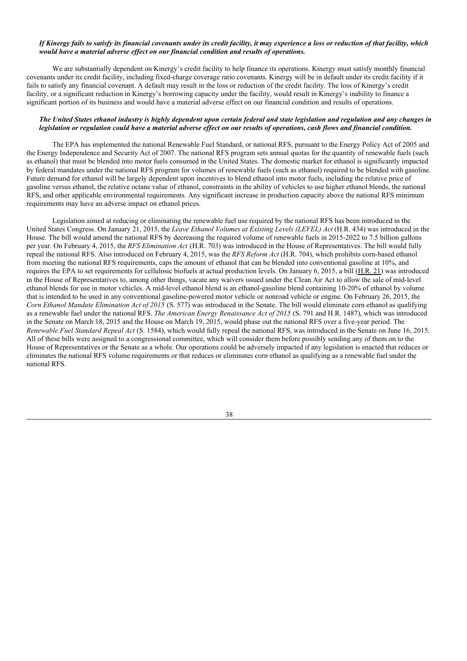### If Kinergy fails to satisfy its financial covenants under its credit facility, it may experience a loss or reduction of that facility, which *would have a material adverse ef ect on our financial condition and results of operations.*

We are substantially dependent on Kinergy's credit facility to help finance its operations. Kinergy must satisfy monthly financial covenants under its credit facility, including fixed-charge coverage ratio covenants. Kinergy will be in default under its credit facility if it fails to satisfy any financial covenant. A default may result in the loss or reduction of the credit facility. The loss of Kinergy's credit facility, or a significant reduction in Kinergy's borrowing capacity under the facility, would result in Kinergy's inability to finance a significant portion of its business and would have a material adverse effect on our financial condition and results of operations.

## The United States ethanol industry is highly dependent upon certain federal and state legislation and regulation and any changes in legislation or regulation could have a material adverse effect on our results of operations, cash flows and financial condition.

The EPA has implemented the national Renewable Fuel Standard, or national RFS, pursuant to the Energy Policy Act of 2005 and the Energy Independence and Security Act of 2007. The national RFS program sets annual quotas for the quantity of renewable fuels (such as ethanol) that must be blended into motor fuels consumed in the United States. The domestic market for ethanol is significantly impacted by federal mandates under the national RFS program for volumes of renewable fuels (such as ethanol) required to be blended with gasoline. Future demand for ethanol will be largely dependent upon incentives to blend ethanol into motor fuels, including the relative price of gasoline versus ethanol, the relative octane value of ethanol, constraints in the ability of vehicles to use higher ethanol blends, the national RFS, and other applicable environmental requirements. Any significant increase in production capacity above the national RFS minimum requirements may have an adverse impact on ethanol prices.

Legislation aimed at reducing or eliminating the renewable fuel use required by the national RFS has been introduced in the United States Congress. On January 21, 2015, the *Leave Ethanol Volumes at Existing Levels (LEVEL) Act* (H.R. 434) was introduced in the House. The bill would amend the national RFS by decreasing the required volume of renewable fuels in 2015-2022 to 7.5 billion gallons per year. On February 4, 2015, the *RFS Elimination Act* (H.R. 703) was introduced in the House of Representatives. The bill would fully repeal the national RFS. Also introduced on February 4, 2015, was the *RFS Reform Act* (H.R. 704), which prohibits corn-based ethanol from meeting the national RFS requirements, caps the amount of ethanol that can be blended into conventional gasoline at 10%, and requires the EPA to set requirements for cellulosic biofuels at actual production levels. On January 6, 2015, a bill (H.R. 21) was introduced in the House of Representatives to, among other things, vacate any waivers issued under the Clean Air Act to allow the sale of mid-level ethanol blends for use in motor vehicles. A mid-level ethanol blend is an ethanol-gasoline blend containing 10-20% of ethanol by volume that is intended to be used in any conventional gasoline-powered motor vehicle or nonroad vehicle or engine. On February 26, 2015, the *Corn Ethanol Mandate Elimination Act of 2015* (S. 577) was introduced in the Senate. The bill would eliminate corn ethanol as qualifying as a renewable fuel under the national RFS. *The American Energy Renaissance Act of 2015* (S. 791 and H.R. 1487), which was introduced in the Senate on March 18, 2015 and the House on March 19, 2015, would phase out the national RFS over a five-year period. The *Renewable Fuel Standard Repeal Act* (S. 1584), which would fully repeal the national RFS, was introduced in the Senate on June 16, 2015. All of these bills were assigned to a congressional committee, which will consider them before possibly sending any of them on to the House of Representatives or the Senate as a whole. Our operations could be adversely impacted if any legislation is enacted that reduces or eliminates the national RFS volume requirements or that reduces or eliminates corn ethanol as qualifying as a renewable fuel under the national RFS.

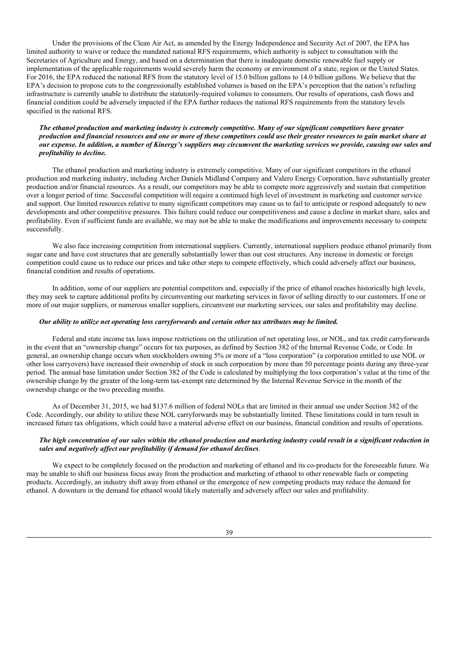Under the provisions of the Clean Air Act, as amended by the Energy Independence and Security Act of 2007, the EPA has limited authority to waive or reduce the mandated national RFS requirements, which authority is subject to consultation with the Secretaries of Agriculture and Energy, and based on a determination that there is inadequate domestic renewable fuel supply or implementation of the applicable requirements would severely harm the economy or environment of a state, region or the United States. For 2016, the EPA reduced the national RFS from the statutory level of 15.0 billion gallons to 14.0 billion gallons. We believe that the EPA's decision to propose cuts to the congressionally established volumes is based on the EPA's perception that the nation's refueling infrastructure is currently unable to distribute the statutorily-required volumes to consumers. Our results of operations, cash flows and financial condition could be adversely impacted if the EPA further reduces the national RFS requirements from the statutory levels specified in the national RFS.

## The ethanol production and marketing industry is extremely competitive. Many of our significant competitors have greater production and financial resources and one or more of these competitors could use their greater resources to gain market share at our expense. In addition, a number of Kinergy's suppliers may circumvent the marketing services we provide, causing our sales and *profitability to decline.*

The ethanol production and marketing industry is extremely competitive. Many of our significant competitors in the ethanol production and marketing industry, including Archer Daniels Midland Company and Valero Energy Corporation, have substantially greater production and/or financial resources. As a result, our competitors may be able to compete more aggressively and sustain that competition over a longer period of time. Successful competition will require a continued high level of investment in marketing and customer service and support. Our limited resources relative to many significant competitors may cause us to fail to anticipate or respond adequately to new developments and other competitive pressures. This failure could reduce our competitiveness and cause a decline in market share, sales and profitability. Even if sufficient funds are available, we may not be able to make the modifications and improvements necessary to compete successfully.

We also face increasing competition from international suppliers. Currently, international suppliers produce ethanol primarily from sugar cane and have cost structures that are generally substantially lower than our cost structures. Any increase in domestic or foreign competition could cause us to reduce our prices and take other steps to compete effectively, which could adversely affect our business, financial condition and results of operations.

In addition, some of our suppliers are potential competitors and, especially if the price of ethanol reaches historically high levels, they may seek to capture additional profits by circumventing our marketing services in favor of selling directly to our customers. If one or more of our major suppliers, or numerous smaller suppliers, circumvent our marketing services, our sales and profitability may decline.

# *Our ability to utilize net operating loss carryforwards and certain other tax attributes may be limited.*

Federal and state income tax laws impose restrictions on the utilization of net operating loss, or NOL, and tax credit carryforwards in the event that an "ownership change" occurs for tax purposes, as defined by Section 382 of the Internal Revenue Code, or Code. In general, an ownership change occurs when stockholders owning 5% or more of a "loss corporation" (a corporation entitled to use NOL or other loss carryovers) have increased their ownership of stock in such corporation by more than 50 percentage points during any three-year period. The annual base limitation under Section 382 of the Code is calculated by multiplying the loss corporation's value at the time of the ownership change by the greater of the long-term tax-exempt rate determined by the Internal Revenue Service in the month of the ownership change or the two preceding months.

As of December 31, 2015, we had \$137.6 million of federal NOLs that are limited in their annual use under Section 382 of the Code. Accordingly, our ability to utilize these NOL carryforwards may be substantially limited. These limitations could in turn result in increased future tax obligations, which could have a material adverse effect on our business, financial condition and results of operations.

## The high concentration of our sales within the ethanol production and marketing industry could result in a significant reduction in *sales and negatively af ect our profitability if demand for ethanol declines*.

We expect to be completely focused on the production and marketing of ethanol and its co-products for the foreseeable future. We may be unable to shift our business focus away from the production and marketing of ethanol to other renewable fuels or competing products. Accordingly, an industry shift away from ethanol or the emergence of new competing products may reduce the demand for ethanol. A downturn in the demand for ethanol would likely materially and adversely affect our sales and profitability.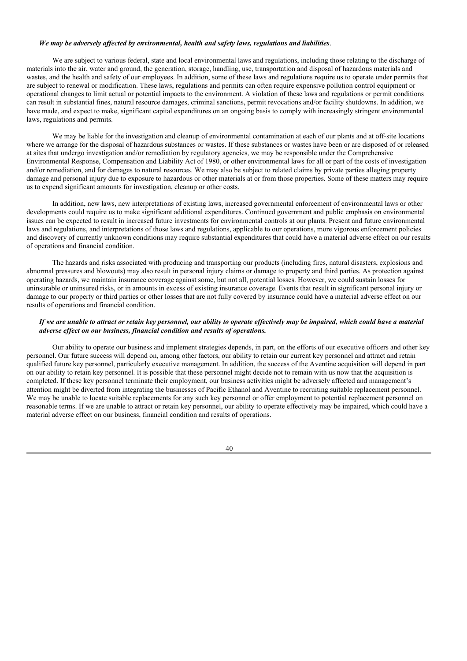#### *We may be adversely af ected by environmental, health and safety laws, regulations and liabilities*.

We are subject to various federal, state and local environmental laws and regulations, including those relating to the discharge of materials into the air, water and ground, the generation, storage, handling, use, transportation and disposal of hazardous materials and wastes, and the health and safety of our employees. In addition, some of these laws and regulations require us to operate under permits that are subject to renewal or modification. These laws, regulations and permits can often require expensive pollution control equipment or operational changes to limit actual or potential impacts to the environment. A violation of these laws and regulations or permit conditions can result in substantial fines, natural resource damages, criminal sanctions, permit revocations and/or facility shutdowns. In addition, we have made, and expect to make, significant capital expenditures on an ongoing basis to comply with increasingly stringent environmental laws, regulations and permits.

We may be liable for the investigation and cleanup of environmental contamination at each of our plants and at off-site locations where we arrange for the disposal of hazardous substances or wastes. If these substances or wastes have been or are disposed of or released at sites that undergo investigation and/or remediation by regulatory agencies, we may be responsible under the Comprehensive Environmental Response, Compensation and Liability Act of 1980, or other environmental laws for all or part of the costs of investigation and/or remediation, and for damages to natural resources. We may also be subject to related claims by private parties alleging property damage and personal injury due to exposure to hazardous or other materials at or from those properties. Some of these matters may require us to expend significant amounts for investigation, cleanup or other costs.

In addition, new laws, new interpretations of existing laws, increased governmental enforcement of environmental laws or other developments could require us to make significant additional expenditures. Continued government and public emphasis on environmental issues can be expected to result in increased future investments for environmental controls at our plants. Present and future environmental laws and regulations, and interpretations of those laws and regulations, applicable to our operations, more vigorous enforcement policies and discovery of currently unknown conditions may require substantial expenditures that could have a material adverse effect on our results of operations and financial condition.

The hazards and risks associated with producing and transporting our products (including fires, natural disasters, explosions and abnormal pressures and blowouts) may also result in personal injury claims or damage to property and third parties. As protection against operating hazards, we maintain insurance coverage against some, but not all, potential losses. However, we could sustain losses for uninsurable or uninsured risks, or in amounts in excess of existing insurance coverage. Events that result in significant personal injury or damage to our property or third parties or other losses that are not fully covered by insurance could have a material adverse effect on our results of operations and financial condition.

## If we are unable to attract or retain key personnel, our ability to operate effectively may be impaired, which could have a material *adverse ef ect on our business, financial condition and results of operations.*

Our ability to operate our business and implement strategies depends, in part, on the efforts of our executive officers and other key personnel. Our future success will depend on, among other factors, our ability to retain our current key personnel and attract and retain qualified future key personnel, particularly executive management. In addition, the success of the Aventine acquisition will depend in part on our ability to retain key personnel. It is possible that these personnel might decide not to remain with us now that the acquisition is completed. If these key personnel terminate their employment, our business activities might be adversely affected and management's attention might be diverted from integrating the businesses of Pacific Ethanol and Aventine to recruiting suitable replacement personnel. We may be unable to locate suitable replacements for any such key personnel or offer employment to potential replacement personnel on reasonable terms. If we are unable to attract or retain key personnel, our ability to operate effectively may be impaired, which could have a material adverse effect on our business, financial condition and results of operations.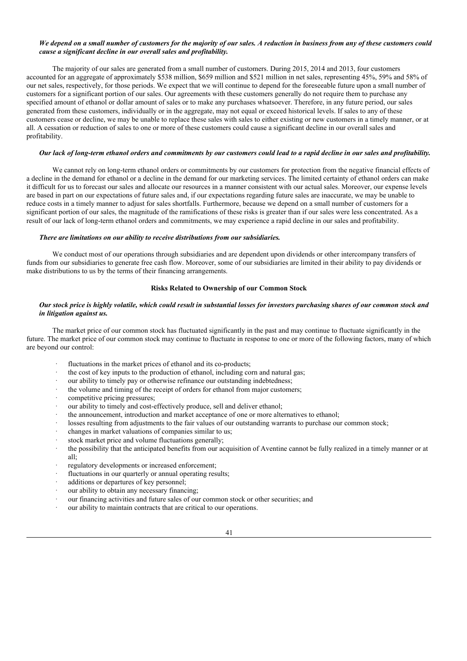## We depend on a small number of customers for the majority of our sales. A reduction in business from any of these customers could *cause a significant decline in our overall sales and profitability.*

The majority of our sales are generated from a small number of customers. During 2015, 2014 and 2013, four customers accounted for an aggregate of approximately \$538 million, \$659 million and \$521 million in net sales, representing 45%, 59% and 58% of our net sales, respectively, for those periods. We expect that we will continue to depend for the foreseeable future upon a small number of customers for a significant portion of our sales. Our agreements with these customers generally do not require them to purchase any specified amount of ethanol or dollar amount of sales or to make any purchases whatsoever. Therefore, in any future period, our sales generated from these customers, individually or in the aggregate, may not equal or exceed historical levels. If sales to any of these customers cease or decline, we may be unable to replace these sales with sales to either existing or new customers in a timely manner, or at all. A cessation or reduction of sales to one or more of these customers could cause a significant decline in our overall sales and profitability.

## Our lack of long-term ethanol orders and commitments by our customers could lead to a rapid decline in our sales and profitability.

We cannot rely on long-term ethanol orders or commitments by our customers for protection from the negative financial effects of a decline in the demand for ethanol or a decline in the demand for our marketing services. The limited certainty of ethanol orders can make it difficult for us to forecast our sales and allocate our resources in a manner consistent with our actual sales. Moreover, our expense levels are based in part on our expectations of future sales and, if our expectations regarding future sales are inaccurate, we may be unable to reduce costs in a timely manner to adjust for sales shortfalls. Furthermore, because we depend on a small number of customers for a significant portion of our sales, the magnitude of the ramifications of these risks is greater than if our sales were less concentrated. As a result of our lack of long-term ethanol orders and commitments, we may experience a rapid decline in our sales and profitability.

### *There are limitations on our ability to receive distributions from our subsidiaries.*

We conduct most of our operations through subsidiaries and are dependent upon dividends or other intercompany transfers of funds from our subsidiaries to generate free cash flow. Moreover, some of our subsidiaries are limited in their ability to pay dividends or make distributions to us by the terms of their financing arrangements.

## **Risks Related to Ownership of our Common Stock**

## Our stock price is highly volatile, which could result in substantial losses for investors purchasing shares of our common stock and *in litigation against us.*

The market price of our common stock has fluctuated significantly in the past and may continue to fluctuate significantly in the future. The market price of our common stock may continue to fluctuate in response to one or more of the following factors, many of which are beyond our control:

- fluctuations in the market prices of ethanol and its co-products;
- the cost of key inputs to the production of ethanol, including corn and natural gas;
- our ability to timely pay or otherwise refinance our outstanding indebtedness;
- the volume and timing of the receipt of orders for ethanol from major customers;
- competitive pricing pressures;
- our ability to timely and cost-effectively produce, sell and deliver ethanol;
- the announcement, introduction and market acceptance of one or more alternatives to ethanol;
- losses resulting from adjustments to the fair values of our outstanding warrants to purchase our common stock;
- changes in market valuations of companies similar to us;
- stock market price and volume fluctuations generally;
- the possibility that the anticipated benefits from our acquisition of Aventine cannot be fully realized in a timely manner or at  $a11$
- regulatory developments or increased enforcement;
- fluctuations in our quarterly or annual operating results;
- additions or departures of key personnel;
- our ability to obtain any necessary financing;
- our financing activities and future sales of our common stock or other securities; and
- our ability to maintain contracts that are critical to our operations.

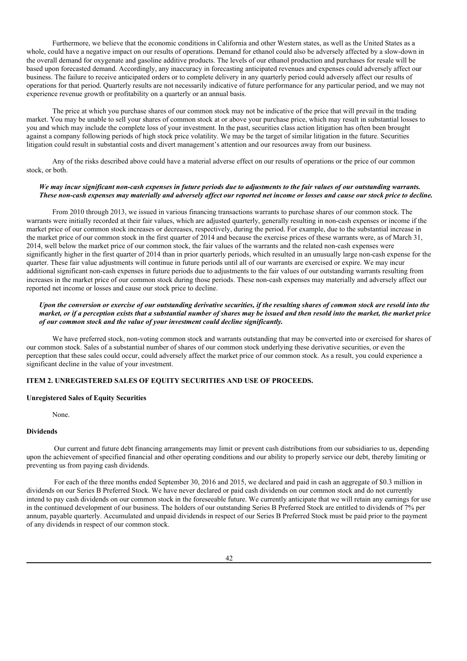Furthermore, we believe that the economic conditions in California and other Western states, as well as the United States as a whole, could have a negative impact on our results of operations. Demand for ethanol could also be adversely affected by a slow-down in the overall demand for oxygenate and gasoline additive products. The levels of our ethanol production and purchases for resale will be based upon forecasted demand. Accordingly, any inaccuracy in forecasting anticipated revenues and expenses could adversely affect our business. The failure to receive anticipated orders or to complete delivery in any quarterly period could adversely affect our results of operations for that period. Quarterly results are not necessarily indicative of future performance for any particular period, and we may not experience revenue growth or profitability on a quarterly or an annual basis.

The price at which you purchase shares of our common stock may not be indicative of the price that will prevail in the trading market. You may be unable to sell your shares of common stock at or above your purchase price, which may result in substantial losses to you and which may include the complete loss of your investment. In the past, securities class action litigation has often been brought against a company following periods of high stock price volatility. We may be the target of similar litigation in the future. Securities litigation could result in substantial costs and divert management's attention and our resources away from our business.

Any of the risks described above could have a material adverse effect on our results of operations or the price of our common stock, or both.

## We may incur significant non-cash expenses in future periods due to adjustments to the fair values of our outstanding warrants. These non-cash expenses may materially and adversely affect our reported net income or losses and cause our stock price to decline.

From 2010 through 2013, we issued in various financing transactions warrants to purchase shares of our common stock. The warrants were initially recorded at their fair values, which are adjusted quarterly, generally resulting in non-cash expenses or income if the market price of our common stock increases or decreases, respectively, during the period. For example, due to the substantial increase in the market price of our common stock in the first quarter of 2014 and because the exercise prices of these warrants were, as of March 31, 2014, well below the market price of our common stock, the fair values of the warrants and the related non-cash expenses were significantly higher in the first quarter of 2014 than in prior quarterly periods, which resulted in an unusually large non-cash expense for the quarter. These fair value adjustments will continue in future periods until all of our warrants are exercised or expire. We may incur additional significant non-cash expenses in future periods due to adjustments to the fair values of our outstanding warrants resulting from increases in the market price of our common stock during those periods. These non-cash expenses may materially and adversely affect our reported net income or losses and cause our stock price to decline.

## Upon the conversion or exercise of our outstanding derivative securities, if the resulting shares of common stock are resold into the market, or if a perception exists that a substantial number of shares may be issued and then resold into the market, the market price *of our common stock and the value of your investment could decline significantly.*

We have preferred stock, non-voting common stock and warrants outstanding that may be converted into or exercised for shares of our common stock. Sales of a substantial number of shares of our common stock underlying these derivative securities, or even the perception that these sales could occur, could adversely affect the market price of our common stock. As a result, you could experience a significant decline in the value of your investment.

### **ITEM 2. UNREGISTERED SALES OF EQUITY SECURITIES AND USE OF PROCEEDS.**

### **Unregistered Sales of Equity Securities**

None.

#### **Dividends**

Our current and future debt financing arrangements may limit or prevent cash distributions from our subsidiaries to us, depending upon the achievement of specified financial and other operating conditions and our ability to properly service our debt, thereby limiting or preventing us from paying cash dividends.

For each of the three months ended September 30, 2016 and 2015, we declared and paid in cash an aggregate of \$0.3 million in dividends on our Series B Preferred Stock. We have never declared or paid cash dividends on our common stock and do not currently intend to pay cash dividends on our common stock in the foreseeable future. We currently anticipate that we will retain any earnings for use in the continued development of our business. The holders of our outstanding Series B Preferred Stock are entitled to dividends of 7% per annum, payable quarterly. Accumulated and unpaid dividends in respect of our Series B Preferred Stock must be paid prior to the payment of any dividends in respect of our common stock.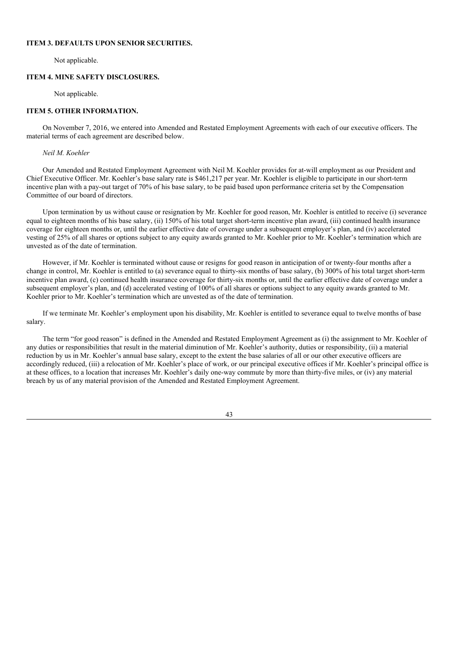### **ITEM 3. DEFAULTS UPON SENIOR SECURITIES.**

Not applicable.

#### **ITEM 4. MINE SAFETY DISCLOSURES.**

Not applicable.

## **ITEM 5. OTHER INFORMATION.**

On November 7, 2016, we entered into Amended and Restated Employment Agreements with each of our executive officers. The material terms of each agreement are described below.

## *Neil M. Koehler*

Our Amended and Restated Employment Agreement with Neil M. Koehler provides for at-will employment as our President and Chief Executive Officer. Mr. Koehler's base salary rate is \$461,217 per year. Mr. Koehler is eligible to participate in our short-term incentive plan with a pay-out target of 70% of his base salary, to be paid based upon performance criteria set by the Compensation Committee of our board of directors.

Upon termination by us without cause or resignation by Mr. Koehler for good reason, Mr. Koehler is entitled to receive (i) severance equal to eighteen months of his base salary, (ii) 150% of his total target short-term incentive plan award, (iii) continued health insurance coverage for eighteen months or, until the earlier effective date of coverage under a subsequent employer's plan, and (iv) accelerated vesting of 25% of all shares or options subject to any equity awards granted to Mr. Koehler prior to Mr. Koehler's termination which are unvested as of the date of termination.

However, if Mr. Koehler is terminated without cause or resigns for good reason in anticipation of or twenty-four months after a change in control, Mr. Koehler is entitled to (a) severance equal to thirty-six months of base salary, (b) 300% of his total target short-term incentive plan award, (c) continued health insurance coverage for thirty-six months or, until the earlier effective date of coverage under a subsequent employer's plan, and (d) accelerated vesting of 100% of all shares or options subject to any equity awards granted to Mr. Koehler prior to Mr. Koehler's termination which are unvested as of the date of termination.

If we terminate Mr. Koehler's employment upon his disability, Mr. Koehler is entitled to severance equal to twelve months of base salary.

The term "for good reason" is defined in the Amended and Restated Employment Agreement as (i) the assignment to Mr. Koehler of any duties or responsibilities that result in the material diminution of Mr. Koehler's authority, duties or responsibility, (ii) a material reduction by us in Mr. Koehler's annual base salary, except to the extent the base salaries of all or our other executive officers are accordingly reduced, (iii) a relocation of Mr. Koehler's place of work, or our principal executive offices if Mr. Koehler's principal office is at these offices, to a location that increases Mr. Koehler's daily one-way commute by more than thirty-five miles, or (iv) any material breach by us of any material provision of the Amended and Restated Employment Agreement.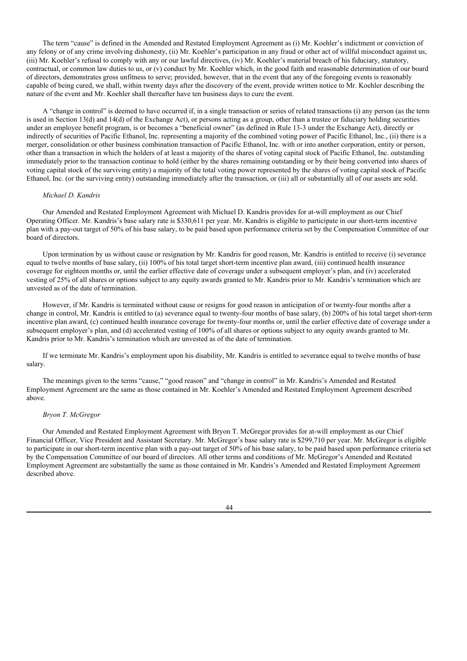The term "cause" is defined in the Amended and Restated Employment Agreement as (i) Mr. Koehler's indictment or conviction of any felony or of any crime involving dishonesty, (ii) Mr. Koehler's participation in any fraud or other act of willful misconduct against us, (iii) Mr. Koehler's refusal to comply with any or our lawful directives, (iv) Mr. Koehler's material breach of his fiduciary, statutory, contractual, or common law duties to us, or (v) conduct by Mr. Koehler which, in the good faith and reasonable determination of our board of directors, demonstrates gross unfitness to serve; provided, however, that in the event that any of the foregoing events is reasonably capable of being cured, we shall, within twenty days after the discovery of the event, provide written notice to Mr. Koehler describing the nature of the event and Mr. Koehler shall thereafter have ten business days to cure the event.

A "change in control" is deemed to have occurred if, in a single transaction or series of related transactions (i) any person (as the term is used in Section 13(d) and 14(d) of the Exchange Act), or persons acting as a group, other than a trustee or fiduciary holding securities under an employee benefit program, is or becomes a "beneficial owner" (as defined in Rule 13-3 under the Exchange Act), directly or indirectly of securities of Pacific Ethanol, Inc. representing a majority of the combined voting power of Pacific Ethanol, Inc., (ii) there is a merger, consolidation or other business combination transaction of Pacific Ethanol, Inc. with or into another corporation, entity or person, other than a transaction in which the holders of at least a majority of the shares of voting capital stock of Pacific Ethanol, Inc. outstanding immediately prior to the transaction continue to hold (either by the shares remaining outstanding or by their being converted into shares of voting capital stock of the surviving entity) a majority of the total voting power represented by the shares of voting capital stock of Pacific Ethanol, Inc. (or the surviving entity) outstanding immediately after the transaction, or (iii) all or substantially all of our assets are sold.

#### *Michael D. Kandris*

Our Amended and Restated Employment Agreement with Michael D. Kandris provides for at-will employment as our Chief Operating Officer. Mr. Kandris's base salary rate is \$330,611 per year. Mr. Kandris is eligible to participate in our short-term incentive plan with a pay-out target of 50% of his base salary, to be paid based upon performance criteria set by the Compensation Committee of our board of directors.

Upon termination by us without cause or resignation by Mr. Kandris for good reason, Mr. Kandris is entitled to receive (i) severance equal to twelve months of base salary, (ii) 100% of his total target short-term incentive plan award, (iii) continued health insurance coverage for eighteen months or, until the earlier effective date of coverage under a subsequent employer's plan, and (iv) accelerated vesting of 25% of all shares or options subject to any equity awards granted to Mr. Kandris prior to Mr. Kandris's termination which are unvested as of the date of termination.

However, if Mr. Kandris is terminated without cause or resigns for good reason in anticipation of or twenty-four months after a change in control, Mr. Kandris is entitled to (a) severance equal to twenty-four months of base salary, (b) 200% of his total target short-term incentive plan award, (c) continued health insurance coverage for twenty-four months or, until the earlier effective date of coverage under a subsequent employer's plan, and (d) accelerated vesting of 100% of all shares or options subject to any equity awards granted to Mr. Kandris prior to Mr. Kandris's termination which are unvested as of the date of termination.

If we terminate Mr. Kandris's employment upon his disability, Mr. Kandris is entitled to severance equal to twelve months of base salary.

The meanings given to the terms "cause," "good reason" and "change in control" in Mr. Kandris's Amended and Restated Employment Agreement are the same as those contained in Mr. Koehler's Amended and Restated Employment Agreement described above.

#### *Bryon T. McGregor*

Our Amended and Restated Employment Agreement with Bryon T. McGregor provides for at-will employment as our Chief Financial Officer, Vice President and Assistant Secretary. Mr. McGregor's base salary rate is \$299,710 per year. Mr. McGregor is eligible to participate in our short-term incentive plan with a pay-out target of 50% of his base salary, to be paid based upon performance criteria set by the Compensation Committee of our board of directors. All other terms and conditions of Mr. McGregor's Amended and Restated Employment Agreement are substantially the same as those contained in Mr. Kandris's Amended and Restated Employment Agreement described above.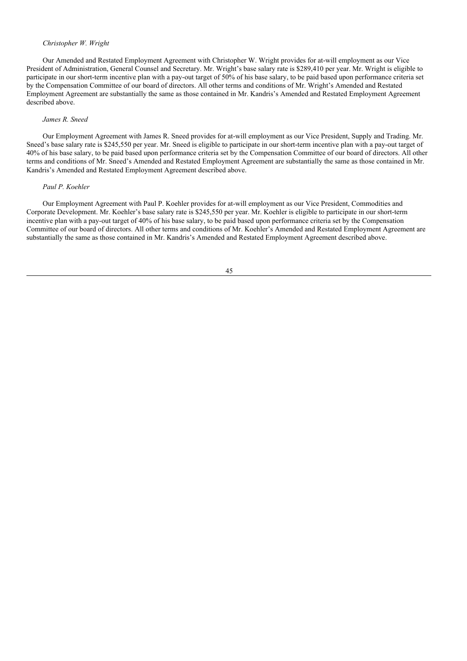#### *Christopher W. Wright*

Our Amended and Restated Employment Agreement with Christopher W. Wright provides for at-will employment as our Vice President of Administration, General Counsel and Secretary. Mr. Wright's base salary rate is \$289,410 per year. Mr. Wright is eligible to participate in our short-term incentive plan with a pay-out target of 50% of his base salary, to be paid based upon performance criteria set by the Compensation Committee of our board of directors. All other terms and conditions of Mr. Wright's Amended and Restated Employment Agreement are substantially the same as those contained in Mr. Kandris's Amended and Restated Employment Agreement described above.

### *James R. Sneed*

Our Employment Agreement with James R. Sneed provides for at-will employment as our Vice President, Supply and Trading. Mr. Sneed's base salary rate is \$245,550 per year. Mr. Sneed is eligible to participate in our short-term incentive plan with a pay-out target of 40% of his base salary, to be paid based upon performance criteria set by the Compensation Committee of our board of directors. All other terms and conditions of Mr. Sneed's Amended and Restated Employment Agreement are substantially the same as those contained in Mr. Kandris's Amended and Restated Employment Agreement described above.

### *Paul P. Koehler*

Our Employment Agreement with Paul P. Koehler provides for at-will employment as our Vice President, Commodities and Corporate Development. Mr. Koehler's base salary rate is \$245,550 per year. Mr. Koehler is eligible to participate in our short-term incentive plan with a pay-out target of 40% of his base salary, to be paid based upon performance criteria set by the Compensation Committee of our board of directors. All other terms and conditions of Mr. Koehler's Amended and Restated Employment Agreement are substantially the same as those contained in Mr. Kandris's Amended and Restated Employment Agreement described above.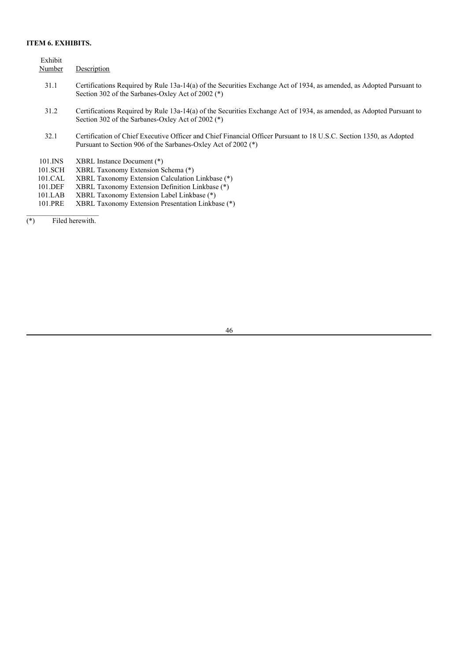# **ITEM 6. EXHIBITS.**

| Exhibit<br>Number | Description                                                                                                                                                                          |
|-------------------|--------------------------------------------------------------------------------------------------------------------------------------------------------------------------------------|
| 31.1              | Certifications Required by Rule 13a-14(a) of the Securities Exchange Act of 1934, as amended, as Adopted Pursuant to<br>Section 302 of the Sarbanes-Oxley Act of 2002 (*)            |
| 31.2              | Certifications Required by Rule 13a-14(a) of the Securities Exchange Act of 1934, as amended, as Adopted Pursuant to<br>Section 302 of the Sarbanes-Oxley Act of 2002 (*)            |
| 32.1              | Certification of Chief Executive Officer and Chief Financial Officer Pursuant to 18 U.S.C. Section 1350, as Adopted<br>Pursuant to Section 906 of the Sarbanes-Oxley Act of 2002 (*) |
| 101.INS           | XBRL Instance Document (*)                                                                                                                                                           |
| 101.SCH           | XBRL Taxonomy Extension Schema (*)                                                                                                                                                   |
| 101.CAL           | XBRL Taxonomy Extension Calculation Linkbase (*)                                                                                                                                     |
| 101.DEF           | XBRL Taxonomy Extension Definition Linkbase (*)                                                                                                                                      |
| 101.LAB           | XBRL Taxonomy Extension Label Linkbase (*)                                                                                                                                           |
| 101.PRE           | XBRL Taxonomy Extension Presentation Linkbase (*)                                                                                                                                    |

(\*) Filed herewith.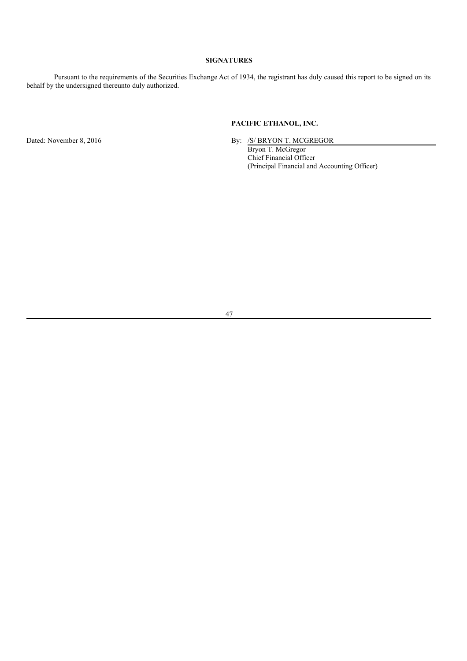## **SIGNATURES**

Pursuant to the requirements of the Securities Exchange Act of 1934, the registrant has duly caused this report to be signed on its behalf by the undersigned thereunto duly authorized.

# **PACIFIC ETHANOL, INC.**

Dated: November 8, 2016 **By: /S/ BRYON T. MCGREGOR** 

Bryon T. McGregor Chief Financial Officer (Principal Financial and Accounting Officer)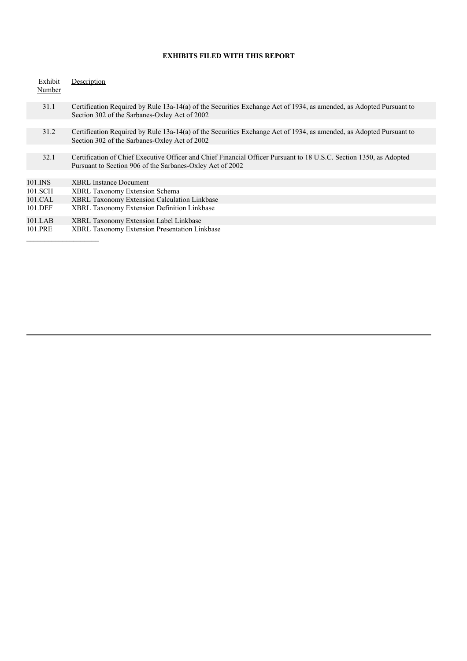# **EXHIBITS FILED WITH THIS REPORT**

| Exhibit<br>Number | Description                                                                                                                                                                      |
|-------------------|----------------------------------------------------------------------------------------------------------------------------------------------------------------------------------|
| 31.1              | Certification Required by Rule 13a-14(a) of the Securities Exchange Act of 1934, as amended, as Adopted Pursuant to<br>Section 302 of the Sarbanes-Oxley Act of 2002             |
|                   |                                                                                                                                                                                  |
| 31.2              | Certification Required by Rule 13a-14(a) of the Securities Exchange Act of 1934, as amended, as Adopted Pursuant to<br>Section 302 of the Sarbanes-Oxley Act of 2002             |
|                   |                                                                                                                                                                                  |
| 32.1              | Certification of Chief Executive Officer and Chief Financial Officer Pursuant to 18 U.S.C. Section 1350, as Adopted<br>Pursuant to Section 906 of the Sarbanes-Oxley Act of 2002 |
|                   |                                                                                                                                                                                  |
| 101.INS           | <b>XBRL</b> Instance Document                                                                                                                                                    |
| 101.SCH           | <b>XBRL Taxonomy Extension Schema</b>                                                                                                                                            |
| 101.CAL           | XBRL Taxonomy Extension Calculation Linkbase                                                                                                                                     |
| 101.DEF           | XBRL Taxonomy Extension Definition Linkbase                                                                                                                                      |
| 101.LAB           | XBRL Taxonomy Extension Label Linkbase                                                                                                                                           |
| 101.PRE           | XBRL Taxonomy Extension Presentation Linkbase                                                                                                                                    |
|                   |                                                                                                                                                                                  |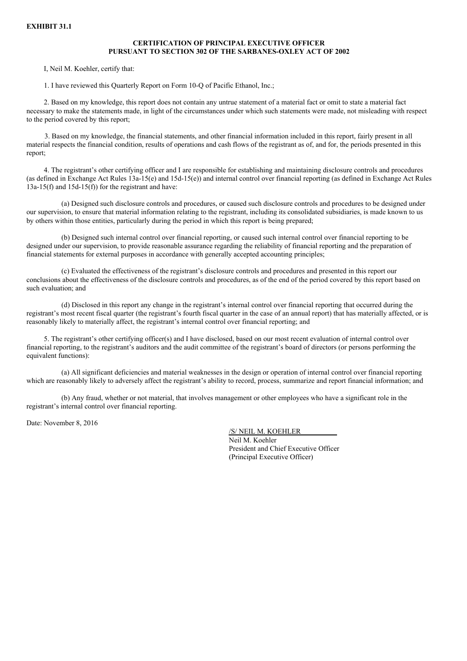## **CERTIFICATION OF PRINCIPAL EXECUTIVE OFFICER PURSUANT TO SECTION 302 OF THE SARBANES-OXLEY ACT OF 2002**

I, Neil M. Koehler, certify that:

1. I have reviewed this Quarterly Report on Form 10-Q of Pacific Ethanol, Inc.;

2. Based on my knowledge, this report does not contain any untrue statement of a material fact or omit to state a material fact necessary to make the statements made, in light of the circumstances under which such statements were made, not misleading with respect to the period covered by this report;

3. Based on my knowledge, the financial statements, and other financial information included in this report, fairly present in all material respects the financial condition, results of operations and cash flows of the registrant as of, and for, the periods presented in this report;

4. The registrant's other certifying officer and I are responsible for establishing and maintaining disclosure controls and procedures (as defined in Exchange Act Rules 13a-15(e) and 15d-15(e)) and internal control over financial reporting (as defined in Exchange Act Rules  $13a-15(f)$  and  $15d-15(f)$  for the registrant and have:

(a) Designed such disclosure controls and procedures, or caused such disclosure controls and procedures to be designed under our supervision, to ensure that material information relating to the registrant, including its consolidated subsidiaries, is made known to us by others within those entities, particularly during the period in which this report is being prepared;

(b) Designed such internal control over financial reporting, or caused such internal control over financial reporting to be designed under our supervision, to provide reasonable assurance regarding the reliability of financial reporting and the preparation of financial statements for external purposes in accordance with generally accepted accounting principles;

(c) Evaluated the effectiveness of the registrant's disclosure controls and procedures and presented in this report our conclusions about the effectiveness of the disclosure controls and procedures, as of the end of the period covered by this report based on such evaluation; and

(d) Disclosed in this report any change in the registrant's internal control over financial reporting that occurred during the registrant's most recent fiscal quarter (the registrant's fourth fiscal quarter in the case of an annual report) that has materially affected, or is reasonably likely to materially affect, the registrant's internal control over financial reporting; and

5. The registrant's other certifying officer(s) and I have disclosed, based on our most recent evaluation of internal control over financial reporting, to the registrant's auditors and the audit committee of the registrant's board of directors (or persons performing the equivalent functions):

(a) All significant deficiencies and material weaknesses in the design or operation of internal control over financial reporting which are reasonably likely to adversely affect the registrant's ability to record, process, summarize and report financial information; and

(b) Any fraud, whether or not material, that involves management or other employees who have a significant role in the registrant's internal control over financial reporting.

Date: November 8, 2016

/S/ NEIL M. KOEHLER

Neil M. Koehler President and Chief Executive Officer (Principal Executive Officer)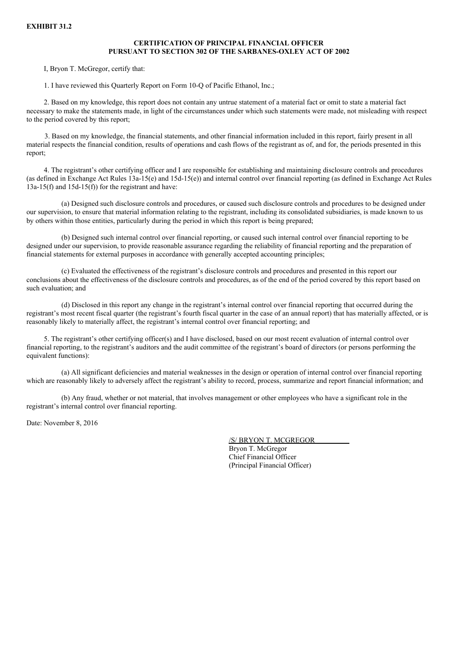## **CERTIFICATION OF PRINCIPAL FINANCIAL OFFICER PURSUANT TO SECTION 302 OF THE SARBANES-OXLEY ACT OF 2002**

I, Bryon T. McGregor, certify that:

1. I have reviewed this Quarterly Report on Form 10-Q of Pacific Ethanol, Inc.;

2. Based on my knowledge, this report does not contain any untrue statement of a material fact or omit to state a material fact necessary to make the statements made, in light of the circumstances under which such statements were made, not misleading with respect to the period covered by this report;

3. Based on my knowledge, the financial statements, and other financial information included in this report, fairly present in all material respects the financial condition, results of operations and cash flows of the registrant as of, and for, the periods presented in this report;

4. The registrant's other certifying officer and I are responsible for establishing and maintaining disclosure controls and procedures (as defined in Exchange Act Rules 13a-15(e) and 15d-15(e)) and internal control over financial reporting (as defined in Exchange Act Rules  $13a-15(f)$  and  $15d-15(f)$  for the registrant and have:

(a) Designed such disclosure controls and procedures, or caused such disclosure controls and procedures to be designed under our supervision, to ensure that material information relating to the registrant, including its consolidated subsidiaries, is made known to us by others within those entities, particularly during the period in which this report is being prepared;

(b) Designed such internal control over financial reporting, or caused such internal control over financial reporting to be designed under our supervision, to provide reasonable assurance regarding the reliability of financial reporting and the preparation of financial statements for external purposes in accordance with generally accepted accounting principles;

(c) Evaluated the effectiveness of the registrant's disclosure controls and procedures and presented in this report our conclusions about the effectiveness of the disclosure controls and procedures, as of the end of the period covered by this report based on such evaluation; and

(d) Disclosed in this report any change in the registrant's internal control over financial reporting that occurred during the registrant's most recent fiscal quarter (the registrant's fourth fiscal quarter in the case of an annual report) that has materially affected, or is reasonably likely to materially affect, the registrant's internal control over financial reporting; and

5. The registrant's other certifying officer(s) and I have disclosed, based on our most recent evaluation of internal control over financial reporting, to the registrant's auditors and the audit committee of the registrant's board of directors (or persons performing the equivalent functions):

(a) All significant deficiencies and material weaknesses in the design or operation of internal control over financial reporting which are reasonably likely to adversely affect the registrant's ability to record, process, summarize and report financial information; and

(b) Any fraud, whether or not material, that involves management or other employees who have a significant role in the registrant's internal control over financial reporting.

Date: November 8, 2016

/S/ BRYON T. MCGREGOR Bryon T. McGregor Chief Financial Officer (Principal Financial Officer)